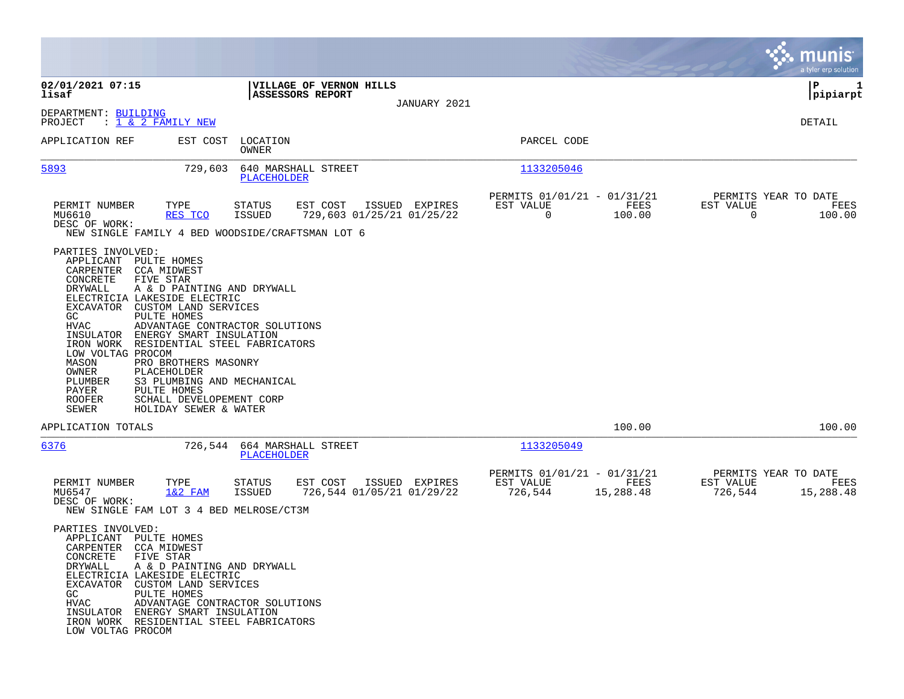|                                                                                                                                                                                                       |                                                                                                                                                                                                                                                                                                                                                                                     |                                           |                                       |                |                                                     |                   |                                                  | a tyler erp solution           |
|-------------------------------------------------------------------------------------------------------------------------------------------------------------------------------------------------------|-------------------------------------------------------------------------------------------------------------------------------------------------------------------------------------------------------------------------------------------------------------------------------------------------------------------------------------------------------------------------------------|-------------------------------------------|---------------------------------------|----------------|-----------------------------------------------------|-------------------|--------------------------------------------------|--------------------------------|
| 02/01/2021 07:15<br>lisaf<br>DEPARTMENT: BUILDING<br>PROJECT                                                                                                                                          | : <u>1 &amp; 2 FAMILY NEW</u>                                                                                                                                                                                                                                                                                                                                                       | <b>ASSESSORS REPORT</b>                   | <b>VILLAGE OF VERNON HILLS</b>        | JANUARY 2021   |                                                     |                   |                                                  | IΡ<br>1<br> pipiarpt<br>DETAIL |
| APPLICATION REF                                                                                                                                                                                       | EST COST                                                                                                                                                                                                                                                                                                                                                                            | LOCATION<br>OWNER                         |                                       |                | PARCEL CODE                                         |                   |                                                  |                                |
| 5893                                                                                                                                                                                                  | 729,603                                                                                                                                                                                                                                                                                                                                                                             | 640 MARSHALL STREET<br><b>PLACEHOLDER</b> |                                       |                | 1133205046                                          |                   |                                                  |                                |
| PERMIT NUMBER<br>MU6610<br>DESC OF WORK:                                                                                                                                                              | TYPE<br>RES TCO<br>NEW SINGLE FAMILY 4 BED WOODSIDE/CRAFTSMAN LOT 6                                                                                                                                                                                                                                                                                                                 | STATUS<br>ISSUED                          | EST COST<br>729,603 01/25/21 01/25/22 | ISSUED EXPIRES | PERMITS 01/01/21 - 01/31/21<br>EST VALUE<br>0       | FEES<br>100.00    | PERMITS YEAR TO DATE<br>EST VALUE<br>$\mathbf 0$ | FEES<br>100.00                 |
| PARTIES INVOLVED:<br>APPLICANT<br>CARPENTER<br>CONCRETE<br>DRYWALL<br>EXCAVATOR<br>GC<br>HVAC<br>INSULATOR<br>IRON WORK<br>LOW VOLTAG PROCOM<br>MASON<br>OWNER<br>PLUMBER<br>PAYER<br>ROOFER<br>SEWER | PULTE HOMES<br>CCA MIDWEST<br>FIVE STAR<br>A & D PAINTING AND DRYWALL<br>ELECTRICIA LAKESIDE ELECTRIC<br>CUSTOM LAND SERVICES<br>PULTE HOMES<br>ADVANTAGE CONTRACTOR SOLUTIONS<br>ENERGY SMART INSULATION<br>RESIDENTIAL STEEL FABRICATORS<br>PRO BROTHERS MASONRY<br>PLACEHOLDER<br>S3 PLUMBING AND MECHANICAL<br>PULTE HOMES<br>SCHALL DEVELOPEMENT CORP<br>HOLIDAY SEWER & WATER |                                           |                                       |                |                                                     |                   |                                                  |                                |
| APPLICATION TOTALS                                                                                                                                                                                    |                                                                                                                                                                                                                                                                                                                                                                                     |                                           |                                       |                |                                                     | 100.00            |                                                  | 100.00                         |
| <u>6376</u>                                                                                                                                                                                           | 726,544                                                                                                                                                                                                                                                                                                                                                                             | 664 MARSHALL STREET<br>PLACEHOLDER        |                                       |                | 1133205049                                          |                   |                                                  |                                |
| PERMIT NUMBER<br>MU6547<br>DESC OF WORK:                                                                                                                                                              | TYPE<br>$1&2$ FAM<br>NEW SINGLE FAM LOT 3 4 BED MELROSE/CT3M                                                                                                                                                                                                                                                                                                                        | <b>STATUS</b><br>ISSUED                   | EST COST<br>726,544 01/05/21 01/29/22 | ISSUED EXPIRES | PERMITS 01/01/21 - 01/31/21<br>EST VALUE<br>726,544 | FEES<br>15,288.48 | PERMITS YEAR TO DATE<br>EST VALUE<br>726,544     | FEES<br>15,288.48              |
| PARTIES INVOLVED:<br>APPLICANT PULTE HOMES<br>CARPENTER CCA MIDWEST<br>CONCRETE<br>DRYWALL<br>GC<br>HVAC<br>LOW VOLTAG PROCOM                                                                         | FIVE STAR<br>A & D PAINTING AND DRYWALL<br>ELECTRICIA LAKESIDE ELECTRIC<br>EXCAVATOR CUSTOM LAND SERVICES<br>PULTE HOMES<br>ADVANTAGE CONTRACTOR SOLUTIONS<br>INSULATOR ENERGY SMART INSULATION<br>IRON WORK RESIDENTIAL STEEL FABRICATORS                                                                                                                                          |                                           |                                       |                |                                                     |                   |                                                  |                                |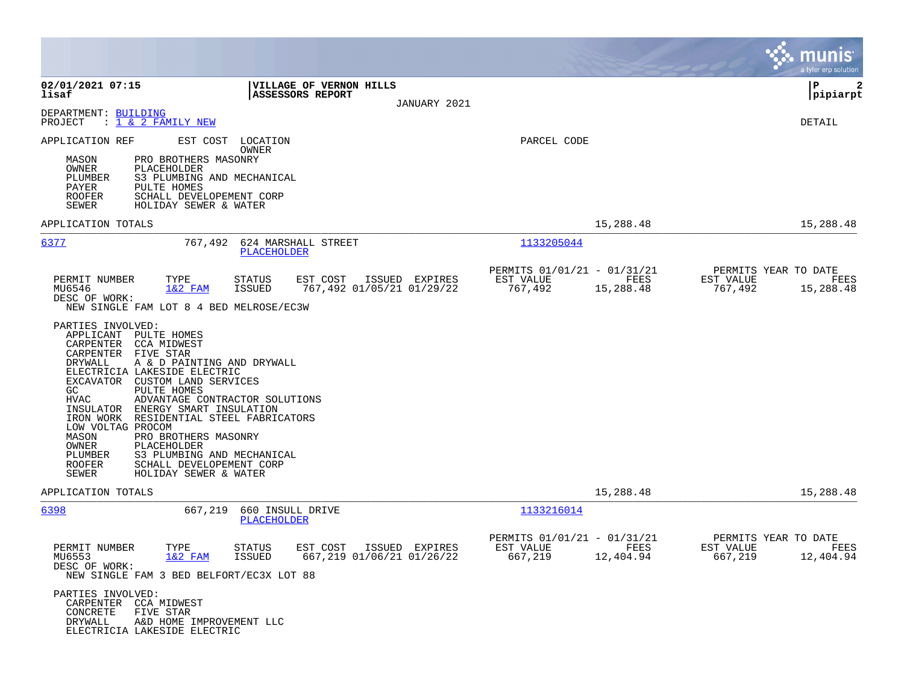|                                                                                                                                                                                                                                                                                                                                                                                                                               |                                                                                                             | munis<br>a tyler erp solution                                     |
|-------------------------------------------------------------------------------------------------------------------------------------------------------------------------------------------------------------------------------------------------------------------------------------------------------------------------------------------------------------------------------------------------------------------------------|-------------------------------------------------------------------------------------------------------------|-------------------------------------------------------------------|
| 02/01/2021 07:15<br><b>VILLAGE OF VERNON HILLS</b><br><b>ASSESSORS REPORT</b><br>lisaf<br>JANUARY 2021                                                                                                                                                                                                                                                                                                                        |                                                                                                             | l P<br>2<br>pipiarpt                                              |
| DEPARTMENT: BUILDING<br>PROJECT<br>: 1 & 2 FAMILY NEW                                                                                                                                                                                                                                                                                                                                                                         |                                                                                                             | DETAIL                                                            |
| APPLICATION REF<br>EST COST LOCATION<br><b>OWNER</b><br>PRO BROTHERS MASONRY<br>MASON<br>OWNER<br>PLACEHOLDER<br>PLUMBER<br>S3 PLUMBING AND MECHANICAL<br>PULTE HOMES<br>PAYER<br><b>ROOFER</b><br>SCHALL DEVELOPEMENT CORP<br>SEWER<br>HOLIDAY SEWER & WATER                                                                                                                                                                 | PARCEL CODE                                                                                                 |                                                                   |
| APPLICATION TOTALS                                                                                                                                                                                                                                                                                                                                                                                                            | 15,288.48                                                                                                   | 15,288.48                                                         |
| 6377<br>624 MARSHALL STREET<br>767,492<br>PLACEHOLDER                                                                                                                                                                                                                                                                                                                                                                         | 1133205044                                                                                                  |                                                                   |
| PERMIT NUMBER<br>EST COST<br>ISSUED EXPIRES<br>TYPE<br>STATUS<br>$1&2$ FAM<br>767,492 01/05/21 01/29/22<br>MU6546<br><b>ISSUED</b><br>DESC OF WORK:<br>NEW SINGLE FAM LOT 8 4 BED MELROSE/EC3W<br>PARTIES INVOLVED:<br>APPLICANT PULTE HOMES<br>CARPENTER CCA MIDWEST<br>CARPENTER FIVE STAR<br>A & D PAINTING AND DRYWALL<br>DRYWALL<br>ELECTRICIA LAKESIDE ELECTRIC<br>EXCAVATOR CUSTOM LAND SERVICES<br>PULTE HOMES<br>GC. | PERMITS 01/01/21 - 01/31/21<br>EST VALUE<br>FEES<br>767,492<br>15,288.48                                    | PERMITS YEAR TO DATE<br>EST VALUE<br>FEES<br>767,492<br>15,288.48 |
| <b>HVAC</b><br>ADVANTAGE CONTRACTOR SOLUTIONS<br>INSULATOR ENERGY SMART INSULATION<br>IRON WORK RESIDENTIAL STEEL FABRICATORS<br>LOW VOLTAG PROCOM<br>MASON<br>PRO BROTHERS MASONRY<br>PLACEHOLDER<br>OWNER<br>S3 PLUMBING AND MECHANICAL<br>PLUMBER<br>SCHALL DEVELOPEMENT CORP<br>ROOFER<br>SEWER<br>HOLIDAY SEWER & WATER                                                                                                  |                                                                                                             |                                                                   |
| APPLICATION TOTALS<br>6398<br>667,219<br>660 INSULL DRIVE                                                                                                                                                                                                                                                                                                                                                                     | 15,288.48<br>1133216014                                                                                     | 15,288.48                                                         |
| <b>PLACEHOLDER</b><br>PERMIT NUMBER<br>TYPE<br>EST COST<br>ISSUED EXPIRES<br>STATUS<br>$1&2$ FAM<br>667,219 01/06/21 01/26/22<br>MU6553<br>ISSUED<br>DESC OF WORK:<br>NEW SINGLE FAM 3 BED BELFORT/EC3X LOT 88<br>PARTIES INVOLVED:<br>CARPENTER CCA MIDWEST<br>CONCRETE<br>FIVE STAR<br>DRYWALL<br>A&D HOME IMPROVEMENT LLC<br>ELECTRICIA LAKESIDE ELECTRIC                                                                  | PERMITS 01/01/21 - 01/31/21<br>EST VALUE<br><b>EXERCISE IN THE STATE OF STREETS</b><br>667,219<br>12,404.94 | PERMITS YEAR TO DATE<br>EST VALUE<br>FEES<br>667,219<br>12,404.94 |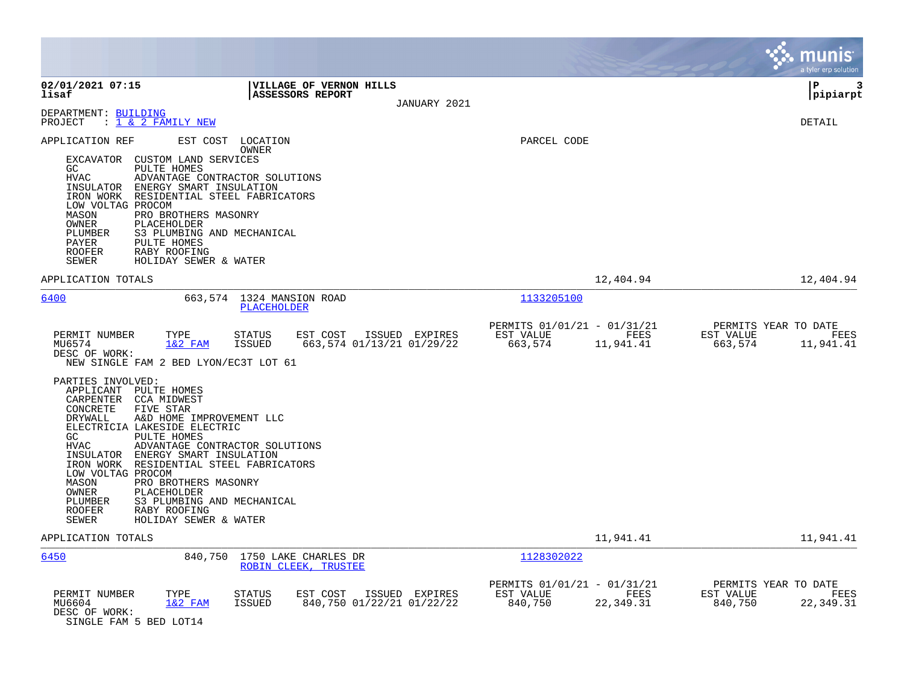|                                                                                                                                                                                                                                                                                                                                                                                                                                                                                                       |                                                                                           |                                                     |                                   | munis<br>a tyler erp solution                                     |
|-------------------------------------------------------------------------------------------------------------------------------------------------------------------------------------------------------------------------------------------------------------------------------------------------------------------------------------------------------------------------------------------------------------------------------------------------------------------------------------------------------|-------------------------------------------------------------------------------------------|-----------------------------------------------------|-----------------------------------|-------------------------------------------------------------------|
| 02/01/2021 07:15<br>lisaf                                                                                                                                                                                                                                                                                                                                                                                                                                                                             | <b>VILLAGE OF VERNON HILLS</b><br>ASSESSORS REPORT<br>JANUARY 2021                        |                                                     |                                   | l P<br>3<br> pipiarpt                                             |
| DEPARTMENT: BUILDING<br>: 1 & 2 FAMILY NEW<br>PROJECT                                                                                                                                                                                                                                                                                                                                                                                                                                                 |                                                                                           |                                                     |                                   | <b>DETAIL</b>                                                     |
| APPLICATION REF<br>EXCAVATOR CUSTOM LAND SERVICES<br>GC<br>PULTE HOMES<br><b>HVAC</b><br>ADVANTAGE CONTRACTOR SOLUTIONS<br>INSULATOR ENERGY SMART INSULATION<br>IRON WORK RESIDENTIAL STEEL FABRICATORS<br>LOW VOLTAG PROCOM<br>MASON<br>PRO BROTHERS MASONRY<br>OWNER<br>PLACEHOLDER<br>PLUMBER<br>S3 PLUMBING AND MECHANICAL<br>PAYER<br>PULTE HOMES<br>RABY ROOFING<br>ROOFER<br>SEWER<br>HOLIDAY SEWER & WATER                                                                                    | EST COST LOCATION<br>OWNER                                                                | PARCEL CODE                                         |                                   |                                                                   |
| APPLICATION TOTALS                                                                                                                                                                                                                                                                                                                                                                                                                                                                                    |                                                                                           |                                                     | 12,404.94                         | 12,404.94                                                         |
| 6400                                                                                                                                                                                                                                                                                                                                                                                                                                                                                                  | 663,574 1324 MANSION ROAD<br>PLACEHOLDER                                                  | 1133205100                                          |                                   |                                                                   |
| PERMIT NUMBER<br>TYPE<br>MU6574<br>$1&2$ FAM<br>DESC OF WORK:<br>NEW SINGLE FAM 2 BED LYON/EC3T LOT 61                                                                                                                                                                                                                                                                                                                                                                                                | <b>STATUS</b><br>EST COST<br>ISSUED EXPIRES<br><b>ISSUED</b><br>663,574 01/13/21 01/29/22 | PERMITS 01/01/21 - 01/31/21<br>EST VALUE<br>663,574 | <b>EXECUTE: PEES</b><br>11,941.41 | PERMITS YEAR TO DATE<br>EST VALUE<br>FEES<br>663,574<br>11,941.41 |
| PARTIES INVOLVED:<br>APPLICANT PULTE HOMES<br>CARPENTER CCA MIDWEST<br>FIVE STAR<br>CONCRETE<br>DRYWALL<br>A&D HOME IMPROVEMENT LLC<br>ELECTRICIA LAKESIDE ELECTRIC<br>GC<br>PULTE HOMES<br>ADVANTAGE CONTRACTOR SOLUTIONS<br>HVAC<br>INSULATOR ENERGY SMART INSULATION<br>IRON WORK RESIDENTIAL STEEL FABRICATORS<br>LOW VOLTAG PROCOM<br>MASON<br>PRO BROTHERS MASONRY<br>OWNER<br>PLACEHOLDER<br>S3 PLUMBING AND MECHANICAL<br>PLUMBER<br>ROOFER<br>RABY ROOFING<br>SEWER<br>HOLIDAY SEWER & WATER |                                                                                           |                                                     |                                   |                                                                   |
| APPLICATION TOTALS                                                                                                                                                                                                                                                                                                                                                                                                                                                                                    |                                                                                           |                                                     | 11,941.41                         | 11,941.41                                                         |
| 6450                                                                                                                                                                                                                                                                                                                                                                                                                                                                                                  | 840,750 1750 LAKE CHARLES DR<br>ROBIN CLEEK, TRUSTEE                                      | 1128302022                                          |                                   |                                                                   |
| PERMIT NUMBER<br>TYPE<br>$1&2$ FAM<br>MU6604<br>DESC OF WORK:<br>SINGLE FAM 5 BED LOT14                                                                                                                                                                                                                                                                                                                                                                                                               | ISSUED EXPIRES<br><b>STATUS</b><br>EST COST<br><b>ISSUED</b><br>840,750 01/22/21 01/22/22 | PERMITS 01/01/21 - 01/31/21<br>EST VALUE<br>840,750 | FEES<br>22, 349.31                | PERMITS YEAR TO DATE<br>EST VALUE<br>FEES<br>840,750<br>22,349.31 |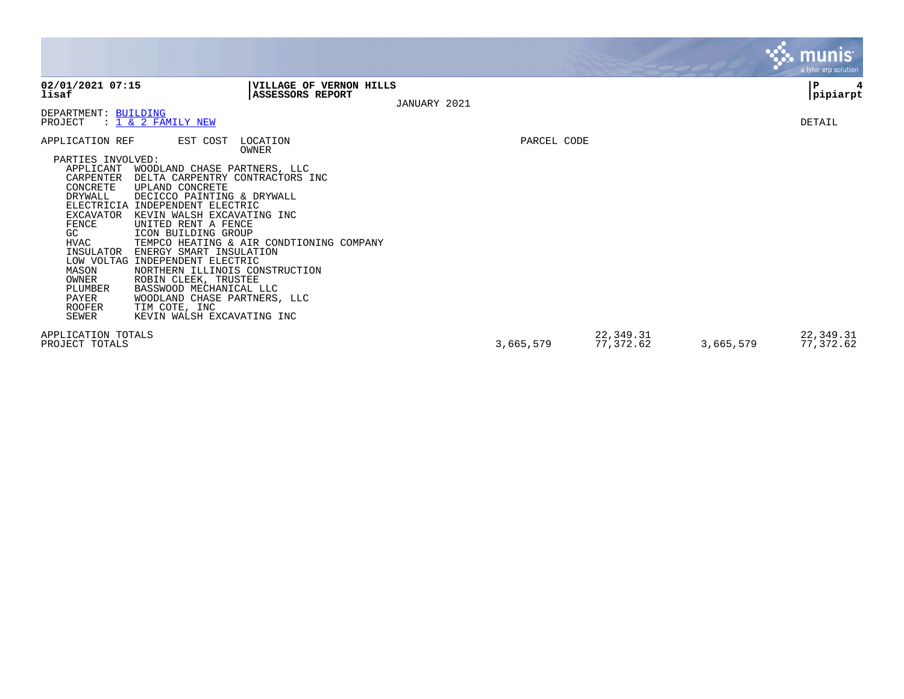|                                                                                                                                                                                                                                                                                                                                                                      |                                                                                                                                                                                                                                                                                                                               |              |                        | <b>munis</b><br>a tyler erp solution |
|----------------------------------------------------------------------------------------------------------------------------------------------------------------------------------------------------------------------------------------------------------------------------------------------------------------------------------------------------------------------|-------------------------------------------------------------------------------------------------------------------------------------------------------------------------------------------------------------------------------------------------------------------------------------------------------------------------------|--------------|------------------------|--------------------------------------|
| 02/01/2021 07:15<br>lisaf                                                                                                                                                                                                                                                                                                                                            | VILLAGE OF VERNON HILLS<br>ASSESSORS REPORT                                                                                                                                                                                                                                                                                   | JANUARY 2021 |                        | $\, {\bf P}$<br>pipiarpt             |
| DEPARTMENT: BUILDING<br>: 1 & 2 FAMILY NEW<br>PROJECT                                                                                                                                                                                                                                                                                                                |                                                                                                                                                                                                                                                                                                                               |              |                        | DETAIL                               |
| APPLICATION REF                                                                                                                                                                                                                                                                                                                                                      | EST COST<br>LOCATION<br>OWNER                                                                                                                                                                                                                                                                                                 | PARCEL CODE  |                        |                                      |
| PARTIES INVOLVED:<br>APPLICANT<br>CARPENTER<br>UPLAND CONCRETE<br>CONCRETE<br>DRYWALL<br>ELECTRICIA INDEPENDENT ELECTRIC<br>EXCAVATOR<br>FENCE<br>UNITED RENT A FENCE<br>ICON BUILDING GROUP<br>GC.<br>HVAC<br>INSULATOR<br>LOW VOLTAG INDEPENDENT ELECTRIC<br>MASON<br>OWNER<br>ROBIN CLEEK, TRUSTEE<br>PLUMBER<br>PAYER<br><b>ROOFER</b><br>TIM COTE, INC<br>SEWER | WOODLAND CHASE PARTNERS, LLC<br>DELTA CARPENTRY CONTRACTORS INC<br>DECICCO PAINTING & DRYWALL<br>KEVIN WALSH EXCAVATING INC<br>TEMPCO HEATING & AIR CONDTIONING COMPANY<br>ENERGY SMART INSULATION<br>NORTHERN ILLINOIS CONSTRUCTION<br>BASSWOOD MECHANICAL LLC<br>WOODLAND CHASE PARTNERS, LLC<br>KEVIN WALSH EXCAVATING INC |              |                        |                                      |
| APPLICATION TOTALS<br>PROJECT TOTALS                                                                                                                                                                                                                                                                                                                                 |                                                                                                                                                                                                                                                                                                                               | 3,665,579    | 22,349.31<br>77,372.62 | 22,349.31<br>77,372.62<br>3,665,579  |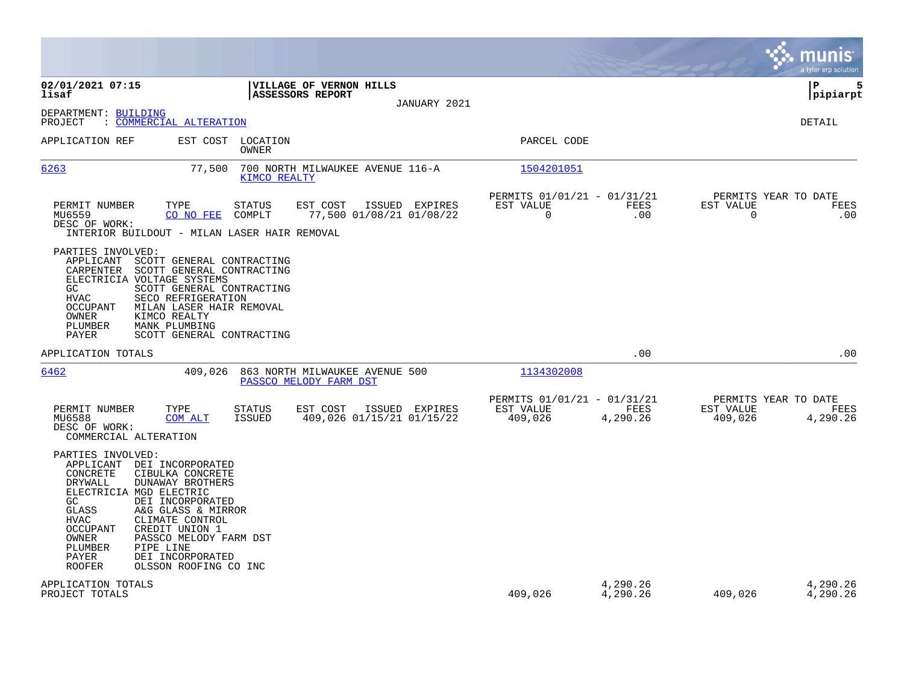|                                                                                                                                                                                                                                                                                                                                                                                                                        |                                                            |                      |                                                  | munis<br>a tyler erp solution |
|------------------------------------------------------------------------------------------------------------------------------------------------------------------------------------------------------------------------------------------------------------------------------------------------------------------------------------------------------------------------------------------------------------------------|------------------------------------------------------------|----------------------|--------------------------------------------------|-------------------------------|
| 02/01/2021 07:15<br>VILLAGE OF VERNON HILLS<br>lisaf<br>ASSESSORS REPORT<br>JANUARY 2021                                                                                                                                                                                                                                                                                                                               |                                                            |                      |                                                  | ΙP<br>5<br> pipiarpt          |
| DEPARTMENT: BUILDING<br>: COMMERCIAL ALTERATION<br>PROJECT                                                                                                                                                                                                                                                                                                                                                             |                                                            |                      |                                                  | <b>DETAIL</b>                 |
| APPLICATION REF<br>EST COST LOCATION<br>OWNER                                                                                                                                                                                                                                                                                                                                                                          | PARCEL CODE                                                |                      |                                                  |                               |
| 6263<br>77,500<br>700 NORTH MILWAUKEE AVENUE 116-A<br>KIMCO REALTY                                                                                                                                                                                                                                                                                                                                                     | 1504201051                                                 |                      |                                                  |                               |
| PERMIT NUMBER<br>TYPE<br>STATUS<br>EST COST<br>ISSUED EXPIRES<br>MU6559<br>CO NO FEE<br>COMPLT<br>77,500 01/08/21 01/08/22<br>DESC OF WORK:<br>INTERIOR BUILDOUT - MILAN LASER HAIR REMOVAL                                                                                                                                                                                                                            | PERMITS 01/01/21 - 01/31/21<br>EST VALUE<br>$\overline{0}$ | <b>FEES</b><br>.00   | PERMITS YEAR TO DATE<br>EST VALUE<br>$\mathbf 0$ | FEES<br>.00                   |
| PARTIES INVOLVED:<br>APPLICANT<br>SCOTT GENERAL CONTRACTING<br>CARPENTER<br>SCOTT GENERAL CONTRACTING<br>ELECTRICIA VOLTAGE SYSTEMS<br>SCOTT GENERAL CONTRACTING<br>GC.<br><b>HVAC</b><br>SECO REFRIGERATION<br>MILAN LASER HAIR REMOVAL<br>OCCUPANT<br>OWNER<br>KIMCO REALTY<br>PLUMBER<br>MANK PLUMBING<br><b>PAYER</b><br>SCOTT GENERAL CONTRACTING                                                                 |                                                            |                      |                                                  |                               |
| APPLICATION TOTALS                                                                                                                                                                                                                                                                                                                                                                                                     |                                                            | .00                  |                                                  | .00                           |
| 409,026<br>6462<br>863 NORTH MILWAUKEE AVENUE 500<br>PASSCO MELODY FARM DST                                                                                                                                                                                                                                                                                                                                            | 1134302008                                                 |                      |                                                  |                               |
| EST COST<br>PERMIT NUMBER<br>TYPE<br><b>STATUS</b><br>ISSUED EXPIRES<br>MU6588<br>409,026 01/15/21 01/15/22<br>COM ALT<br><b>ISSUED</b><br>DESC OF WORK:<br>COMMERCIAL ALTERATION                                                                                                                                                                                                                                      | PERMITS 01/01/21 - 01/31/21<br>EST VALUE<br>409,026        | FEES<br>4,290.26     | PERMITS YEAR TO DATE<br>EST VALUE<br>409,026     | FEES<br>4,290.26              |
| PARTIES INVOLVED:<br>APPLICANT<br>DEI INCORPORATED<br>CONCRETE<br>CIBULKA CONCRETE<br><b>DRYWALL</b><br>DUNAWAY BROTHERS<br>ELECTRICIA MGD ELECTRIC<br>DEI INCORPORATED<br>GC.<br>GLASS<br>A&G GLASS & MIRROR<br>CLIMATE CONTROL<br><b>HVAC</b><br><b>OCCUPANT</b><br>CREDIT UNION 1<br>OWNER<br>PASSCO MELODY FARM DST<br>PLUMBER<br>PIPE LINE<br>PAYER<br>DEI INCORPORATED<br><b>ROOFER</b><br>OLSSON ROOFING CO INC |                                                            |                      |                                                  |                               |
| APPLICATION TOTALS<br>PROJECT TOTALS                                                                                                                                                                                                                                                                                                                                                                                   | 409,026                                                    | 4,290.26<br>4,290.26 | 409,026                                          | 4,290.26<br>4,290.26          |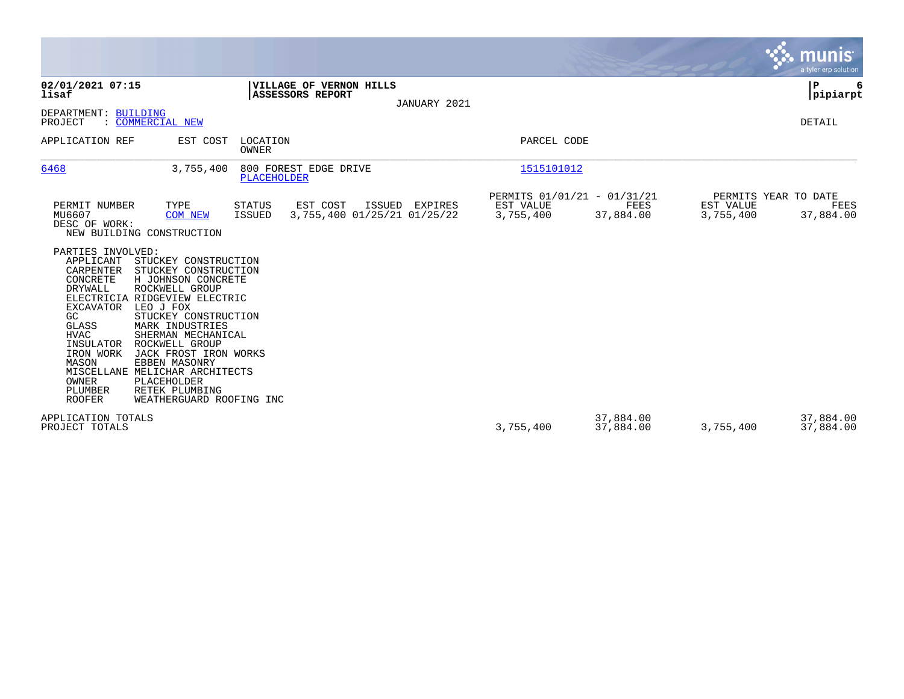|                                                                                                                                                                                                                                                                                                                                                                                                                                                                                                                                                         |                                                                    | <b>munis</b><br>a tyler erp solution                                               |
|---------------------------------------------------------------------------------------------------------------------------------------------------------------------------------------------------------------------------------------------------------------------------------------------------------------------------------------------------------------------------------------------------------------------------------------------------------------------------------------------------------------------------------------------------------|--------------------------------------------------------------------|------------------------------------------------------------------------------------|
| 02/01/2021 07:15<br>VILLAGE OF VERNON HILLS<br>lisaf<br><b>ASSESSORS REPORT</b><br>JANUARY 2021                                                                                                                                                                                                                                                                                                                                                                                                                                                         |                                                                    | P<br> pipiarpt                                                                     |
| DEPARTMENT: BUILDING<br>: COMMERCIAL NEW<br>PROJECT                                                                                                                                                                                                                                                                                                                                                                                                                                                                                                     |                                                                    | DETAIL                                                                             |
| APPLICATION REF<br>EST COST<br>LOCATION<br>OWNER                                                                                                                                                                                                                                                                                                                                                                                                                                                                                                        | PARCEL CODE                                                        |                                                                                    |
| 800 FOREST EDGE DRIVE<br>6468<br>3,755,400<br><b>PLACEHOLDER</b>                                                                                                                                                                                                                                                                                                                                                                                                                                                                                        | 1515101012                                                         |                                                                                    |
| EST COST<br>PERMIT NUMBER<br>TYPE<br>ISSUED<br>STATUS<br>EXPIRES<br>MU6607<br>3,755,400 01/25/21 01/25/22<br><b>COM NEW</b><br>ISSUED<br>DESC OF WORK:<br>NEW BUILDING CONSTRUCTION<br>PARTIES INVOLVED:                                                                                                                                                                                                                                                                                                                                                | PERMITS 01/01/21 - 01/31/21<br>EST VALUE<br>3,755,400<br>37,884.00 | PERMITS YEAR TO DATE<br>EST VALUE<br><b>FEES</b><br>FEES<br>3,755,400<br>37,884.00 |
| APPLICANT<br>STUCKEY CONSTRUCTION<br>CARPENTER<br>STUCKEY CONSTRUCTION<br>H JOHNSON CONCRETE<br>CONCRETE<br><b>DRYWALL</b><br>ROCKWELL GROUP<br>ELECTRICIA RIDGEVIEW ELECTRIC<br>EXCAVATOR<br>LEO J FOX<br>GC<br>STUCKEY CONSTRUCTION<br><b>GLASS</b><br>MARK INDUSTRIES<br><b>HVAC</b><br>SHERMAN MECHANICAL<br>INSULATOR<br>ROCKWELL GROUP<br>IRON WORK<br>JACK FROST IRON WORKS<br>MASON<br>EBBEN MASONRY<br>MISCELLANE MELICHAR ARCHITECTS<br><b>OWNER</b><br>PLACEHOLDER<br>PLUMBER<br>RETEK PLUMBING<br><b>ROOFER</b><br>WEATHERGUARD ROOFING INC |                                                                    |                                                                                    |
| APPLICATION TOTALS<br>PROJECT TOTALS                                                                                                                                                                                                                                                                                                                                                                                                                                                                                                                    | 37,884.00<br>3,755,400<br>37,884.00                                | 37,884.00<br>3,755,400<br>37,884.00                                                |

**Contract**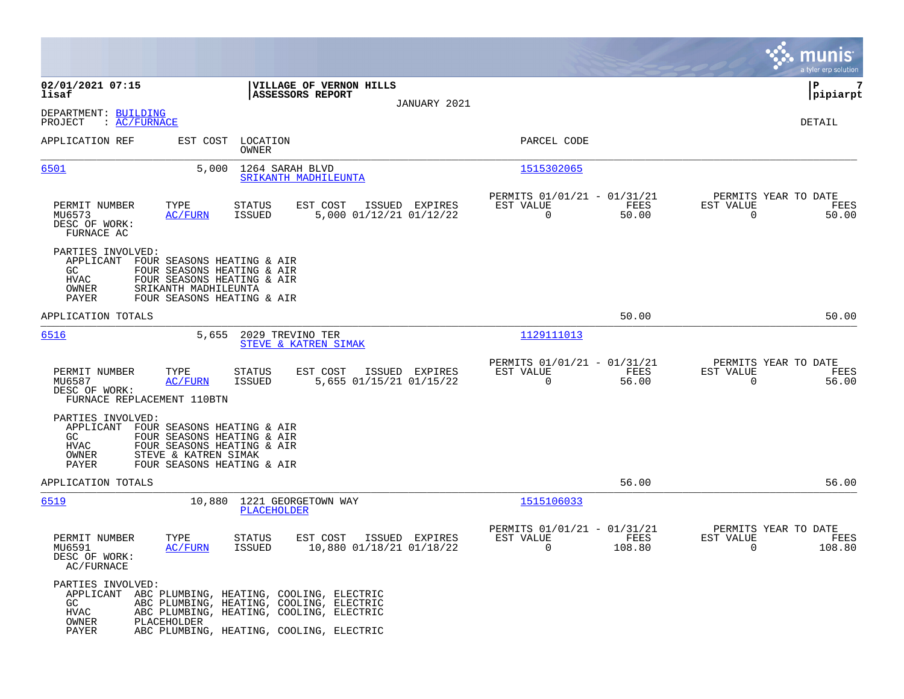|                                                                                                                          |                                                                                                                                                                                        |                                                                        | munis<br>a tyler erp solut <u>ion</u>                           |
|--------------------------------------------------------------------------------------------------------------------------|----------------------------------------------------------------------------------------------------------------------------------------------------------------------------------------|------------------------------------------------------------------------|-----------------------------------------------------------------|
| 02/01/2021 07:15<br>lisaf                                                                                                | VILLAGE OF VERNON HILLS<br>ASSESSORS REPORT                                                                                                                                            |                                                                        | ΙP<br>7<br> pipiarpt                                            |
|                                                                                                                          | JANUARY 2021                                                                                                                                                                           |                                                                        |                                                                 |
| DEPARTMENT: BUILDING<br>PROJECT<br>: AC/FURNACE                                                                          |                                                                                                                                                                                        |                                                                        | DETAIL                                                          |
| APPLICATION REF<br>EST COST                                                                                              | LOCATION<br>OWNER                                                                                                                                                                      | PARCEL CODE                                                            |                                                                 |
| 6501                                                                                                                     | 5,000<br>1264 SARAH BLVD<br>SRIKANTH MADHILEUNTA                                                                                                                                       | 1515302065                                                             |                                                                 |
| TYPE<br>PERMIT NUMBER<br>MU6573<br><u>AC/FURN</u><br>DESC OF WORK:<br>FURNACE AC                                         | EST COST<br>ISSUED EXPIRES<br>STATUS<br>5,000 01/12/21 01/12/22<br>ISSUED                                                                                                              | PERMITS 01/01/21 - 01/31/21<br>EST VALUE<br>FEES<br>$\Omega$<br>50.00  | PERMITS YEAR TO DATE<br>EST VALUE<br>FEES<br>$\Omega$<br>50.00  |
| PARTIES INVOLVED:<br>APPLICANT FOUR SEASONS HEATING & AIR<br>GC<br><b>HVAC</b><br>SRIKANTH MADHILEUNTA<br>OWNER<br>PAYER | FOUR SEASONS HEATING & AIR<br>FOUR SEASONS HEATING & AIR<br>FOUR SEASONS HEATING & AIR                                                                                                 |                                                                        |                                                                 |
| APPLICATION TOTALS                                                                                                       |                                                                                                                                                                                        | 50.00                                                                  | 50.00                                                           |
| 6516                                                                                                                     | 2029 TREVINO TER<br>5,655<br>STEVE & KATREN SIMAK                                                                                                                                      | 1129111013                                                             |                                                                 |
| PERMIT NUMBER<br>TYPE<br>MU6587<br><b>AC/FURN</b><br>DESC OF WORK:<br>FURNACE REPLACEMENT 110BTN                         | <b>STATUS</b><br>EST COST<br>ISSUED EXPIRES<br>5,655 01/15/21 01/15/22<br><b>ISSUED</b>                                                                                                | PERMITS 01/01/21 - 01/31/21<br>EST VALUE<br>FEES<br>$\Omega$<br>56.00  | PERMITS YEAR TO DATE<br>EST VALUE<br>FEES<br>$\Omega$<br>56.00  |
| PARTIES INVOLVED:<br>APPLICANT FOUR SEASONS HEATING & AIR<br>GC<br>HVAC<br>STEVE & KATREN SIMAK<br>OWNER<br>PAYER        | FOUR SEASONS HEATING & AIR<br>FOUR SEASONS HEATING & AIR<br>FOUR SEASONS HEATING & AIR                                                                                                 |                                                                        |                                                                 |
| APPLICATION TOTALS                                                                                                       |                                                                                                                                                                                        | 56.00                                                                  | 56.00                                                           |
| 6519                                                                                                                     | 10,880 1221 GEORGETOWN WAY<br><b>PLACEHOLDER</b>                                                                                                                                       | 1515106033                                                             |                                                                 |
| TYPE<br>PERMIT NUMBER<br>MU6591<br><b>AC/FURN</b><br>DESC OF WORK:<br>AC/FURNACE                                         | <b>STATUS</b><br>EST COST<br>ISSUED EXPIRES<br>ISSUED<br>10,880 01/18/21 01/18/22                                                                                                      | PERMITS 01/01/21 - 01/31/21<br>EST VALUE<br>FEES<br>$\Omega$<br>108.80 | PERMITS YEAR TO DATE<br>EST VALUE<br>FEES<br>$\Omega$<br>108.80 |
| PARTIES INVOLVED:<br>GC.<br><b>HVAC</b><br>OWNER<br>PLACEHOLDER<br>PAYER                                                 | APPLICANT ABC PLUMBING, HEATING, COOLING, ELECTRIC<br>ABC PLUMBING, HEATING, COOLING, ELECTRIC<br>ABC PLUMBING, HEATING, COOLING, ELECTRIC<br>ABC PLUMBING, HEATING, COOLING, ELECTRIC |                                                                        |                                                                 |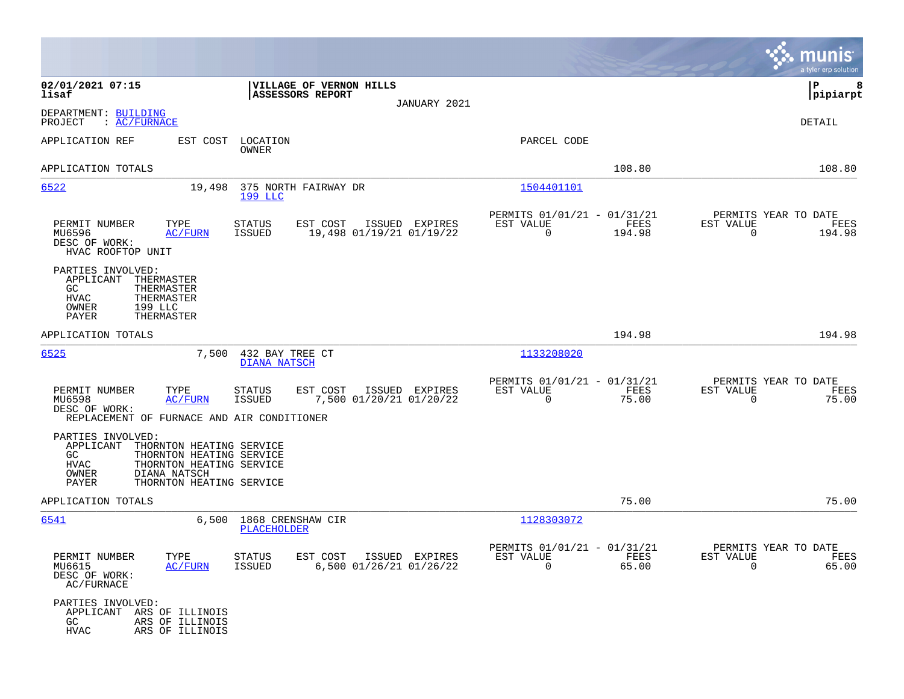|                                                                                                                                                                                                 |                                                                                          |                                                                             | munis<br>a tyler erp solution                                      |
|-------------------------------------------------------------------------------------------------------------------------------------------------------------------------------------------------|------------------------------------------------------------------------------------------|-----------------------------------------------------------------------------|--------------------------------------------------------------------|
| 02/01/2021 07:15<br>lisaf                                                                                                                                                                       | VILLAGE OF VERNON HILLS<br>ASSESSORS REPORT<br>JANUARY 2021                              |                                                                             | P<br>8<br> pipiarpt                                                |
| DEPARTMENT: BUILDING<br>PROJECT<br>: <u>AC/FURNACE</u>                                                                                                                                          |                                                                                          |                                                                             | DETAIL                                                             |
| APPLICATION REF<br>EST COST                                                                                                                                                                     | LOCATION<br>OWNER                                                                        | PARCEL CODE                                                                 |                                                                    |
| APPLICATION TOTALS                                                                                                                                                                              |                                                                                          | 108.80                                                                      | 108.80                                                             |
| 6522<br>19,498                                                                                                                                                                                  | 375 NORTH FAIRWAY DR<br>199 LLC                                                          | 1504401101                                                                  |                                                                    |
| PERMIT NUMBER<br>TYPE<br>MU6596<br><u>AC/FURN</u><br>DESC OF WORK:<br>HVAC ROOFTOP UNIT                                                                                                         | <b>STATUS</b><br>EST COST<br>ISSUED EXPIRES<br><b>ISSUED</b><br>19,498 01/19/21 01/19/22 | PERMITS 01/01/21 - 01/31/21<br>EST VALUE<br>FEES<br>$\mathbf 0$<br>194.98   | PERMITS YEAR TO DATE<br>EST VALUE<br>FEES<br>$\mathbf 0$<br>194.98 |
| PARTIES INVOLVED:<br>APPLICANT<br>THERMASTER<br>GC.<br>THERMASTER<br><b>HVAC</b><br>THERMASTER<br>OWNER<br>199 LLC<br>PAYER<br>THERMASTER                                                       |                                                                                          |                                                                             |                                                                    |
| APPLICATION TOTALS                                                                                                                                                                              |                                                                                          | 194.98                                                                      | 194.98                                                             |
| 6525<br>7,500                                                                                                                                                                                   | 432 BAY TREE CT<br>DIANA NATSCH                                                          | 1133208020                                                                  |                                                                    |
| TYPE<br>PERMIT NUMBER<br>MU6598<br><b>AC/FURN</b><br>DESC OF WORK:<br>REPLACEMENT OF FURNACE AND AIR CONDITIONER                                                                                | STATUS<br>EST COST<br>ISSUED EXPIRES<br><b>ISSUED</b><br>7,500 01/20/21 01/20/22         | PERMITS 01/01/21 - 01/31/21<br>FEES<br>EST VALUE<br>$\overline{0}$<br>75.00 | PERMITS YEAR TO DATE<br>EST VALUE<br>FEES<br>$\mathbf 0$<br>75.00  |
| PARTIES INVOLVED:<br>APPLICANT<br>THORNTON HEATING SERVICE<br>GC.<br>THORNTON HEATING SERVICE<br>HVAC<br>THORNTON HEATING SERVICE<br>OWNER<br>DIANA NATSCH<br>PAYER<br>THORNTON HEATING SERVICE |                                                                                          |                                                                             |                                                                    |
| APPLICATION TOTALS                                                                                                                                                                              |                                                                                          | 75.00                                                                       | 75.00                                                              |
| 6541<br>6,500                                                                                                                                                                                   | 1868 CRENSHAW CIR<br>PLACEHOLDER                                                         | 1128303072                                                                  |                                                                    |
| PERMIT NUMBER<br>TYPE<br>MU6615<br><b>AC/FURN</b><br>DESC OF WORK:<br>AC/FURNACE                                                                                                                | STATUS<br>EST COST ISSUED EXPIRES<br><b>ISSUED</b><br>6,500 01/26/21 01/26/22            | PERMITS 01/01/21 - 01/31/21<br>EST VALUE<br>FEES<br>$\Omega$<br>65.00       | PERMITS YEAR TO DATE<br>EST VALUE<br>FEES<br>$\Omega$<br>65.00     |
| PARTIES INVOLVED:<br>APPLICANT ARS OF ILLINOIS<br>GC<br>ARS OF ILLINOIS<br><b>HVAC</b><br>ARS OF ILLINOIS                                                                                       |                                                                                          |                                                                             |                                                                    |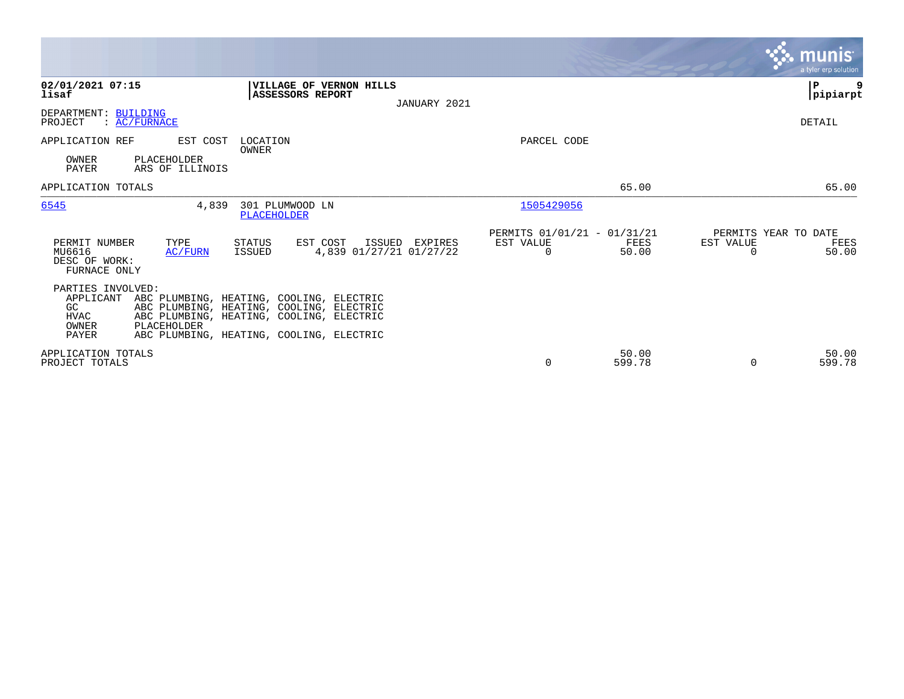|                                                                               |                                            |                                                                                                                                                                              |                |                                               |                 | <u>munis'</u><br>a tyler erp solution              |  |
|-------------------------------------------------------------------------------|--------------------------------------------|------------------------------------------------------------------------------------------------------------------------------------------------------------------------------|----------------|-----------------------------------------------|-----------------|----------------------------------------------------|--|
| 02/01/2021 07:15<br>lisaf                                                     |                                            | VILLAGE OF VERNON HILLS<br><b>ASSESSORS REPORT</b>                                                                                                                           | JANUARY 2021   |                                               |                 | ∣₽<br> pipiarpt                                    |  |
| DEPARTMENT: BUILDING<br>PROJECT                                               | $\colon$ AC/FURNACE                        |                                                                                                                                                                              |                |                                               |                 | DETAIL                                             |  |
| APPLICATION REF<br>OWNER<br><b>PAYER</b>                                      | EST COST<br>PLACEHOLDER<br>ARS OF ILLINOIS | LOCATION<br>OWNER                                                                                                                                                            |                | PARCEL CODE                                   |                 |                                                    |  |
| APPLICATION TOTALS                                                            |                                            |                                                                                                                                                                              |                |                                               | 65.00           | 65.00                                              |  |
| 6545                                                                          | 4,839                                      | 301 PLUMWOOD LN<br>PLACEHOLDER                                                                                                                                               |                | 1505429056                                    |                 |                                                    |  |
| PERMIT NUMBER<br>MU6616<br>DESC OF WORK:<br>FURNACE ONLY                      | TYPE<br>AC/FURN                            | STATUS<br>EST COST<br>4,839 01/27/21 01/27/22<br>ISSUED                                                                                                                      | ISSUED EXPIRES | PERMITS 01/01/21 - 01/31/21<br>EST VALUE<br>0 | FEES<br>50.00   | PERMITS YEAR TO DATE<br>EST VALUE<br>FEES<br>50.00 |  |
| PARTIES INVOLVED:<br>APPLICANT<br>GC.<br><b>HVAC</b><br>OWNER<br><b>PAYER</b> | PLACEHOLDER                                | ABC PLUMBING, HEATING, COOLING, ELECTRIC<br>ABC PLUMBING, HEATING, COOLING, ELECTRIC<br>ABC PLUMBING, HEATING, COOLING, ELECTRIC<br>ABC PLUMBING, HEATING, COOLING, ELECTRIC |                |                                               |                 |                                                    |  |
| APPLICATION TOTALS<br>PROJECT TOTALS                                          |                                            |                                                                                                                                                                              |                | 0                                             | 50.00<br>599.78 | 50.00<br>599.78<br>$\Omega$                        |  |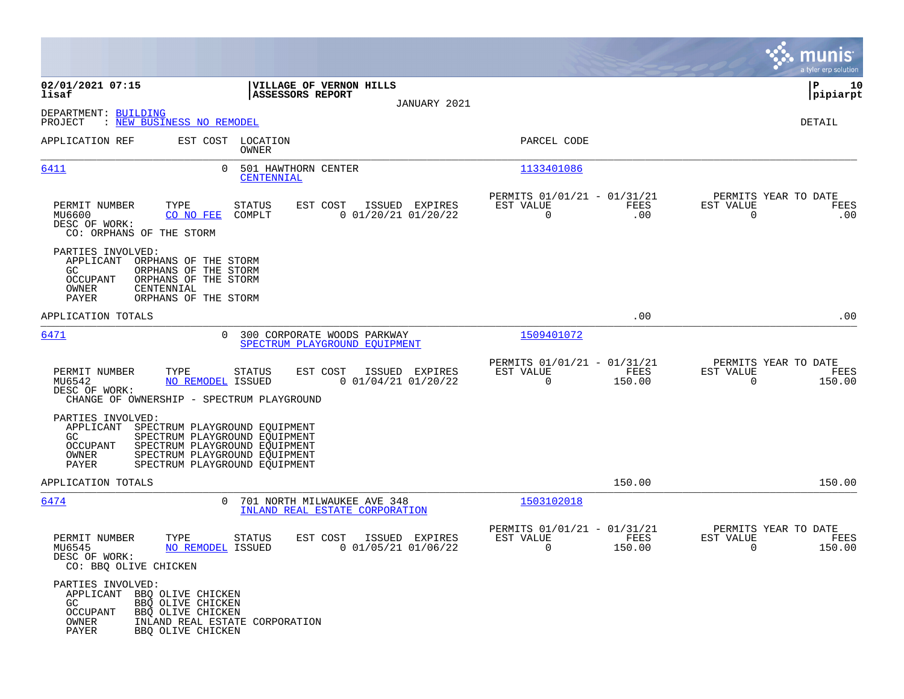|                                                                                                                                                                                                                                                 |                                                                                |                                                            |                | munis<br>a tyler erp solution                                   |
|-------------------------------------------------------------------------------------------------------------------------------------------------------------------------------------------------------------------------------------------------|--------------------------------------------------------------------------------|------------------------------------------------------------|----------------|-----------------------------------------------------------------|
| 02/01/2021 07:15<br>lisaf                                                                                                                                                                                                                       | VILLAGE OF VERNON HILLS<br>ASSESSORS REPORT                                    |                                                            |                | ΙP<br>10<br> pipiarpt                                           |
| DEPARTMENT: BUILDING<br>: NEW BUSINESS NO REMODEL<br>PROJECT                                                                                                                                                                                    |                                                                                | JANUARY 2021                                               |                | DETAIL                                                          |
| APPLICATION REF                                                                                                                                                                                                                                 | EST COST LOCATION<br>OWNER                                                     | PARCEL CODE                                                |                |                                                                 |
| $\Omega$<br>6411                                                                                                                                                                                                                                | 501 HAWTHORN CENTER<br>CENTENNIAL                                              | 1133401086                                                 |                |                                                                 |
| TYPE<br>PERMIT NUMBER<br>MU6600<br>CO NO FEE<br>DESC OF WORK:<br>CO: ORPHANS OF THE STORM                                                                                                                                                       | <b>STATUS</b><br>EST COST<br>ISSUED EXPIRES<br>$0$ 01/20/21 01/20/22<br>COMPLT | PERMITS 01/01/21 - 01/31/21<br>EST VALUE<br>$\overline{0}$ | FEES<br>.00    | PERMITS YEAR TO DATE<br>EST VALUE<br>FEES<br>$\Omega$<br>.00    |
| PARTIES INVOLVED:<br>APPLICANT<br>ORPHANS OF THE STORM<br>ORPHANS OF THE STORM<br>GC.<br>ORPHANS OF THE STORM<br><b>OCCUPANT</b><br>OWNER<br>CENTENNIAL<br><b>PAYER</b><br>ORPHANS OF THE STORM                                                 |                                                                                |                                                            |                |                                                                 |
| APPLICATION TOTALS                                                                                                                                                                                                                              |                                                                                |                                                            | .00            | .00                                                             |
| 6471<br>$\Omega$                                                                                                                                                                                                                                | 300 CORPORATE WOODS PARKWAY<br>SPECTRUM PLAYGROUND EQUIPMENT                   | 1509401072                                                 |                |                                                                 |
| TYPE<br>PERMIT NUMBER<br>MU6542<br><b>NO REMODEL ISSUED</b><br>DESC OF WORK:<br>CHANGE OF OWNERSHIP - SPECTRUM PLAYGROUND                                                                                                                       | STATUS<br>EST COST<br>ISSUED EXPIRES<br>$0$ 01/04/21 01/20/22                  | PERMITS 01/01/21 - 01/31/21<br>EST VALUE<br>$\overline{0}$ | FEES<br>150.00 | PERMITS YEAR TO DATE<br>EST VALUE<br>FEES<br>$\Omega$<br>150.00 |
| PARTIES INVOLVED:<br>APPLICANT<br>SPECTRUM PLAYGROUND EQUIPMENT<br>SPECTRUM PLAYGROUND EQUIPMENT<br>GC.<br><b>OCCUPANT</b><br>SPECTRUM PLAYGROUND EQUIPMENT<br>SPECTRUM PLAYGROUND EQUIPMENT<br>OWNER<br>PAYER<br>SPECTRUM PLAYGROUND EQUIPMENT |                                                                                |                                                            |                |                                                                 |
| APPLICATION TOTALS                                                                                                                                                                                                                              |                                                                                |                                                            | 150.00         | 150.00                                                          |
| 6474<br>$\Omega$                                                                                                                                                                                                                                | 701 NORTH MILWAUKEE AVE 348<br>INLAND REAL ESTATE CORPORATION                  | 1503102018                                                 |                |                                                                 |
| PERMIT NUMBER<br>TYPE<br>MU6545<br>NO REMODEL ISSUED<br>DESC OF WORK:<br>CO: BBQ OLIVE CHICKEN                                                                                                                                                  | STATUS<br>EST COST<br>ISSUED EXPIRES<br>$0$ 01/05/21 01/06/22                  | PERMITS 01/01/21 - 01/31/21<br>EST VALUE<br>0              | FEES<br>150.00 | PERMITS YEAR TO DATE<br>EST VALUE<br>FEES<br>0<br>150.00        |
| PARTIES INVOLVED:<br>APPLICANT BBQ OLIVE CHICKEN<br>GC<br>BBQ OLIVE CHICKEN<br><b>OCCUPANT</b><br>BBQ OLIVE CHICKEN<br>OWNER<br>INLAND REAL ESTATE CORPORATION<br>PAYER<br>BBQ OLIVE CHICKEN                                                    |                                                                                |                                                            |                |                                                                 |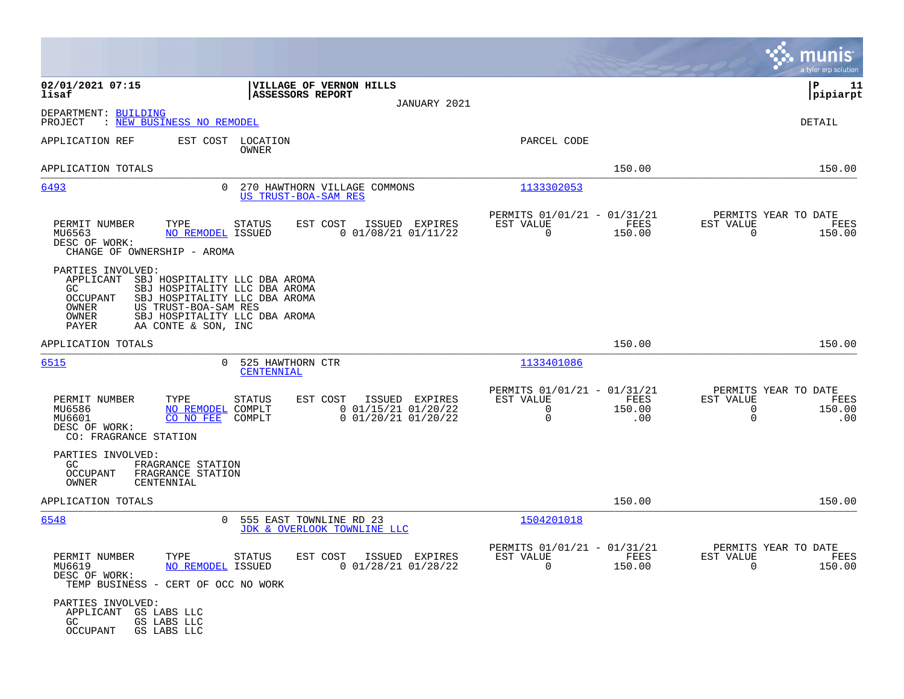|                                                                                                             |                                                                                                                                                                                 |                                                                             | munis<br>a tyler erp solution                                                  |
|-------------------------------------------------------------------------------------------------------------|---------------------------------------------------------------------------------------------------------------------------------------------------------------------------------|-----------------------------------------------------------------------------|--------------------------------------------------------------------------------|
| 02/01/2021 07:15<br>lisaf                                                                                   | VILLAGE OF VERNON HILLS<br>ASSESSORS REPORT                                                                                                                                     |                                                                             | ΙP<br>11<br> pipiarpt                                                          |
| DEPARTMENT: BUILDING<br>: NEW BUSINESS NO REMODEL<br>PROJECT                                                | JANUARY 2021                                                                                                                                                                    |                                                                             | <b>DETAIL</b>                                                                  |
| APPLICATION REF                                                                                             | EST COST LOCATION<br>OWNER                                                                                                                                                      | PARCEL CODE                                                                 |                                                                                |
| APPLICATION TOTALS                                                                                          |                                                                                                                                                                                 | 150.00                                                                      | 150.00                                                                         |
| 6493                                                                                                        | $\Omega$<br>270 HAWTHORN VILLAGE COMMONS<br>US TRUST-BOA-SAM RES                                                                                                                | 1133302053                                                                  |                                                                                |
| TYPE<br>PERMIT NUMBER<br>MU6563<br>DESC OF WORK:<br>CHANGE OF OWNERSHIP - AROMA                             | EST COST<br>ISSUED EXPIRES<br><b>STATUS</b><br>$0$ 01/08/21 01/11/22<br>NO REMODEL ISSUED                                                                                       | PERMITS 01/01/21 - 01/31/21<br>EST VALUE<br>FEES<br>$\mathbf 0$<br>150.00   | PERMITS YEAR TO DATE<br>EST VALUE<br>FEES<br>$\mathbf 0$<br>150.00             |
| PARTIES INVOLVED:<br>APPLICANT<br>GC.<br><b>OCCUPANT</b><br>OWNER<br>OWNER<br>PAYER                         | SBJ HOSPITALITY LLC DBA AROMA<br>SBJ HOSPITALITY LLC DBA AROMA<br>SBJ HOSPITALITY LLC DBA AROMA<br>US TRUST-BOA-SAM RES<br>SBJ HOSPITALITY LLC DBA AROMA<br>AA CONTE & SON, INC |                                                                             |                                                                                |
| APPLICATION TOTALS                                                                                          |                                                                                                                                                                                 | 150.00                                                                      | 150.00                                                                         |
| 6515                                                                                                        | 525 HAWTHORN CTR<br>$\Omega$<br>CENTENNIAL                                                                                                                                      | 1133401086                                                                  |                                                                                |
| PERMIT NUMBER<br>TYPE<br>MU6586<br>MU6601<br>DESC OF WORK:<br>CO: FRAGRANCE STATION                         | EST COST<br>ISSUED EXPIRES<br><b>STATUS</b><br>NO REMODEL<br>COMPLT<br>$0$ 01/15/21 01/20/22<br>$0$ 01/20/21 01/20/22<br>CO NO FEE<br>COMPLT                                    | PERMITS 01/01/21 - 01/31/21<br>EST VALUE<br>FEES<br>0<br>150.00<br>0<br>.00 | PERMITS YEAR TO DATE<br>EST VALUE<br>FEES<br>0<br>150.00<br>$\mathbf 0$<br>.00 |
| PARTIES INVOLVED:<br>GC<br>FRAGRANCE STATION<br><b>OCCUPANT</b><br>FRAGRANCE STATION<br>OWNER<br>CENTENNIAL |                                                                                                                                                                                 |                                                                             |                                                                                |
| APPLICATION TOTALS                                                                                          |                                                                                                                                                                                 | 150.00                                                                      | 150.00                                                                         |
| 6548                                                                                                        | $\Omega$<br>555 EAST TOWNLINE RD 23<br>JDK & OVERLOOK TOWNLINE LLC                                                                                                              | 1504201018                                                                  |                                                                                |
| PERMIT NUMBER<br>TYPE<br>MU6619<br>DESC OF WORK:<br>TEMP BUSINESS - CERT OF OCC NO WORK                     | <b>STATUS</b><br>EST COST<br>ISSUED EXPIRES<br><b>NO REMODEL ISSUED</b><br>$0$ 01/28/21 01/28/22                                                                                | PERMITS 01/01/21 - 01/31/21<br>EST VALUE<br>FEES<br>$\Omega$<br>150.00      | PERMITS YEAR TO DATE<br>EST VALUE<br>FEES<br>$\Omega$<br>150.00                |
| PARTIES INVOLVED:<br>APPLICANT<br>GS LABS LLC<br>GS LABS LLC<br>GC.<br>OCCUPANT<br>GS LABS LLC              |                                                                                                                                                                                 |                                                                             |                                                                                |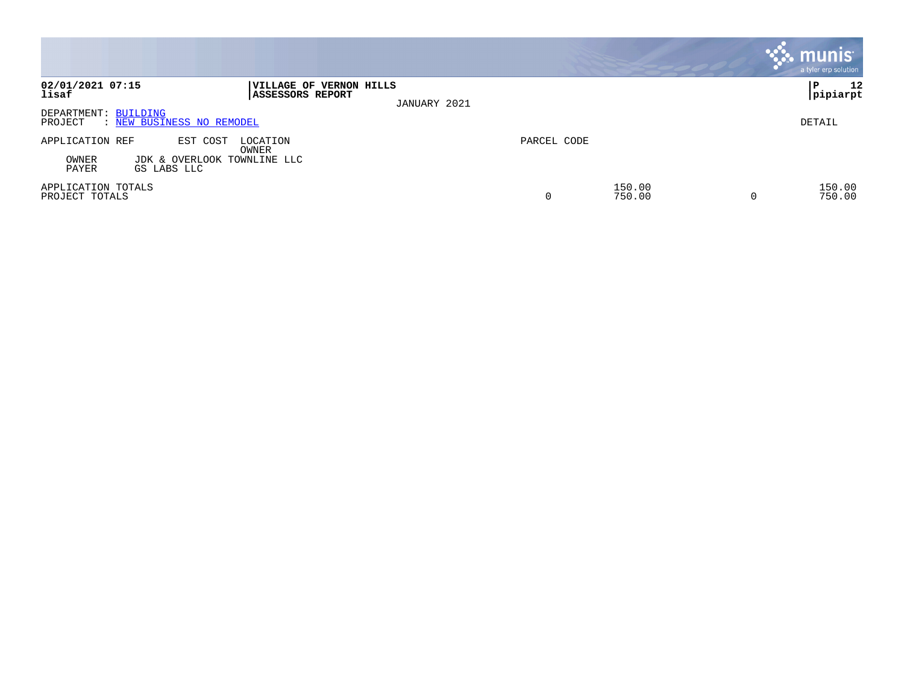|                                      |                                                        |                                                            |              |             |                  | <b>munis</b><br>a tyler erp solution |
|--------------------------------------|--------------------------------------------------------|------------------------------------------------------------|--------------|-------------|------------------|--------------------------------------|
| 02/01/2021 07:15<br>lisaf            |                                                        | <b> VILLAGE OF VERNON HILLS</b><br><b>ASSESSORS REPORT</b> | JANUARY 2021 |             |                  | 12<br>l P<br> pipiarpt               |
| DEPARTMENT: BUILDING<br>PROJECT      | : NEW BUSINESS NO REMODEL                              |                                                            |              |             |                  | DETAIL                               |
| APPLICATION REF<br>OWNER<br>PAYER    | EST COST<br>JDK & OVERLOOK TOWNLINE LLC<br>GS LABS LLC | LOCATION<br>OWNER                                          |              | PARCEL CODE |                  |                                      |
| APPLICATION TOTALS<br>PROJECT TOTALS |                                                        |                                                            |              | 0           | 150.00<br>750.00 | 150.00<br>750.00                     |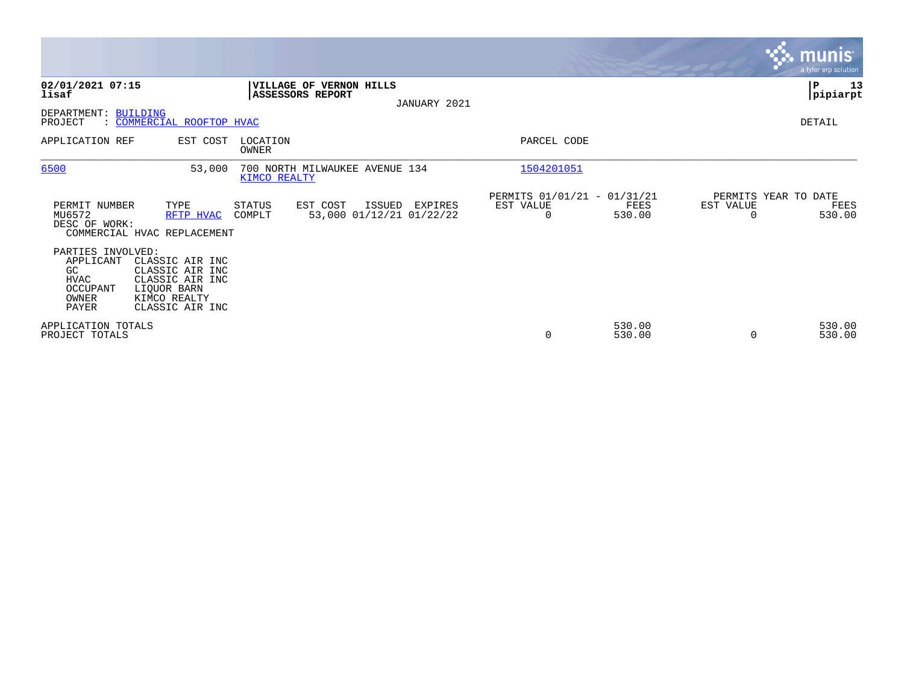|                                                                                   |                                                                                                         |                                                |                                    |              |                                               |                  |           | <b>munis</b><br>a tyler erp solution   |
|-----------------------------------------------------------------------------------|---------------------------------------------------------------------------------------------------------|------------------------------------------------|------------------------------------|--------------|-----------------------------------------------|------------------|-----------|----------------------------------------|
| 02/01/2021 07:15<br>lisaf                                                         |                                                                                                         | VILLAGE OF VERNON HILLS<br>ASSESSORS REPORT    |                                    | JANUARY 2021 |                                               |                  |           | ∣P<br>13<br> pipiarpt                  |
| DEPARTMENT: BUILDING<br>PROJECT                                                   | : COMMERCIAL ROOFTOP HVAC                                                                               |                                                |                                    |              |                                               |                  |           | DETAIL                                 |
| APPLICATION REF                                                                   | EST COST                                                                                                | LOCATION<br><b>OWNER</b>                       |                                    |              | PARCEL CODE                                   |                  |           |                                        |
| 6500                                                                              | 53,000                                                                                                  | 700 NORTH MILWAUKEE AVENUE 134<br>KIMCO REALTY |                                    |              | 1504201051                                    |                  |           |                                        |
| PERMIT NUMBER<br>MU6572<br>DESC OF WORK:                                          | TYPE<br>RFTP HVAC<br>COMMERCIAL HVAC REPLACEMENT                                                        | EST COST<br>STATUS<br>COMPLT                   | ISSUED<br>53,000 01/12/21 01/22/22 | EXPIRES      | PERMITS 01/01/21 - 01/31/21<br>EST VALUE<br>0 | FEES<br>530.00   | EST VALUE | PERMITS YEAR TO DATE<br>FEES<br>530.00 |
| PARTIES INVOLVED:<br>APPLICANT<br>GC<br>HVAC<br><b>OCCUPANT</b><br>OWNER<br>PAYER | CLASSIC AIR INC<br>CLASSIC AIR INC<br>CLASSIC AIR INC<br>LIQUOR BARN<br>KIMCO REALTY<br>CLASSIC AIR INC |                                                |                                    |              |                                               |                  |           |                                        |
| APPLICATION TOTALS<br>PROJECT TOTALS                                              |                                                                                                         |                                                |                                    |              | 0                                             | 530.00<br>530.00 | $\Omega$  | 530.00<br>530.00                       |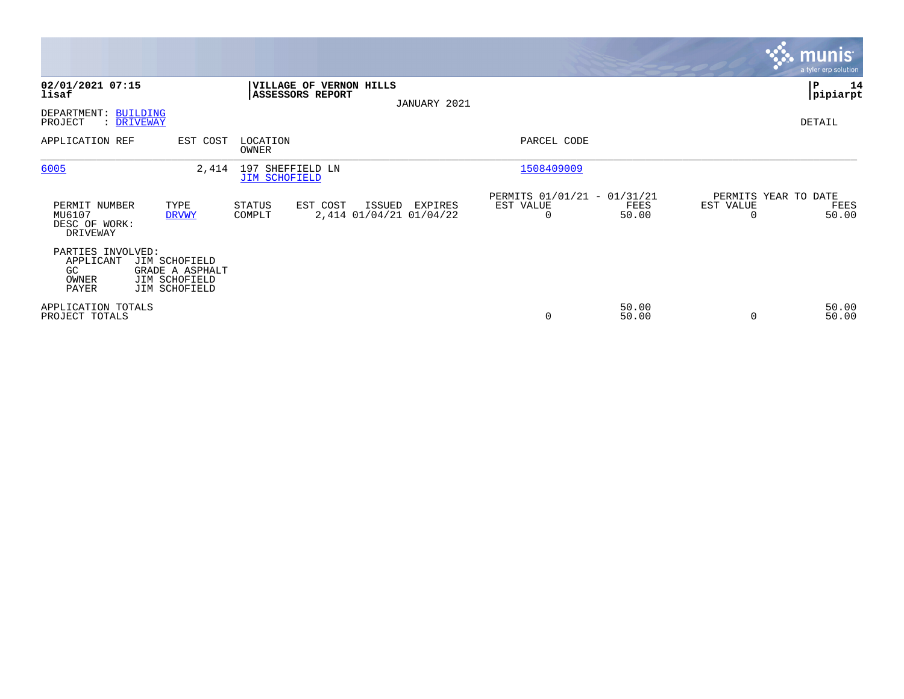|                                                        |                                                                    |                                             |                                              |                                               |                |           | <b>munis</b><br>a tyler erp solution  |
|--------------------------------------------------------|--------------------------------------------------------------------|---------------------------------------------|----------------------------------------------|-----------------------------------------------|----------------|-----------|---------------------------------------|
| 02/01/2021 07:15<br>lisaf                              |                                                                    | VILLAGE OF VERNON HILLS<br>ASSESSORS REPORT | JANUARY 2021                                 |                                               |                |           | P<br>14<br> pipiarpt                  |
| DEPARTMENT:<br>PROJECT                                 | <b>BUILDING</b><br>: DRIVEWAY                                      |                                             |                                              |                                               |                |           | DETAIL                                |
| APPLICATION REF                                        | EST COST                                                           | LOCATION<br>OWNER                           |                                              | PARCEL CODE                                   |                |           |                                       |
| 6005                                                   | 2,414                                                              | 197 SHEFFIELD LN<br><b>JIM SCHOFIELD</b>    |                                              | 1508409009                                    |                |           |                                       |
| PERMIT NUMBER<br>MU6107<br>DESC OF WORK:<br>DRIVEWAY   | TYPE<br><b>DRVWY</b>                                               | STATUS<br>EST COST<br>COMPLT                | ISSUED<br>EXPIRES<br>2,414 01/04/21 01/04/22 | PERMITS 01/01/21 - 01/31/21<br>EST VALUE<br>0 | FEES<br>50.00  | EST VALUE | PERMITS YEAR TO DATE<br>FEES<br>50.00 |
| PARTIES INVOLVED:<br>APPLICANT<br>GC<br>OWNER<br>PAYER | JIM SCHOFIELD<br>GRADE A ASPHALT<br>JIM SCHOFIELD<br>JIM SCHOFIELD |                                             |                                              |                                               |                |           |                                       |
| APPLICATION TOTALS<br>PROJECT TOTALS                   |                                                                    |                                             |                                              | $\mathbf 0$                                   | 50.00<br>50.00 |           | 50.00<br>50.00                        |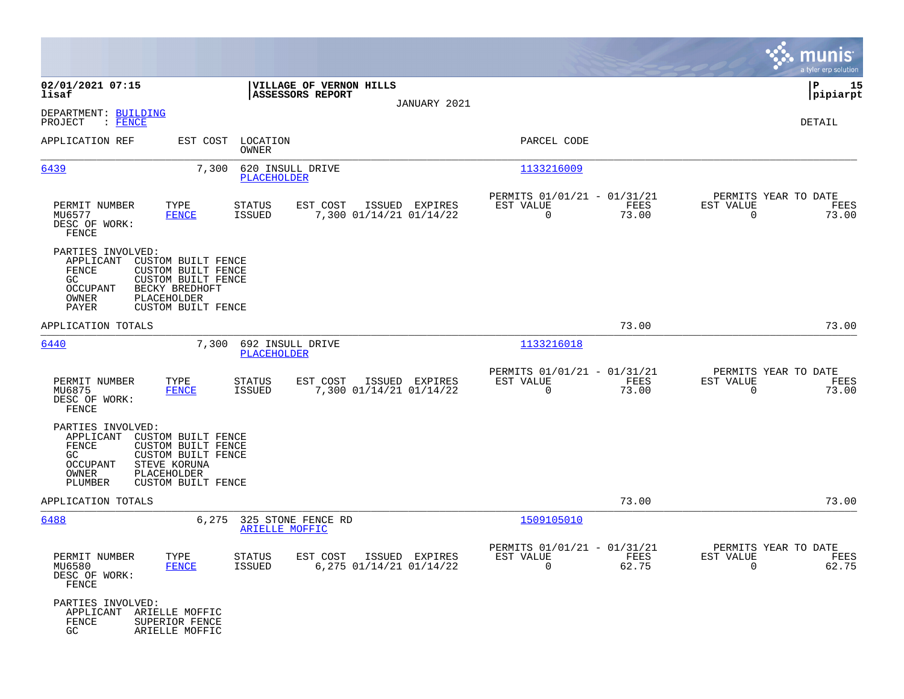|                                                                                                                                                                                                                     |                                                                                  |                                                                          | munis<br>a tyler erp solution                                     |
|---------------------------------------------------------------------------------------------------------------------------------------------------------------------------------------------------------------------|----------------------------------------------------------------------------------|--------------------------------------------------------------------------|-------------------------------------------------------------------|
| 02/01/2021 07:15<br>lisaf                                                                                                                                                                                           | VILLAGE OF VERNON HILLS<br>ASSESSORS REPORT                                      |                                                                          | P<br>15<br> pipiarpt                                              |
| DEPARTMENT: BUILDING<br>PROJECT<br>: FENCE                                                                                                                                                                          | JANUARY 2021                                                                     |                                                                          | DETAIL                                                            |
| APPLICATION REF<br>EST COST                                                                                                                                                                                         | LOCATION<br>OWNER                                                                | PARCEL CODE                                                              |                                                                   |
| 7,300<br>6439                                                                                                                                                                                                       | 620 INSULL DRIVE<br><b>PLACEHOLDER</b>                                           | 1133216009                                                               |                                                                   |
| TYPE<br>PERMIT NUMBER<br>MU6577<br><b>FENCE</b><br>DESC OF WORK:<br>FENCE                                                                                                                                           | EST COST<br>ISSUED EXPIRES<br>STATUS<br>7,300 01/14/21 01/14/22<br>ISSUED        | PERMITS 01/01/21 - 01/31/21<br>EST VALUE<br>FEES<br>0<br>73.00           | PERMITS YEAR TO DATE<br>EST VALUE<br>FEES<br>$\mathbf 0$<br>73.00 |
| PARTIES INVOLVED:<br>APPLICANT<br>CUSTOM BUILT FENCE<br>FENCE<br><b>CUSTOM BUILT FENCE</b><br>GC.<br><b>CUSTOM BUILT FENCE</b><br>OCCUPANT<br>BECKY BREDHOFT<br>OWNER<br>PLACEHOLDER<br>PAYER<br>CUSTOM BUILT FENCE |                                                                                  |                                                                          |                                                                   |
| APPLICATION TOTALS                                                                                                                                                                                                  |                                                                                  | 73.00                                                                    | 73.00                                                             |
| 6440<br>7,300                                                                                                                                                                                                       | 692 INSULL DRIVE<br>PLACEHOLDER                                                  | 1133216018                                                               |                                                                   |
| PERMIT NUMBER<br>TYPE<br>MU6875<br><b>FENCE</b><br>DESC OF WORK:<br>FENCE                                                                                                                                           | EST COST<br>ISSUED EXPIRES<br>STATUS<br><b>ISSUED</b><br>7,300 01/14/21 01/14/22 | PERMITS 01/01/21 - 01/31/21<br>EST VALUE<br>FEES<br>$\mathbf 0$<br>73.00 | PERMITS YEAR TO DATE<br>EST VALUE<br>FEES<br>73.00<br>$\mathbf 0$ |
| PARTIES INVOLVED:<br>APPLICANT<br>CUSTOM BUILT FENCE<br>FENCE<br>CUSTOM BUILT FENCE<br>GC<br>CUSTOM BUILT FENCE<br>OCCUPANT<br>STEVE KORUNA<br>OWNER<br>PLACEHOLDER<br>PLUMBER<br>CUSTOM BUILT FENCE                |                                                                                  |                                                                          |                                                                   |
| APPLICATION TOTALS                                                                                                                                                                                                  |                                                                                  | 73.00                                                                    | 73.00                                                             |
| 6488<br>6,275                                                                                                                                                                                                       | 325 STONE FENCE RD<br>ARIELLE MOFFIC                                             | 1509105010                                                               |                                                                   |
| PERMIT NUMBER<br>TYPE<br>MU6580<br>FENCE<br>DESC OF WORK:<br>FENCE                                                                                                                                                  | STATUS<br>EST COST ISSUED EXPIRES<br>ISSUED<br>6,275 01/14/21 01/14/22           | PERMITS 01/01/21 - 01/31/21<br>EST VALUE<br>FEES<br>$\Omega$<br>62.75    | PERMITS YEAR TO DATE<br>EST VALUE<br>FEES<br>$\Omega$<br>62.75    |
| PARTIES INVOLVED:<br>APPLICANT<br>ARIELLE MOFFIC<br>FENCE<br>SUPERIOR FENCE<br>GC<br>ARIELLE MOFFIC                                                                                                                 |                                                                                  |                                                                          |                                                                   |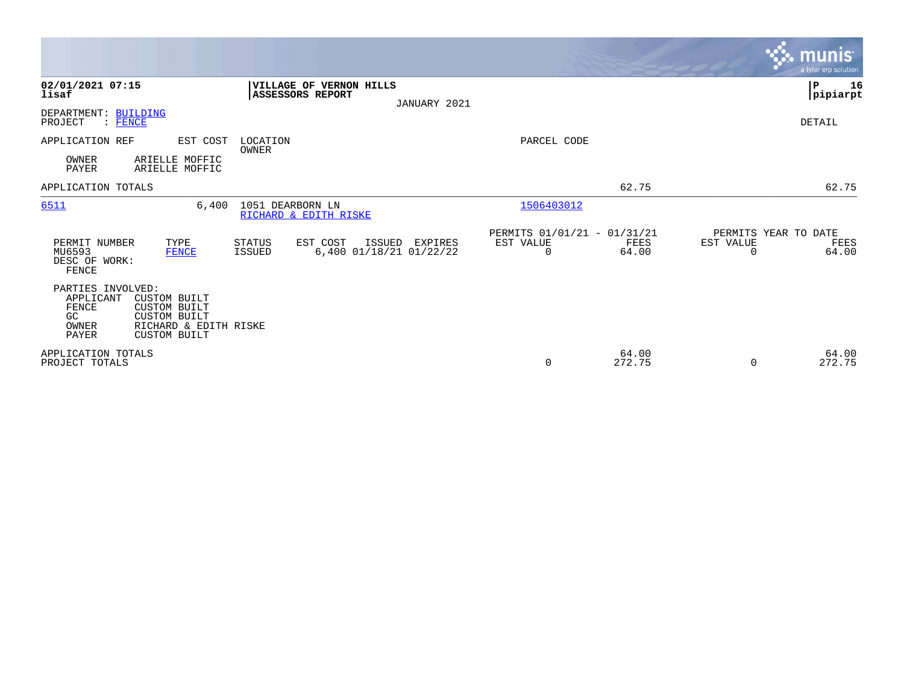|                                                                  |                                                                                                                   |                                             |                                              |                                               |                 |                       | <b>munis</b><br>a tyler erp solution  |
|------------------------------------------------------------------|-------------------------------------------------------------------------------------------------------------------|---------------------------------------------|----------------------------------------------|-----------------------------------------------|-----------------|-----------------------|---------------------------------------|
| 02/01/2021 07:15<br>lisaf<br>DEPARTMENT: BUILDING                |                                                                                                                   | VILLAGE OF VERNON HILLS<br>ASSESSORS REPORT | JANUARY 2021                                 |                                               |                 |                       | $\mathbf P$<br>16<br> pipiarpt        |
| PROJECT<br>$:$ FENCE                                             |                                                                                                                   |                                             |                                              |                                               |                 |                       | DETAIL                                |
| APPLICATION REF<br>OWNER<br><b>PAYER</b>                         | EST COST<br>ARIELLE MOFFIC<br>ARIELLE MOFFIC                                                                      | LOCATION<br><b>OWNER</b>                    |                                              | PARCEL CODE                                   |                 |                       |                                       |
| APPLICATION TOTALS                                               |                                                                                                                   |                                             |                                              |                                               | 62.75           |                       | 62.75                                 |
| 6511                                                             | 6.400                                                                                                             | 1051 DEARBORN LN<br>RICHARD & EDITH RISKE   |                                              | 1506403012                                    |                 |                       |                                       |
| PERMIT NUMBER<br>MU6593<br>DESC OF WORK:<br>FENCE                | TYPE<br><b>FENCE</b>                                                                                              | STATUS<br>EST COST<br><b>ISSUED</b>         | ISSUED<br>EXPIRES<br>6,400 01/18/21 01/22/22 | PERMITS 01/01/21 - 01/31/21<br>EST VALUE<br>0 | FEES<br>64.00   | EST VALUE<br>$\Omega$ | PERMITS YEAR TO DATE<br>FEES<br>64.00 |
| PARTIES INVOLVED:<br>APPLICANT<br>FENCE<br>GC.<br>OWNER<br>PAYER | <b>CUSTOM BUILT</b><br><b>CUSTOM BUILT</b><br><b>CUSTOM BUILT</b><br>RICHARD & EDITH RISKE<br><b>CUSTOM BUILT</b> |                                             |                                              |                                               |                 |                       |                                       |
| APPLICATION TOTALS<br>PROJECT TOTALS                             |                                                                                                                   |                                             |                                              | 0                                             | 64.00<br>272.75 | $\Omega$              | 64.00<br>272.75                       |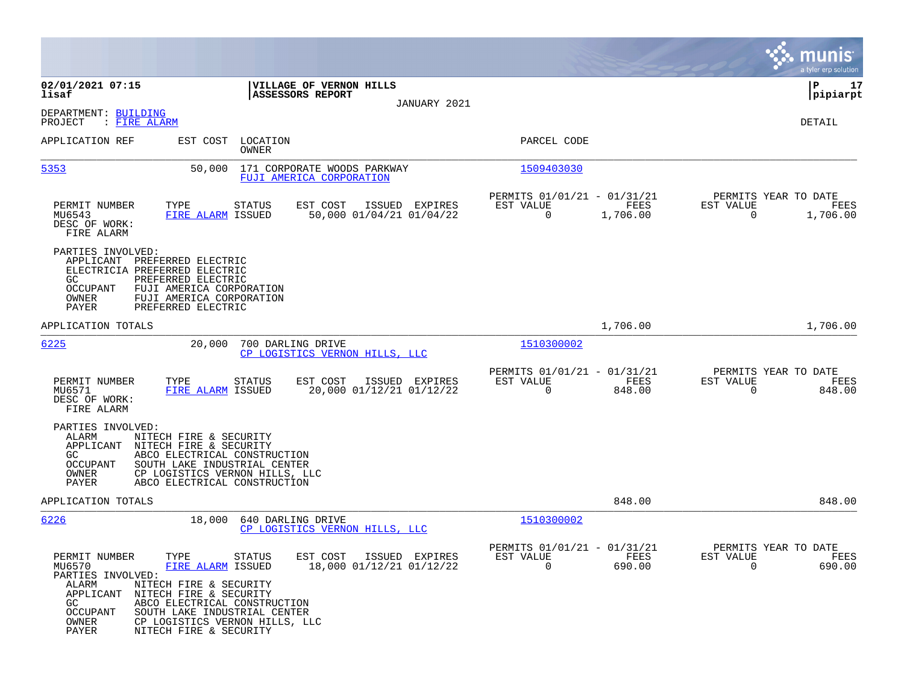|                                                                                                                                                                                                                                                                                                                                                                                          |                                                                          | munis<br>a tyler erp solution                                     |
|------------------------------------------------------------------------------------------------------------------------------------------------------------------------------------------------------------------------------------------------------------------------------------------------------------------------------------------------------------------------------------------|--------------------------------------------------------------------------|-------------------------------------------------------------------|
| 02/01/2021 07:15<br>VILLAGE OF VERNON HILLS<br>ASSESSORS REPORT<br>lisaf<br>JANUARY 2021                                                                                                                                                                                                                                                                                                 |                                                                          | ΙP<br>17<br> pipiarpt                                             |
| DEPARTMENT: BUILDING<br>: FIRE ALARM<br>PROJECT                                                                                                                                                                                                                                                                                                                                          |                                                                          | DETAIL                                                            |
| APPLICATION REF<br>EST COST<br>LOCATION<br><b>OWNER</b>                                                                                                                                                                                                                                                                                                                                  | PARCEL CODE                                                              |                                                                   |
| 5353<br>50,000<br>171 CORPORATE WOODS PARKWAY<br>FUJI AMERICA CORPORATION                                                                                                                                                                                                                                                                                                                | 1509403030                                                               |                                                                   |
| PERMIT NUMBER<br>TYPE<br>EST COST<br>ISSUED EXPIRES<br><b>STATUS</b><br>MU6543<br>FIRE ALARM ISSUED<br>50,000 01/04/21 01/04/22<br>DESC OF WORK:<br>FIRE ALARM                                                                                                                                                                                                                           | PERMITS 01/01/21 - 01/31/21<br>EST VALUE<br>FEES<br>$\Omega$<br>1,706.00 | PERMITS YEAR TO DATE<br>EST VALUE<br>FEES<br>$\Omega$<br>1,706.00 |
| PARTIES INVOLVED:<br>APPLICANT<br>PREFERRED ELECTRIC<br>ELECTRICIA PREFERRED ELECTRIC<br>GC.<br>PREFERRED ELECTRIC<br>OCCUPANT<br>FUJI AMERICA CORPORATION<br>OWNER<br>FUJI AMERICA CORPORATION<br>PAYER<br>PREFERRED ELECTRIC                                                                                                                                                           |                                                                          |                                                                   |
| APPLICATION TOTALS                                                                                                                                                                                                                                                                                                                                                                       | 1,706.00                                                                 | 1,706.00                                                          |
| 6225<br>20,000<br>700 DARLING DRIVE<br>CP LOGISTICS VERNON HILLS, LLC                                                                                                                                                                                                                                                                                                                    | 1510300002                                                               |                                                                   |
| PERMIT NUMBER<br>TYPE<br>EST COST<br>ISSUED EXPIRES<br>STATUS<br>20,000 01/12/21 01/12/22<br>MU6571<br>FIRE ALARM ISSUED<br>DESC OF WORK:<br>FIRE ALARM                                                                                                                                                                                                                                  | PERMITS 01/01/21 - 01/31/21<br>EST VALUE<br>FEES<br>0<br>848.00          | PERMITS YEAR TO DATE<br>EST VALUE<br>FEES<br>848.00<br>0          |
| PARTIES INVOLVED:<br>ALARM<br>NITECH FIRE & SECURITY<br>APPLICANT<br>NITECH FIRE & SECURITY<br>GC<br>ABCO ELECTRICAL CONSTRUCTION<br>OCCUPANT<br>SOUTH LAKE INDUSTRIAL CENTER<br>OWNER<br>CP LOGISTICS VERNON HILLS, LLC<br>PAYER<br>ABCO ELECTRICAL CONSTRUCTION                                                                                                                        |                                                                          |                                                                   |
| APPLICATION TOTALS                                                                                                                                                                                                                                                                                                                                                                       | 848.00                                                                   | 848.00                                                            |
| 6226<br>18,000<br>640 DARLING DRIVE<br>CP LOGISTICS VERNON HILLS, LLC                                                                                                                                                                                                                                                                                                                    | 1510300002                                                               |                                                                   |
| PERMIT NUMBER<br>EST COST<br>TYPE<br>STATUS<br>ISSUED EXPIRES<br>FIRE ALARM ISSUED<br>18,000 01/12/21 01/12/22<br>MU6570<br>PARTIES INVOLVED:<br>ALARM<br>NITECH FIRE & SECURITY<br>APPLICANT<br>NITECH FIRE & SECURITY<br>GC.<br>ABCO ELECTRICAL CONSTRUCTION<br>SOUTH LAKE INDUSTRIAL CENTER<br>OCCUPANT<br>OWNER<br>CP LOGISTICS VERNON HILLS, LLC<br>PAYER<br>NITECH FIRE & SECURITY | PERMITS 01/01/21 - 01/31/21<br>EST VALUE<br>FEES<br>0<br>690.00          | PERMITS YEAR TO DATE<br>EST VALUE<br>FEES<br>690.00<br>0          |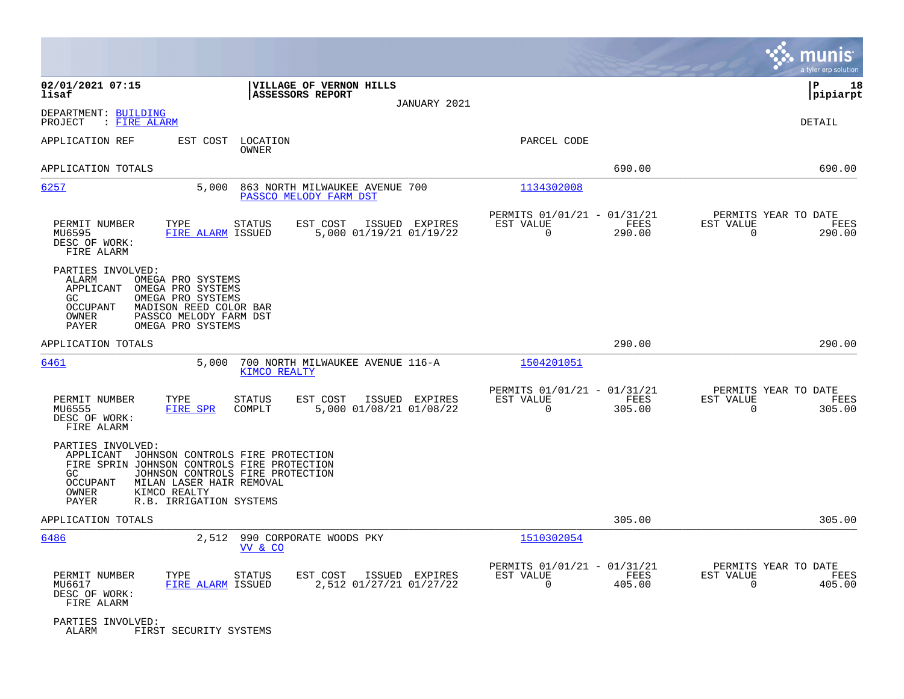|                                                                                                                                                                                                                            |                                                                                  |                                                         |                                            | munis<br>a tyler erp solution          |
|----------------------------------------------------------------------------------------------------------------------------------------------------------------------------------------------------------------------------|----------------------------------------------------------------------------------|---------------------------------------------------------|--------------------------------------------|----------------------------------------|
| 02/01/2021 07:15<br>lisaf                                                                                                                                                                                                  | VILLAGE OF VERNON HILLS<br><b>ASSESSORS REPORT</b>                               |                                                         |                                            | ΙP<br>18<br> pipiarpt                  |
| DEPARTMENT: BUILDING<br>: FIRE ALARM<br>PROJECT                                                                                                                                                                            |                                                                                  | JANUARY 2021                                            |                                            | DETAIL                                 |
| EST COST<br>APPLICATION REF                                                                                                                                                                                                | LOCATION<br>OWNER                                                                | PARCEL CODE                                             |                                            |                                        |
| APPLICATION TOTALS                                                                                                                                                                                                         |                                                                                  |                                                         | 690.00                                     | 690.00                                 |
| 6257<br>5,000                                                                                                                                                                                                              | 863 NORTH MILWAUKEE AVENUE 700<br>PASSCO MELODY FARM DST                         | 1134302008                                              |                                            |                                        |
| PERMIT NUMBER<br>TYPE<br>MU6595<br>FIRE ALARM ISSUED<br>DESC OF WORK:<br>FIRE ALARM                                                                                                                                        | <b>STATUS</b><br>EST COST<br>ISSUED EXPIRES<br>5,000 01/19/21 01/19/22           | PERMITS 01/01/21 - 01/31/21<br>EST VALUE<br>0           | FEES<br>EST VALUE<br>$\mathbf 0$<br>290.00 | PERMITS YEAR TO DATE<br>FEES<br>290.00 |
| PARTIES INVOLVED:<br>ALARM<br>OMEGA PRO SYSTEMS<br>OMEGA PRO SYSTEMS<br>APPLICANT<br>GC<br>OMEGA PRO SYSTEMS<br><b>OCCUPANT</b><br>MADISON REED COLOR BAR<br>OWNER<br>PASSCO MELODY FARM DST<br>PAYER<br>OMEGA PRO SYSTEMS |                                                                                  |                                                         |                                            |                                        |
| APPLICATION TOTALS                                                                                                                                                                                                         |                                                                                  |                                                         | 290.00                                     | 290.00                                 |
| 6461<br>5,000                                                                                                                                                                                                              | 700 NORTH MILWAUKEE AVENUE 116-A<br><b>KIMCO REALTY</b>                          | 1504201051                                              |                                            |                                        |
| PERMIT NUMBER<br>TYPE<br>MU6555<br>FIRE SPR<br>DESC OF WORK:<br>FIRE ALARM                                                                                                                                                 | EST COST<br><b>STATUS</b><br>ISSUED EXPIRES<br>5,000 01/08/21 01/08/22<br>COMPLT | PERMITS 01/01/21 - 01/31/21<br>EST VALUE<br>$\Omega$    | FEES<br>EST VALUE<br>305.00<br>$\Omega$    | PERMITS YEAR TO DATE<br>FEES<br>305.00 |
| PARTIES INVOLVED:<br>APPLICANT<br>FIRE SPRIN JOHNSON CONTROLS FIRE PROTECTION<br>GC<br>OCCUPANT<br>MILAN LASER HAIR REMOVAL<br>OWNER<br>KIMCO REALTY<br>PAYER<br>R.B. IRRIGATION SYSTEMS                                   | JOHNSON CONTROLS FIRE PROTECTION<br>JOHNSON CONTROLS FIRE PROTECTION             |                                                         |                                            |                                        |
| APPLICATION TOTALS                                                                                                                                                                                                         |                                                                                  |                                                         | 305.00                                     | 305.00                                 |
| 6486<br>2,512                                                                                                                                                                                                              | 990 CORPORATE WOODS PKY<br>VV & CO                                               | 1510302054                                              |                                            |                                        |
| PERMIT NUMBER<br>TYPE<br>FIRE ALARM ISSUED<br>MU6617<br>DESC OF WORK:<br>FIRE ALARM                                                                                                                                        | EST COST<br>STATUS<br>ISSUED EXPIRES<br>2,512 01/27/21 01/27/22                  | PERMITS 01/01/21 - 01/31/21<br>EST VALUE<br>$\mathbf 0$ | FEES<br>EST VALUE<br>405.00<br>$\mathbf 0$ | PERMITS YEAR TO DATE<br>FEES<br>405.00 |
| PARTIES INVOLVED:<br>ALARM<br>FIRST SECURITY SYSTEMS                                                                                                                                                                       |                                                                                  |                                                         |                                            |                                        |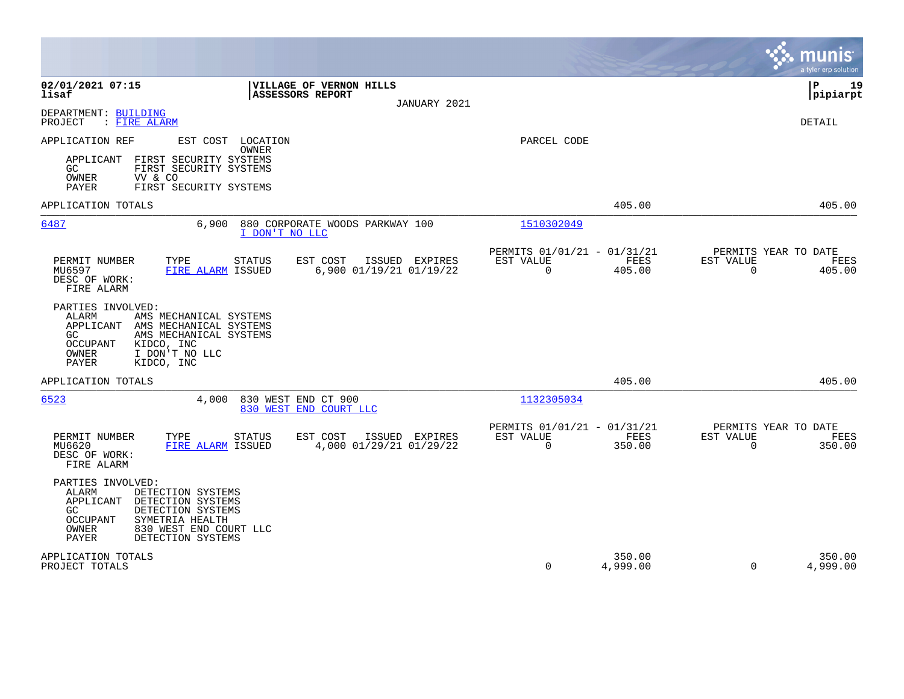|                                                                                                                                                                                                                             |                                           |                                                         |                    |                                                  | munis<br>a tyler erp solution |
|-----------------------------------------------------------------------------------------------------------------------------------------------------------------------------------------------------------------------------|-------------------------------------------|---------------------------------------------------------|--------------------|--------------------------------------------------|-------------------------------|
| 02/01/2021 07:15<br>VILLAGE OF VERNON HILLS<br>lisaf<br>ASSESSORS REPORT                                                                                                                                                    | JANUARY 2021                              |                                                         |                    |                                                  | 19<br>ΙP<br> pipiarpt         |
| DEPARTMENT: BUILDING<br>PROJECT<br>: FIRE ALARM                                                                                                                                                                             |                                           |                                                         |                    |                                                  | DETAIL                        |
| APPLICATION REF<br>EST COST LOCATION<br>OWNER<br>APPLICANT<br>FIRST SECURITY SYSTEMS<br>GC.<br>FIRST SECURITY SYSTEMS<br>OWNER<br>VV & CO<br><b>PAYER</b><br>FIRST SECURITY SYSTEMS                                         |                                           | PARCEL CODE                                             |                    |                                                  |                               |
| APPLICATION TOTALS                                                                                                                                                                                                          |                                           |                                                         | 405.00             |                                                  | 405.00                        |
| 6487<br>6,900<br>880 CORPORATE WOODS PARKWAY 100<br>I DON'T NO LLC                                                                                                                                                          |                                           | 1510302049                                              |                    |                                                  |                               |
| PERMIT NUMBER<br>TYPE<br>EST COST<br>STATUS<br>MU6597<br>FIRE ALARM ISSUED<br>DESC OF WORK:<br>FIRE ALARM                                                                                                                   | ISSUED EXPIRES<br>6,900 01/19/21 01/19/22 | PERMITS 01/01/21 - 01/31/21<br>EST VALUE<br>$\mathbf 0$ | FEES<br>405.00     | PERMITS YEAR TO DATE<br>EST VALUE<br>$\mathbf 0$ | FEES<br>405.00                |
| PARTIES INVOLVED:<br>ALARM<br>AMS MECHANICAL SYSTEMS<br>APPLICANT AMS MECHANICAL SYSTEMS<br>AMS MECHANICAL SYSTEMS<br>GC<br>OCCUPANT<br>KIDCO, INC<br>OWNER<br>I DON'T NO LLC<br>PAYER<br>KIDCO, INC                        |                                           |                                                         |                    |                                                  |                               |
| APPLICATION TOTALS                                                                                                                                                                                                          |                                           |                                                         | 405.00             |                                                  | 405.00                        |
| 6523<br>4,000<br>830 WEST END CT 900<br>830 WEST END COURT LLC                                                                                                                                                              |                                           | 1132305034                                              |                    |                                                  |                               |
| PERMIT NUMBER<br>TYPE<br>STATUS<br>EST COST<br>MU6620<br>FIRE ALARM ISSUED<br>DESC OF WORK:<br>FIRE ALARM                                                                                                                   | ISSUED EXPIRES<br>4,000 01/29/21 01/29/22 | PERMITS 01/01/21 - 01/31/21<br>EST VALUE<br>$\mathbf 0$ | FEES<br>350.00     | PERMITS YEAR TO DATE<br>EST VALUE<br>$\Omega$    | FEES<br>350.00                |
| PARTIES INVOLVED:<br><b>ALARM</b><br>DETECTION SYSTEMS<br>APPLICANT<br>DETECTION SYSTEMS<br>DETECTION SYSTEMS<br>GC.<br>OCCUPANT<br>SYMETRIA HEALTH<br>OWNER<br>830 WEST END COURT LLC<br><b>PAYER</b><br>DETECTION SYSTEMS |                                           |                                                         |                    |                                                  |                               |
| APPLICATION TOTALS<br>PROJECT TOTALS                                                                                                                                                                                        |                                           | $\Omega$                                                | 350.00<br>4,999.00 | $\Omega$                                         | 350.00<br>4,999.00            |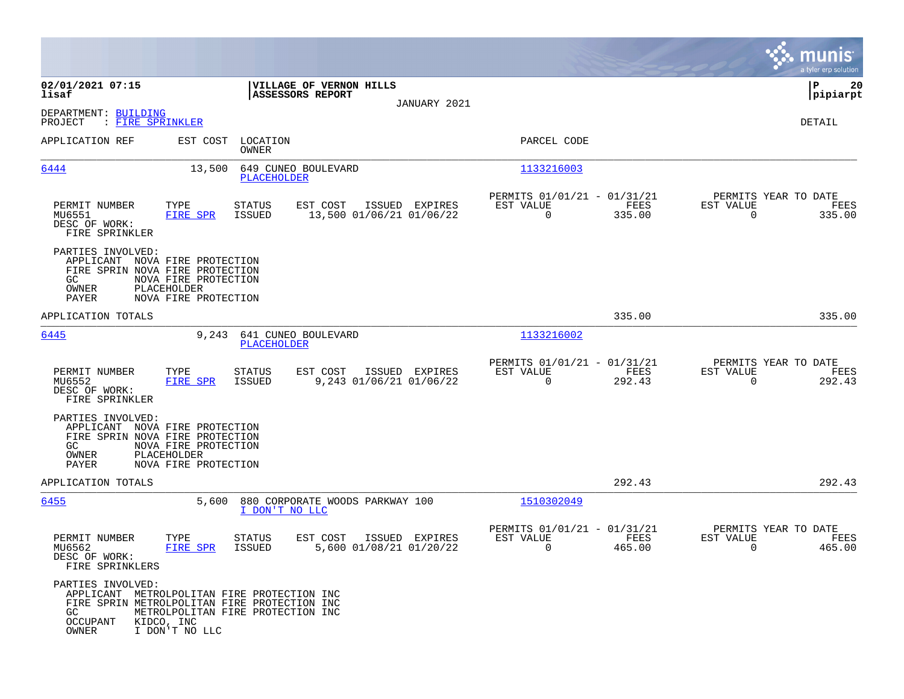|                                                                                                                                             |                                                                   |                         |                                                    |                |                                                      |                       |                                               | munis<br>a tyler erp solution |
|---------------------------------------------------------------------------------------------------------------------------------------------|-------------------------------------------------------------------|-------------------------|----------------------------------------------------|----------------|------------------------------------------------------|-----------------------|-----------------------------------------------|-------------------------------|
| 02/01/2021 07:15<br>lisaf                                                                                                                   |                                                                   |                         | VILLAGE OF VERNON HILLS<br><b>ASSESSORS REPORT</b> |                |                                                      |                       |                                               | 20<br>IΡ<br> pipiarpt         |
| DEPARTMENT: BUILDING<br>PROJECT<br>: FIRE SPRINKLER                                                                                         |                                                                   |                         |                                                    | JANUARY 2021   |                                                      |                       |                                               | DETAIL                        |
| APPLICATION REF                                                                                                                             | EST COST                                                          | LOCATION<br>OWNER       |                                                    |                | PARCEL CODE                                          |                       |                                               |                               |
| 6444                                                                                                                                        | 13,500                                                            | PLACEHOLDER             | 649 CUNEO BOULEVARD                                |                | 1133216003                                           |                       |                                               |                               |
| PERMIT NUMBER<br>MU6551<br>DESC OF WORK:<br>FIRE SPRINKLER                                                                                  | TYPE<br><b>FIRE SPR</b>                                           | STATUS<br>ISSUED        | EST COST<br>13,500 01/06/21 01/06/22               | ISSUED EXPIRES | PERMITS 01/01/21 - 01/31/21<br>EST VALUE<br>$\Omega$ | FEES<br>335.00        | PERMITS YEAR TO DATE<br>EST VALUE<br>$\Omega$ | FEES<br>335.00                |
| PARTIES INVOLVED:<br>APPLICANT NOVA FIRE PROTECTION<br>FIRE SPRIN NOVA FIRE PROTECTION<br>GC<br>OWNER<br>PAYER                              | NOVA FIRE PROTECTION<br>PLACEHOLDER<br>NOVA FIRE PROTECTION       |                         |                                                    |                |                                                      |                       |                                               |                               |
| APPLICATION TOTALS                                                                                                                          |                                                                   |                         |                                                    |                |                                                      | 335.00                |                                               | 335.00                        |
| 6445                                                                                                                                        | 9,243                                                             | <b>PLACEHOLDER</b>      | 641 CUNEO BOULEVARD                                |                | 1133216002                                           |                       |                                               |                               |
| PERMIT NUMBER<br>MU6552<br>DESC OF WORK:<br>FIRE SPRINKLER                                                                                  | TYPE<br><b>FIRE SPR</b>                                           | <b>STATUS</b><br>ISSUED | EST COST<br>9,243 01/06/21 01/06/22                | ISSUED EXPIRES | PERMITS 01/01/21 - 01/31/21<br>EST VALUE<br>$\Omega$ | FEES<br>292.43        | PERMITS YEAR TO DATE<br>EST VALUE<br>$\Omega$ | FEES<br>292.43                |
| PARTIES INVOLVED:<br>APPLICANT NOVA FIRE PROTECTION<br>FIRE SPRIN NOVA FIRE PROTECTION<br>GC<br>OWNER<br>PAYER                              | NOVA FIRE PROTECTION<br>PLACEHOLDER<br>NOVA FIRE PROTECTION       |                         |                                                    |                |                                                      |                       |                                               |                               |
| APPLICATION TOTALS                                                                                                                          |                                                                   |                         |                                                    |                |                                                      | 292.43                |                                               | 292.43                        |
| 6455                                                                                                                                        | 5,600                                                             | I DON'T NO LLC          | 880 CORPORATE WOODS PARKWAY 100                    |                | 1510302049                                           |                       |                                               |                               |
| PERMIT NUMBER<br>MU6562<br>DESC OF WORK:<br>FIRE SPRINKLERS                                                                                 | TYPE<br>FIRE SPR                                                  | STATUS<br><b>ISSUED</b> | EST COST<br>5,600 01/08/21 01/20/22                | ISSUED EXPIRES | PERMITS 01/01/21 - 01/31/21<br>EST VALUE<br>0        | <b>FEES</b><br>465.00 | PERMITS YEAR TO DATE<br>EST VALUE<br>0        | FEES<br>465.00                |
| PARTIES INVOLVED:<br>APPLICANT METROLPOLITAN FIRE PROTECTION INC<br>FIRE SPRIN METROLPOLITAN FIRE PROTECTION INC<br>GC<br>OCCUPANT<br>OWNER | METROLPOLITAN FIRE PROTECTION INC<br>KIDCO, INC<br>I DON'T NO LLC |                         |                                                    |                |                                                      |                       |                                               |                               |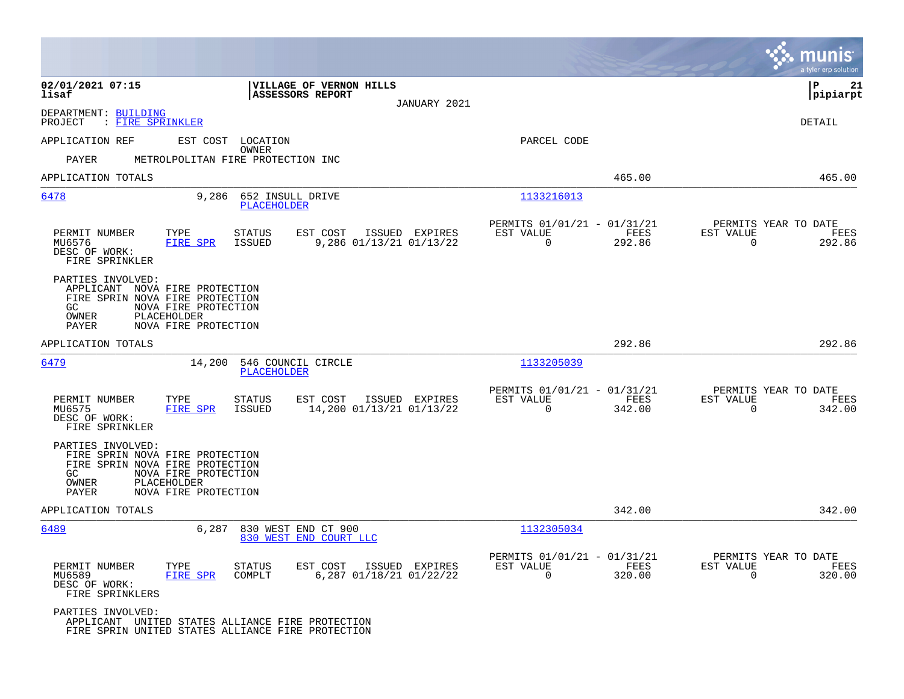|                                                                                                                                                                                | munis<br>a tyler erp solution                                                                                                                                     |
|--------------------------------------------------------------------------------------------------------------------------------------------------------------------------------|-------------------------------------------------------------------------------------------------------------------------------------------------------------------|
| VILLAGE OF VERNON HILLS<br>02/01/2021 07:15<br><b>ASSESSORS REPORT</b><br>lisaf                                                                                                | ΙP<br>21<br> pipiarpt<br>JANUARY 2021                                                                                                                             |
| DEPARTMENT: BUILDING<br>: FIRE SPRINKLER<br>PROJECT                                                                                                                            | DETAIL                                                                                                                                                            |
| APPLICATION REF<br>EST COST LOCATION                                                                                                                                           | PARCEL CODE                                                                                                                                                       |
| OWNER<br><b>PAYER</b><br>METROLPOLITAN FIRE PROTECTION INC                                                                                                                     |                                                                                                                                                                   |
| APPLICATION TOTALS                                                                                                                                                             | 465.00<br>465.00                                                                                                                                                  |
| 6478<br>9,286<br>652 INSULL DRIVE<br><b>PLACEHOLDER</b>                                                                                                                        | 1133216013                                                                                                                                                        |
| PERMIT NUMBER<br>TYPE<br>EST COST<br>STATUS<br>MU6576<br><b>FIRE SPR</b><br><b>ISSUED</b><br>9,286 01/13/21 01/13/22<br>DESC OF WORK:<br>FIRE SPRINKLER                        | PERMITS 01/01/21 - 01/31/21<br>PERMITS YEAR TO DATE<br>ISSUED EXPIRES<br>EST VALUE<br>FEES<br>EST VALUE<br>FEES<br>$\mathbf 0$<br>$\mathbf 0$<br>292.86<br>292.86 |
| PARTIES INVOLVED:<br>APPLICANT NOVA FIRE PROTECTION<br>FIRE SPRIN NOVA FIRE PROTECTION<br>NOVA FIRE PROTECTION<br>GC<br>PLACEHOLDER<br>OWNER<br>NOVA FIRE PROTECTION<br>PAYER  |                                                                                                                                                                   |
| APPLICATION TOTALS                                                                                                                                                             | 292.86<br>292.86                                                                                                                                                  |
| 6479<br>14,200<br>546 COUNCIL CIRCLE<br>PLACEHOLDER                                                                                                                            | 1133205039                                                                                                                                                        |
| PERMIT NUMBER<br>EST COST<br>TYPE<br>STATUS<br>14,200 01/13/21 01/13/22<br>MU6575<br>FIRE SPR<br><b>ISSUED</b><br>DESC OF WORK:<br>FIRE SPRINKLER                              | PERMITS 01/01/21 - 01/31/21<br>PERMITS YEAR TO DATE<br>ISSUED EXPIRES<br>EST VALUE<br>FEES<br>EST VALUE<br>FEES<br>$\Omega$<br>342.00<br>0<br>342.00              |
| PARTIES INVOLVED:<br>FIRE SPRIN NOVA FIRE PROTECTION<br>FIRE SPRIN NOVA FIRE PROTECTION<br>NOVA FIRE PROTECTION<br>GC<br>OWNER<br>PLACEHOLDER<br>NOVA FIRE PROTECTION<br>PAYER |                                                                                                                                                                   |
| APPLICATION TOTALS                                                                                                                                                             | 342.00<br>342.00                                                                                                                                                  |
| 6489<br>6,287<br>830 WEST END CT 900<br>830 WEST END COURT LLC                                                                                                                 | 1132305034                                                                                                                                                        |
| PERMIT NUMBER<br>EST COST<br>TYPE<br><b>STATUS</b><br>MU6589<br>FIRE SPR<br>COMPLT<br>6,287 01/18/21 01/22/22<br>DESC OF WORK:<br>FIRE SPRINKLERS                              | PERMITS 01/01/21 - 01/31/21<br>PERMITS YEAR TO DATE<br>EST VALUE<br>FEES<br>EST VALUE<br>ISSUED EXPIRES<br>FEES<br>$\mathbf 0$<br>320.00<br>$\mathbf 0$<br>320.00 |
| PARTIES INVOLVED:<br>APPLICANT UNITED STATES ALLIANCE FIRE PROTECTION<br>FIRE SPRIN UNITED STATES ALLIANCE FIRE PROTECTION                                                     |                                                                                                                                                                   |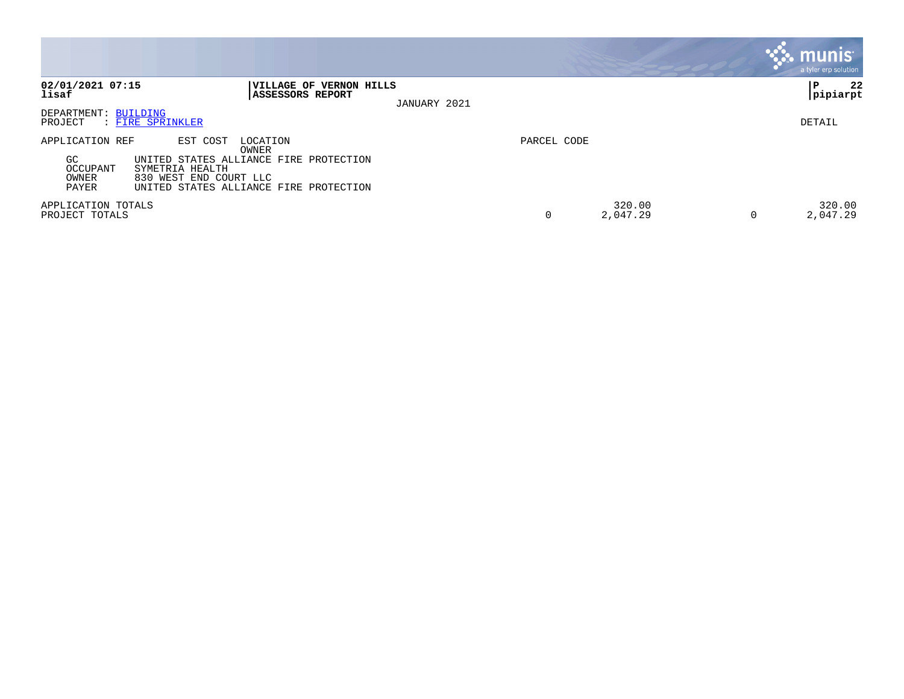|                                                      |                                                                                                                                                                |             |                    | munis<br>a tyler erp solution |
|------------------------------------------------------|----------------------------------------------------------------------------------------------------------------------------------------------------------------|-------------|--------------------|-------------------------------|
| 02/01/2021 07:15<br>lisaf                            | <b> VILLAGE OF VERNON HILLS</b><br><b>ASSESSORS REPORT</b><br>JANUARY 2021                                                                                     |             |                    | 22<br>ΙP<br> pipiarpt         |
| DEPARTMENT: BUILDING<br>PROJECT                      | : FIRE SPRINKLER                                                                                                                                               |             |                    | DETAIL                        |
| APPLICATION REF<br>GC.<br>OCCUPANT<br>OWNER<br>PAYER | EST COST<br>LOCATION<br>OWNER<br>UNITED STATES ALLIANCE FIRE PROTECTION<br>SYMETRIA HEALTH<br>830 WEST END COURT LLC<br>UNITED STATES ALLIANCE FIRE PROTECTION | PARCEL CODE |                    |                               |
| APPLICATION TOTALS<br>PROJECT TOTALS                 |                                                                                                                                                                |             | 320.00<br>2,047.29 | 320.00<br>2,047.29<br>0       |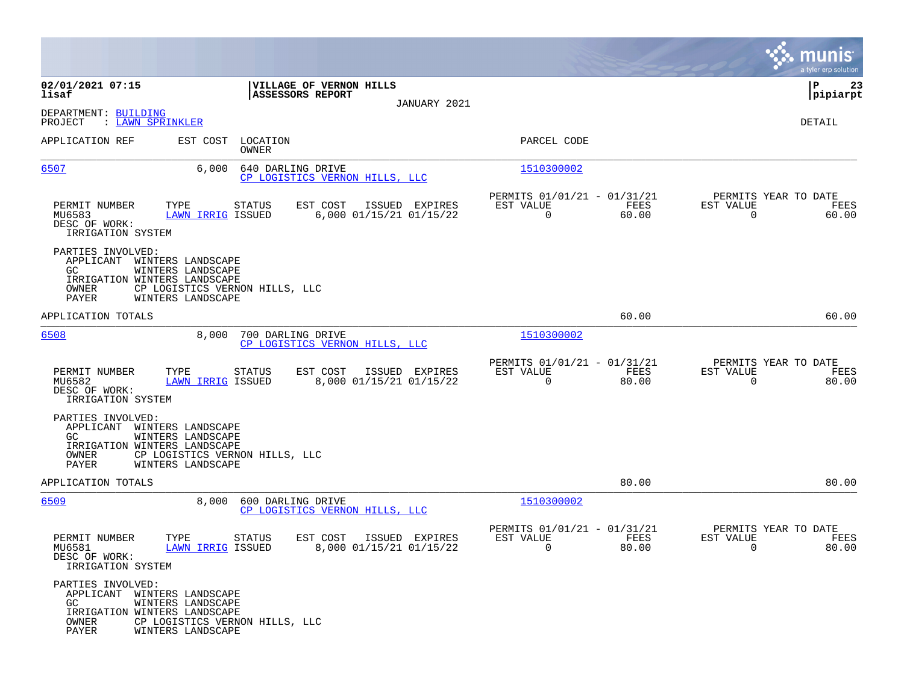|                                                                                                           |                                                                                               |                                                     |                |                                                            |               |                                               | munis<br>a tyler erp solution |
|-----------------------------------------------------------------------------------------------------------|-----------------------------------------------------------------------------------------------|-----------------------------------------------------|----------------|------------------------------------------------------------|---------------|-----------------------------------------------|-------------------------------|
| 02/01/2021 07:15<br>lisaf                                                                                 |                                                                                               | VILLAGE OF VERNON HILLS<br>ASSESSORS REPORT         |                |                                                            |               |                                               | 23<br>IΡ<br> pipiarpt         |
| DEPARTMENT: BUILDING<br>PROJECT<br>: LAWN SPRINKLER                                                       |                                                                                               |                                                     | JANUARY 2021   |                                                            |               |                                               | DETAIL                        |
| APPLICATION REF                                                                                           | LOCATION<br>EST COST<br>OWNER                                                                 |                                                     |                | PARCEL CODE                                                |               |                                               |                               |
| 6507                                                                                                      | 6,000                                                                                         | 640 DARLING DRIVE<br>CP LOGISTICS VERNON HILLS, LLC |                | 1510300002                                                 |               |                                               |                               |
| PERMIT NUMBER<br>TYPE<br>MU6583<br>DESC OF WORK:<br>IRRIGATION SYSTEM                                     | STATUS<br><b>LAWN IRRIG ISSUED</b>                                                            | EST COST<br>6,000 01/15/21 01/15/22                 | ISSUED EXPIRES | PERMITS 01/01/21 - 01/31/21<br>EST VALUE<br>$\overline{0}$ | FEES<br>60.00 | PERMITS YEAR TO DATE<br>EST VALUE<br>$\Omega$ | FEES<br>60.00                 |
| PARTIES INVOLVED:<br>APPLICANT<br>GC.<br>IRRIGATION WINTERS LANDSCAPE<br>OWNER<br>PAYER                   | WINTERS LANDSCAPE<br>WINTERS LANDSCAPE<br>CP LOGISTICS VERNON HILLS, LLC<br>WINTERS LANDSCAPE |                                                     |                |                                                            |               |                                               |                               |
| APPLICATION TOTALS                                                                                        |                                                                                               |                                                     |                |                                                            | 60.00         |                                               | 60.00                         |
| 6508                                                                                                      | 8,000                                                                                         | 700 DARLING DRIVE<br>CP LOGISTICS VERNON HILLS, LLC |                | 1510300002                                                 |               |                                               |                               |
| PERMIT NUMBER<br>TYPE<br>MU6582<br>DESC OF WORK:<br>IRRIGATION SYSTEM                                     | <b>STATUS</b><br><b>LAWN IRRIG ISSUED</b>                                                     | EST COST<br>8,000 01/15/21 01/15/22                 | ISSUED EXPIRES | PERMITS 01/01/21 - 01/31/21<br>EST VALUE<br>$\mathbf 0$    | FEES<br>80.00 | PERMITS YEAR TO DATE<br>EST VALUE<br>$\Omega$ | FEES<br>80.00                 |
| PARTIES INVOLVED:<br>APPLICANT WINTERS LANDSCAPE<br>GC.<br>IRRIGATION WINTERS LANDSCAPE<br>OWNER<br>PAYER | WINTERS LANDSCAPE<br>CP LOGISTICS VERNON HILLS, LLC<br>WINTERS LANDSCAPE                      |                                                     |                |                                                            |               |                                               |                               |
| APPLICATION TOTALS                                                                                        |                                                                                               |                                                     |                |                                                            | 80.00         |                                               | 80.00                         |
| 6509                                                                                                      | 8,000                                                                                         | 600 DARLING DRIVE<br>CP LOGISTICS VERNON HILLS, LLC |                | 1510300002                                                 |               |                                               |                               |
| PERMIT NUMBER<br>TYPE<br>MU6581<br>DESC OF WORK:<br>IRRIGATION SYSTEM                                     | STATUS<br>LAWN IRRIG ISSUED                                                                   | EST COST<br>8,000 01/15/21 01/15/22                 | ISSUED EXPIRES | PERMITS 01/01/21 - 01/31/21<br>EST VALUE<br>$\mathbf 0$    | FEES<br>80.00 | PERMITS YEAR TO DATE<br>EST VALUE<br>0        | FEES<br>80.00                 |
| PARTIES INVOLVED:<br>APPLICANT WINTERS LANDSCAPE<br>GC<br>IRRIGATION WINTERS LANDSCAPE<br>OWNER<br>PAYER  | WINTERS LANDSCAPE<br>CP LOGISTICS VERNON HILLS, LLC<br>WINTERS LANDSCAPE                      |                                                     |                |                                                            |               |                                               |                               |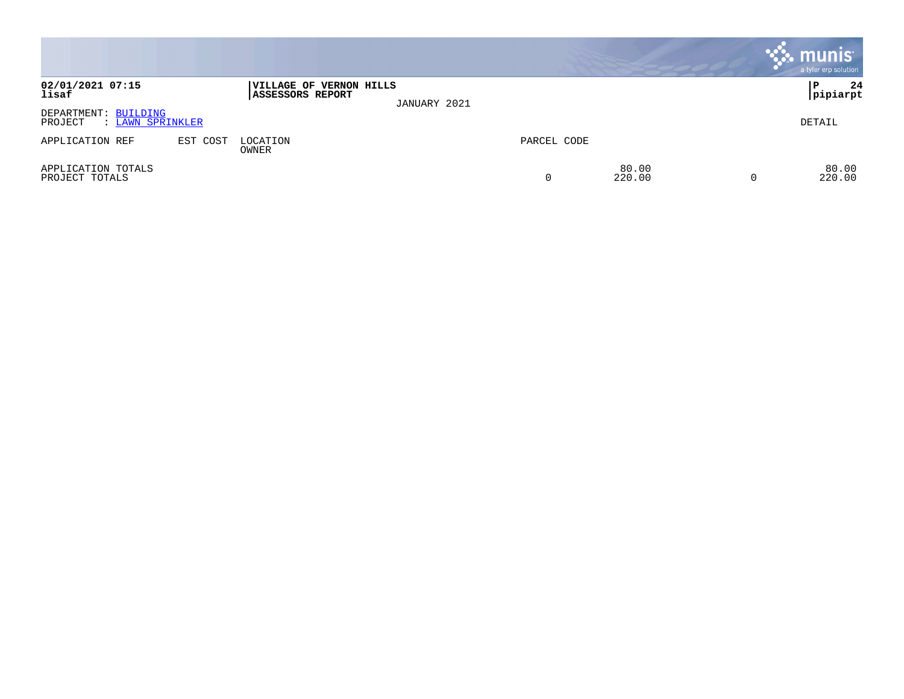|                                                     |          |                                                           |              |             |                 | <b>munis</b><br>a tyler erp solution |
|-----------------------------------------------------|----------|-----------------------------------------------------------|--------------|-------------|-----------------|--------------------------------------|
| 02/01/2021 07:15<br>lisaf                           |          | <b>VILLAGE OF VERNON HILLS</b><br><b>ASSESSORS REPORT</b> | JANUARY 2021 |             |                 | 24<br>P<br> pipiarpt                 |
| DEPARTMENT: BUILDING<br>PROJECT<br>: LAWN SPRINKLER |          |                                                           |              |             |                 | DETAIL                               |
| APPLICATION REF                                     | EST COST | LOCATION<br>OWNER                                         |              | PARCEL CODE |                 |                                      |
| APPLICATION TOTALS<br>PROJECT TOTALS                |          |                                                           |              | 0           | 80.00<br>220.00 | 80.00<br>220.00                      |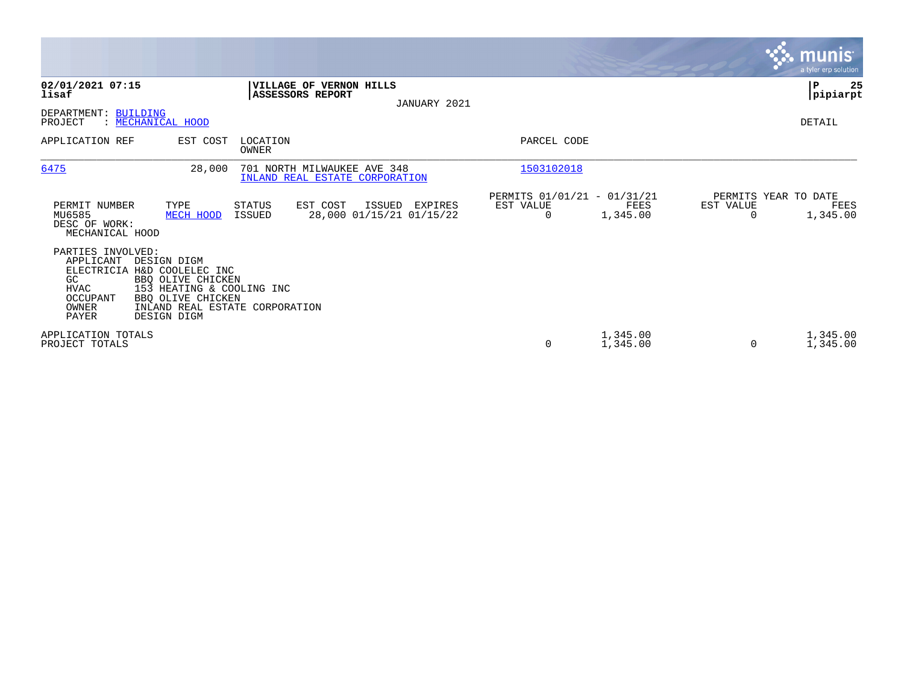|                                                                                                  |                                                                                                                                                         |                                                               |                                               |                                                      |                      |                | <b>munis</b><br>a tyler erp solution     |
|--------------------------------------------------------------------------------------------------|---------------------------------------------------------------------------------------------------------------------------------------------------------|---------------------------------------------------------------|-----------------------------------------------|------------------------------------------------------|----------------------|----------------|------------------------------------------|
| 02/01/2021 07:15<br>lisaf                                                                        |                                                                                                                                                         | VILLAGE OF VERNON HILLS<br>ASSESSORS REPORT                   | JANUARY 2021                                  |                                                      |                      |                | P<br>25<br> pipiarpt                     |
| DEPARTMENT: BUILDING<br>PROJECT                                                                  | : MECHANICAL HOOD                                                                                                                                       |                                                               |                                               |                                                      |                      |                | DETAIL                                   |
| APPLICATION REF                                                                                  | EST COST                                                                                                                                                | LOCATION<br><b>OWNER</b>                                      |                                               | PARCEL CODE                                          |                      |                |                                          |
| 6475                                                                                             | 28,000                                                                                                                                                  | 701 NORTH MILWAUKEE AVE 348<br>INLAND REAL ESTATE CORPORATION |                                               | 1503102018                                           |                      |                |                                          |
| PERMIT NUMBER<br>MU6585<br>DESC OF WORK:<br>MECHANICAL HOOD                                      | TYPE<br>MECH HOOD                                                                                                                                       | <b>STATUS</b><br>EST COST<br><b>ISSUED</b>                    | ISSUED<br>EXPIRES<br>28,000 01/15/21 01/15/22 | PERMITS 01/01/21 - 01/31/21<br>EST VALUE<br>$\Omega$ | FEES<br>1,345.00     | EST VALUE<br>O | PERMITS YEAR TO DATE<br>FEES<br>1,345.00 |
| PARTIES INVOLVED:<br>APPLICANT<br>ELECTRICIA<br>GC.<br><b>HVAC</b><br>OCCUPANT<br>OWNER<br>PAYER | DESIGN DIGM<br>H&D COOLELEC INC<br>BBO OLIVE CHICKEN<br>153 HEATING & COOLING INC<br>BBQ OLIVE CHICKEN<br>INLAND REAL ESTATE CORPORATION<br>DESIGN DIGM |                                                               |                                               |                                                      |                      |                |                                          |
| APPLICATION TOTALS<br>PROJECT TOTALS                                                             |                                                                                                                                                         |                                                               |                                               | 0                                                    | 1,345.00<br>1,345.00 | $\Omega$       | 1,345.00<br>1,345.00                     |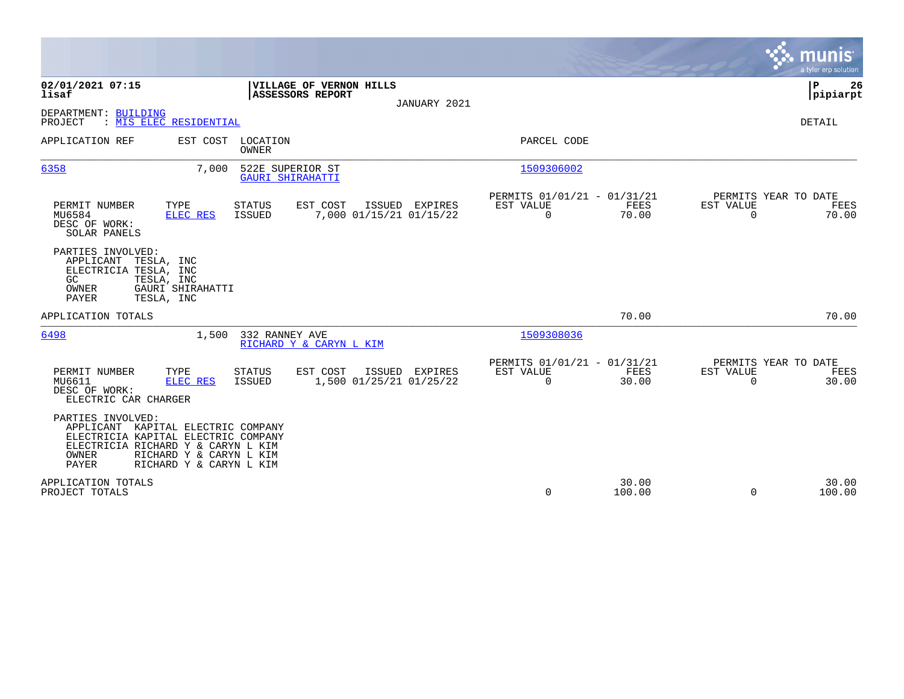|                                                                                                                                                               |                                                    |                                                       |                                                         |                 |                          | munis<br>a tyler erp solution         |
|---------------------------------------------------------------------------------------------------------------------------------------------------------------|----------------------------------------------------|-------------------------------------------------------|---------------------------------------------------------|-----------------|--------------------------|---------------------------------------|
| 02/01/2021 07:15<br>lisaf                                                                                                                                     | ASSESSORS REPORT                                   | VILLAGE OF VERNON HILLS<br>JANUARY 2021               |                                                         |                 |                          | P<br>26<br> pipiarpt                  |
| DEPARTMENT: BUILDING<br>: MIS ELEC RESIDENTIAL<br>PROJECT                                                                                                     |                                                    |                                                       |                                                         |                 |                          | DETAIL                                |
| APPLICATION REF                                                                                                                                               | EST COST<br>LOCATION<br>OWNER                      |                                                       | PARCEL CODE                                             |                 |                          |                                       |
| 6358                                                                                                                                                          | 7,000<br>522E SUPERIOR ST<br>GAURI SHIRAHATTI      |                                                       | 1509306002                                              |                 |                          |                                       |
| TYPE<br>PERMIT NUMBER<br>MU6584<br>ELEC RES<br>DESC OF WORK:<br>SOLAR PANELS                                                                                  | STATUS<br><b>ISSUED</b>                            | EST COST<br>ISSUED EXPIRES<br>7,000 01/15/21 01/15/22 | PERMITS 01/01/21 - 01/31/21<br>EST VALUE<br>$\mathbf 0$ | FEES<br>70.00   | EST VALUE<br>$\mathbf 0$ | PERMITS YEAR TO DATE<br>FEES<br>70.00 |
| PARTIES INVOLVED:<br>APPLICANT<br>TESLA, INC<br>ELECTRICIA TESLA, INC<br>GC<br>TESLA, INC<br>OWNER<br>GAURI SHIRAHATTI<br>PAYER<br>TESLA, INC                 |                                                    |                                                       |                                                         |                 |                          |                                       |
| APPLICATION TOTALS                                                                                                                                            |                                                    |                                                       |                                                         | 70.00           |                          | 70.00                                 |
| 6498                                                                                                                                                          | 1,500<br>332 RANNEY AVE                            | RICHARD Y & CARYN L KIM                               | 1509308036                                              |                 |                          |                                       |
| PERMIT NUMBER<br>TYPE<br><b>ELEC RES</b><br>MU6611<br>DESC OF WORK:<br>ELECTRIC CAR CHARGER                                                                   | <b>STATUS</b><br>ISSUED                            | EST COST<br>ISSUED EXPIRES<br>1,500 01/25/21 01/25/22 | PERMITS 01/01/21 - 01/31/21<br>EST VALUE<br>0           | FEES<br>30.00   | EST VALUE<br>$\Omega$    | PERMITS YEAR TO DATE<br>FEES<br>30.00 |
| PARTIES INVOLVED:<br>APPLICANT KAPITAL ELECTRIC COMPANY<br>ELECTRICIA KAPITAL ELECTRIC COMPANY<br>ELECTRICIA RICHARD Y & CARYN L KIM<br>OWNER<br><b>PAYER</b> | RICHARD Y & CARYN L KIM<br>RICHARD Y & CARYN L KIM |                                                       |                                                         |                 |                          |                                       |
| APPLICATION TOTALS<br>PROJECT TOTALS                                                                                                                          |                                                    |                                                       | 0                                                       | 30.00<br>100.00 | $\Omega$                 | 30.00<br>100.00                       |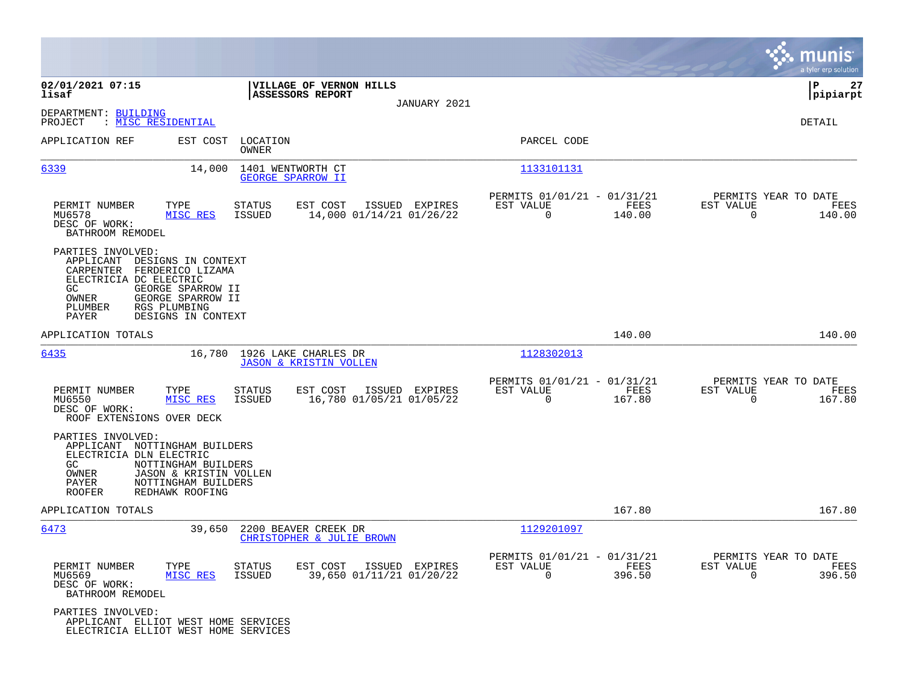|                                                                                                                                                                                                                                 |                                                                                   |                                                                           | munis<br>a tyler erp solution                                      |
|---------------------------------------------------------------------------------------------------------------------------------------------------------------------------------------------------------------------------------|-----------------------------------------------------------------------------------|---------------------------------------------------------------------------|--------------------------------------------------------------------|
| 02/01/2021 07:15<br>lisaf                                                                                                                                                                                                       | VILLAGE OF VERNON HILLS<br>ASSESSORS REPORT                                       |                                                                           | l P<br>27<br> pipiarpt                                             |
| DEPARTMENT: BUILDING<br>: <u>MISC RESIDENTIAL</u><br>PROJECT                                                                                                                                                                    | JANUARY 2021                                                                      |                                                                           | <b>DETAIL</b>                                                      |
| APPLICATION REF<br>EST COST                                                                                                                                                                                                     | LOCATION<br>OWNER                                                                 | PARCEL CODE                                                               |                                                                    |
| 6339<br>14,000                                                                                                                                                                                                                  | 1401 WENTWORTH CT<br><b>GEORGE SPARROW II</b>                                     | 1133101131                                                                |                                                                    |
| TYPE<br>PERMIT NUMBER<br>MISC RES<br>MU6578<br>DESC OF WORK:<br>BATHROOM REMODEL                                                                                                                                                | <b>STATUS</b><br>EST COST<br>ISSUED EXPIRES<br>ISSUED<br>14,000 01/14/21 01/26/22 | PERMITS 01/01/21 - 01/31/21<br>EST VALUE<br>FEES<br>$\Omega$<br>140.00    | PERMITS YEAR TO DATE<br>EST VALUE<br>FEES<br>$\Omega$<br>140.00    |
| PARTIES INVOLVED:<br>APPLICANT DESIGNS IN CONTEXT<br>CARPENTER<br>FERDERICO LIZAMA<br>ELECTRICIA DC ELECTRIC<br>GEORGE SPARROW II<br>GC<br>OWNER<br>GEORGE SPARROW II<br>PLUMBER<br>RGS PLUMBING<br>DESIGNS IN CONTEXT<br>PAYER |                                                                                   |                                                                           |                                                                    |
| APPLICATION TOTALS                                                                                                                                                                                                              |                                                                                   | 140.00                                                                    | 140.00                                                             |
| 6435<br>16,780                                                                                                                                                                                                                  | 1926 LAKE CHARLES DR<br><b>JASON &amp; KRISTIN VOLLEN</b>                         | 1128302013                                                                |                                                                    |
| PERMIT NUMBER<br>TYPE<br>MU6550<br>MISC RES<br>DESC OF WORK:<br>ROOF EXTENSIONS OVER DECK                                                                                                                                       | <b>STATUS</b><br>EST COST<br>ISSUED EXPIRES<br>ISSUED<br>16,780 01/05/21 01/05/22 | PERMITS 01/01/21 - 01/31/21<br>EST VALUE<br>FEES<br>$\mathbf 0$<br>167.80 | PERMITS YEAR TO DATE<br>EST VALUE<br>FEES<br>$\mathbf 0$<br>167.80 |
| PARTIES INVOLVED:<br>APPLICANT NOTTINGHAM BUILDERS<br>ELECTRICIA DLN ELECTRIC<br>GC.<br>NOTTINGHAM BUILDERS<br>OWNER<br>JASON & KRISTIN VOLLEN<br>NOTTINGHAM BUILDERS<br>PAYER<br><b>ROOFER</b><br>REDHAWK ROOFING              |                                                                                   |                                                                           |                                                                    |
| APPLICATION TOTALS                                                                                                                                                                                                              |                                                                                   | 167.80                                                                    | 167.80                                                             |
| 6473<br>39,650                                                                                                                                                                                                                  | 2200 BEAVER CREEK DR<br>CHRISTOPHER & JULIE BROWN                                 | 1129201097                                                                |                                                                    |
| PERMIT NUMBER<br>TYPE<br>MISC RES<br>MU6569<br>DESC OF WORK:<br>BATHROOM REMODEL                                                                                                                                                | EST COST<br>ISSUED EXPIRES<br>STATUS<br>ISSUED<br>39,650 01/11/21 01/20/22        | PERMITS 01/01/21 - 01/31/21<br>EST VALUE<br>FEES<br>$\Omega$<br>396.50    | PERMITS YEAR TO DATE<br>EST VALUE<br>FEES<br>$\Omega$<br>396.50    |
| PARTIES INVOLVED:<br>APPLICANT ELLIOT WEST HOME SERVICES<br>ELECTRICIA ELLIOT WEST HOME SERVICES                                                                                                                                |                                                                                   |                                                                           |                                                                    |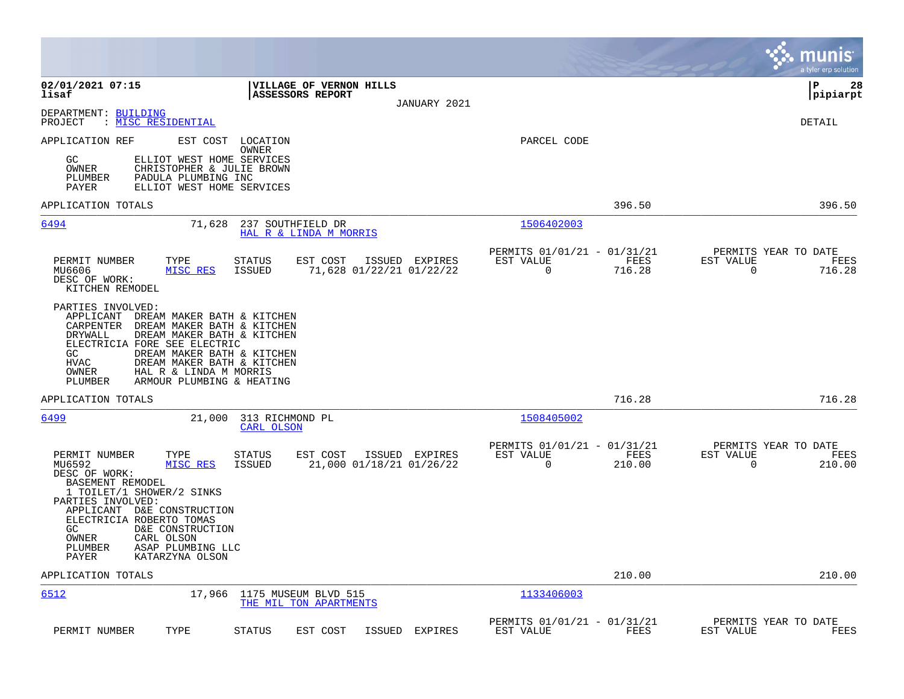|                                                                                                                                                                                                                                                                                                                                                                    |                                                                 | munis<br>a tyler erp solution                                      |
|--------------------------------------------------------------------------------------------------------------------------------------------------------------------------------------------------------------------------------------------------------------------------------------------------------------------------------------------------------------------|-----------------------------------------------------------------|--------------------------------------------------------------------|
| 02/01/2021 07:15<br>VILLAGE OF VERNON HILLS<br>ASSESSORS REPORT<br>lisaf<br>JANUARY 2021                                                                                                                                                                                                                                                                           |                                                                 | l P<br>28<br> pipiarpt                                             |
| DEPARTMENT: BUILDING<br>PROJECT<br>: MISC RESIDENTIAL                                                                                                                                                                                                                                                                                                              |                                                                 | DETAIL                                                             |
| APPLICATION REF<br>EST COST<br>LOCATION<br>OWNER<br>GC<br>ELLIOT WEST HOME SERVICES<br>OWNER<br>CHRISTOPHER & JULIE BROWN<br>PLUMBER<br>PADULA PLUMBING INC<br><b>PAYER</b><br>ELLIOT WEST HOME SERVICES                                                                                                                                                           | PARCEL CODE                                                     |                                                                    |
| APPLICATION TOTALS                                                                                                                                                                                                                                                                                                                                                 | 396.50                                                          | 396.50                                                             |
| 6494<br>237 SOUTHFIELD DR<br>71,628<br>HAL R & LINDA M MORRIS                                                                                                                                                                                                                                                                                                      | 1506402003                                                      |                                                                    |
| EST COST<br>ISSUED EXPIRES<br>PERMIT NUMBER<br>TYPE<br>STATUS<br>MISC RES<br>71,628 01/22/21 01/22/22<br>MU6606<br>ISSUED<br>DESC OF WORK:<br>KITCHEN REMODEL                                                                                                                                                                                                      | PERMITS 01/01/21 - 01/31/21<br>EST VALUE<br>FEES<br>0<br>716.28 | PERMITS YEAR TO DATE<br>EST VALUE<br>FEES<br>$\mathbf 0$<br>716.28 |
| PARTIES INVOLVED:<br>APPLICANT<br>DREAM MAKER BATH & KITCHEN<br>CARPENTER<br>DREAM MAKER BATH & KITCHEN<br>DRYWALL<br>DREAM MAKER BATH & KITCHEN<br>ELECTRICIA FORE SEE ELECTRIC<br>GC<br>DREAM MAKER BATH & KITCHEN<br>HVAC<br>DREAM MAKER BATH & KITCHEN<br>OWNER<br>HAL R & LINDA M MORRIS<br>PLUMBER<br>ARMOUR PLUMBING & HEATING                              |                                                                 |                                                                    |
| APPLICATION TOTALS                                                                                                                                                                                                                                                                                                                                                 | 716.28                                                          | 716.28                                                             |
| <u>6499</u><br>21,000<br>313 RICHMOND PL<br>CARL OLSON                                                                                                                                                                                                                                                                                                             | 1508405002                                                      |                                                                    |
| PERMIT NUMBER<br>EST COST<br>ISSUED EXPIRES<br>TYPE<br><b>STATUS</b><br>MU6592<br>MISC RES<br>ISSUED<br>21,000 01/18/21 01/26/22<br>DESC OF WORK:<br>BASEMENT REMODEL<br>1 TOILET/1 SHOWER/2 SINKS<br>PARTIES INVOLVED:<br>APPLICANT D&E CONSTRUCTION<br>ELECTRICIA ROBERTO TOMAS<br>GC<br>D&E CONSTRUCTION<br>OWNER<br>CARL OLSON<br>PLUMBER<br>ASAP PLUMBING LLC | PERMITS 01/01/21 - 01/31/21<br>EST VALUE<br>FEES<br>0<br>210.00 | PERMITS YEAR TO DATE<br>EST VALUE<br>FEES<br>$\Omega$<br>210.00    |
| KATARZYNA OLSON<br>PAYER<br>APPLICATION TOTALS                                                                                                                                                                                                                                                                                                                     | 210.00                                                          | 210.00                                                             |
| 6512<br>17,966 1175 MUSEUM BLVD 515<br>THE MIL TON APARTMENTS                                                                                                                                                                                                                                                                                                      | 1133406003                                                      |                                                                    |
| TYPE<br>PERMIT NUMBER<br>STATUS<br>EST COST<br>ISSUED<br>EXPIRES                                                                                                                                                                                                                                                                                                   | PERMITS 01/01/21 - 01/31/21<br>FEES<br>EST VALUE                | PERMITS YEAR TO DATE<br>FEES<br>EST VALUE                          |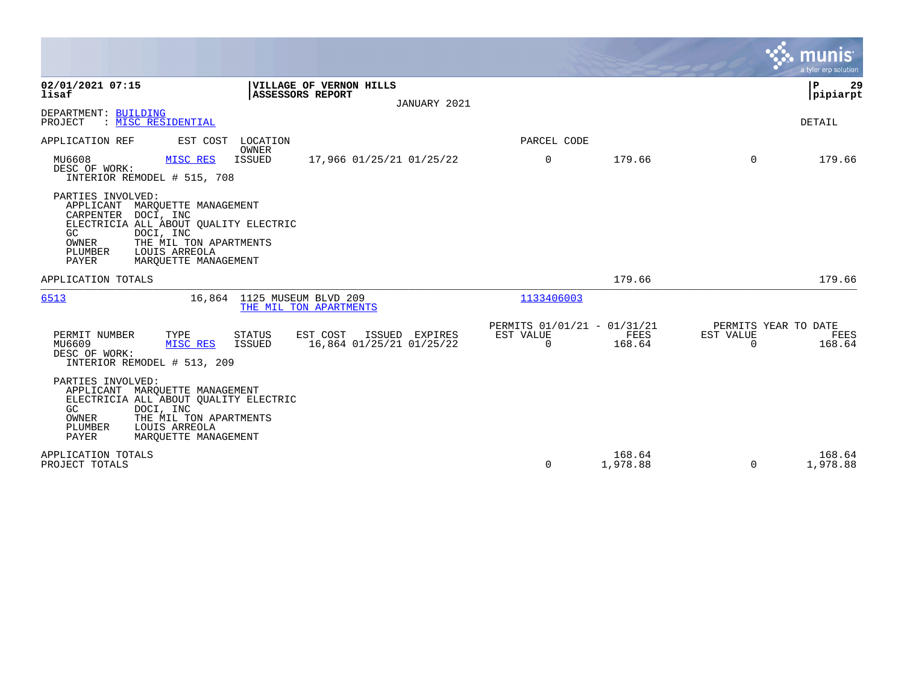|                                                                                                                                                                                                                                        |                                                                                   |              |                                         |                       |                                               | munis<br>a tyler erp solution   |
|----------------------------------------------------------------------------------------------------------------------------------------------------------------------------------------------------------------------------------------|-----------------------------------------------------------------------------------|--------------|-----------------------------------------|-----------------------|-----------------------------------------------|---------------------------------|
| 02/01/2021 07:15<br>lisaf                                                                                                                                                                                                              | <b>VILLAGE OF VERNON HILLS</b><br>ASSESSORS REPORT                                | JANUARY 2021 |                                         |                       |                                               | $\mathbf{P}$<br>29<br> pipiarpt |
| DEPARTMENT: BUILDING<br>PROJECT<br>: MISC RESIDENTIAL                                                                                                                                                                                  |                                                                                   |              |                                         |                       |                                               | DETAIL                          |
| APPLICATION REF<br>EST COST                                                                                                                                                                                                            | LOCATION                                                                          |              | PARCEL CODE                             |                       |                                               |                                 |
| MU6608<br>MISC RES<br>DESC OF WORK:<br>INTERIOR REMODEL # 515, 708                                                                                                                                                                     | OWNER<br><b>ISSUED</b><br>17,966 01/25/21 01/25/22                                |              | 0                                       | 179.66                | $\Omega$                                      | 179.66                          |
| PARTIES INVOLVED:<br>APPLICANT MARQUETTE MANAGEMENT<br>CARPENTER DOCI, INC<br>ELECTRICIA ALL ABOUT QUALITY ELECTRIC<br>GC<br>DOCI, INC<br>OWNER<br>THE MIL TON APARTMENTS<br>PLUMBER<br>LOUIS ARREOLA<br>PAYER<br>MAROUETTE MANAGEMENT |                                                                                   |              |                                         |                       |                                               |                                 |
| APPLICATION TOTALS                                                                                                                                                                                                                     |                                                                                   |              |                                         | 179.66                |                                               | 179.66                          |
| 6513                                                                                                                                                                                                                                   | 16,864 1125 MUSEUM BLVD 209<br>THE MIL TON APARTMENTS                             |              | 1133406003                              |                       |                                               |                                 |
| PERMIT NUMBER<br>TYPE<br>MU6609<br>MISC RES<br>DESC OF WORK:<br>INTERIOR REMODEL # 513, 209                                                                                                                                            | EST COST<br>ISSUED EXPIRES<br>STATUS<br>16,864 01/25/21 01/25/22<br><b>ISSUED</b> | EST VALUE    | PERMITS 01/01/21 - 01/31/21<br>$\Omega$ | <b>FEES</b><br>168.64 | PERMITS YEAR TO DATE<br>EST VALUE<br>$\Omega$ | FEES<br>168.64                  |
| PARTIES INVOLVED:<br>APPLICANT MARQUETTE MANAGEMENT<br>ELECTRICIA ALL ABOUT QUALITY ELECTRIC<br>GC<br>DOCI, INC<br>OWNER<br>THE MIL TON APARTMENTS<br>PLUMBER<br>LOUIS ARREOLA<br>PAYER<br>MARQUETTE MANAGEMENT                        |                                                                                   |              |                                         |                       |                                               |                                 |
| APPLICATION TOTALS<br>PROJECT TOTALS                                                                                                                                                                                                   |                                                                                   |              | 0                                       | 168.64<br>1,978.88    | 0                                             | 168.64<br>1,978.88              |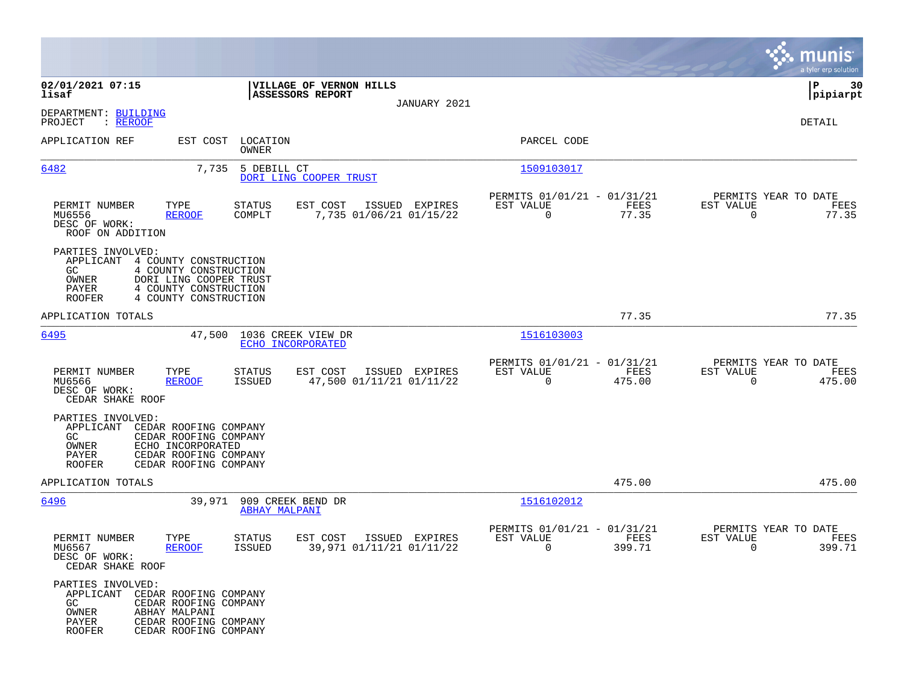|                                                                                                                                                                                                        |                                                                                   |                                                                             | munis<br>a tyler erp solution                                        |
|--------------------------------------------------------------------------------------------------------------------------------------------------------------------------------------------------------|-----------------------------------------------------------------------------------|-----------------------------------------------------------------------------|----------------------------------------------------------------------|
| 02/01/2021 07:15<br>lisaf                                                                                                                                                                              | VILLAGE OF VERNON HILLS<br>ASSESSORS REPORT                                       |                                                                             | P<br>30<br> pipiarpt                                                 |
| DEPARTMENT: BUILDING<br>PROJECT<br>: <u>REROOF</u>                                                                                                                                                     | JANUARY 2021                                                                      |                                                                             | DETAIL                                                               |
| APPLICATION REF                                                                                                                                                                                        | EST COST LOCATION<br><b>OWNER</b>                                                 | PARCEL CODE                                                                 |                                                                      |
| 6482                                                                                                                                                                                                   | 7,735 5 DEBILL CT<br>DORI LING COOPER TRUST                                       | 1509103017                                                                  |                                                                      |
| TYPE<br>PERMIT NUMBER<br>MU6556<br><b>REROOF</b><br>DESC OF WORK:<br>ROOF ON ADDITION                                                                                                                  | STATUS<br>EST COST<br>ISSUED EXPIRES<br>COMPLT<br>7,735 01/06/21 01/15/22         | PERMITS 01/01/21 - 01/31/21<br>FEES<br>EST VALUE<br>$\overline{0}$<br>77.35 | PERMITS YEAR TO DATE<br>EST VALUE<br>FEES<br>$\overline{0}$<br>77.35 |
| PARTIES INVOLVED:<br>APPLICANT<br>4 COUNTY CONSTRUCTION<br>GC.<br>4 COUNTY CONSTRUCTION<br>DORI LING COOPER TRUST<br>OWNER<br>PAYER<br>4 COUNTY CONSTRUCTION<br>4 COUNTY CONSTRUCTION<br><b>ROOFER</b> |                                                                                   |                                                                             |                                                                      |
| APPLICATION TOTALS                                                                                                                                                                                     |                                                                                   | 77.35                                                                       | 77.35                                                                |
| 6495<br>47,500                                                                                                                                                                                         | 1036 CREEK VIEW DR<br>ECHO INCORPORATED                                           | 1516103003                                                                  |                                                                      |
| PERMIT NUMBER<br>TYPE<br>MU6566<br><b>REROOF</b><br>DESC OF WORK:<br>CEDAR SHAKE ROOF                                                                                                                  | EST COST<br>STATUS<br>ISSUED EXPIRES<br>ISSUED<br>47,500 01/11/21 01/11/22        | PERMITS 01/01/21 - 01/31/21<br>EST VALUE<br>FEES<br>$\mathbf 0$<br>475.00   | PERMITS YEAR TO DATE<br>EST VALUE<br>FEES<br>$\Omega$<br>475.00      |
| PARTIES INVOLVED:<br>APPLICANT<br>CEDAR ROOFING COMPANY<br>CEDAR ROOFING COMPANY<br>GC<br>OWNER<br>ECHO INCORPORATED<br>PAYER<br>CEDAR ROOFING COMPANY<br><b>ROOFER</b><br>CEDAR ROOFING COMPANY       |                                                                                   |                                                                             |                                                                      |
| APPLICATION TOTALS                                                                                                                                                                                     |                                                                                   | 475.00                                                                      | 475.00                                                               |
| 6496                                                                                                                                                                                                   | 39,971 909 CREEK BEND DR<br><b>ABHAY MALPANI</b>                                  | 1516102012                                                                  |                                                                      |
| PERMIT NUMBER<br>TYPE<br>MU6567<br><b>REROOF</b><br>DESC OF WORK:<br>CEDAR SHAKE ROOF                                                                                                                  | EST COST<br>ISSUED EXPIRES<br>STATUS<br>39,971 01/11/21 01/11/22<br><b>ISSUED</b> | PERMITS 01/01/21 - 01/31/21<br>EST VALUE<br>FEES<br>0<br>399.71             | PERMITS YEAR TO DATE<br>EST VALUE<br>FEES<br>0<br>399.71             |
| PARTIES INVOLVED:<br>APPLICANT CEDAR ROOFING COMPANY<br>GC<br>CEDAR ROOFING COMPANY<br>OWNER<br>ABHAY MALPANI<br>PAYER<br>CEDAR ROOFING COMPANY<br><b>ROOFER</b><br>CEDAR ROOFING COMPANY              |                                                                                   |                                                                             |                                                                      |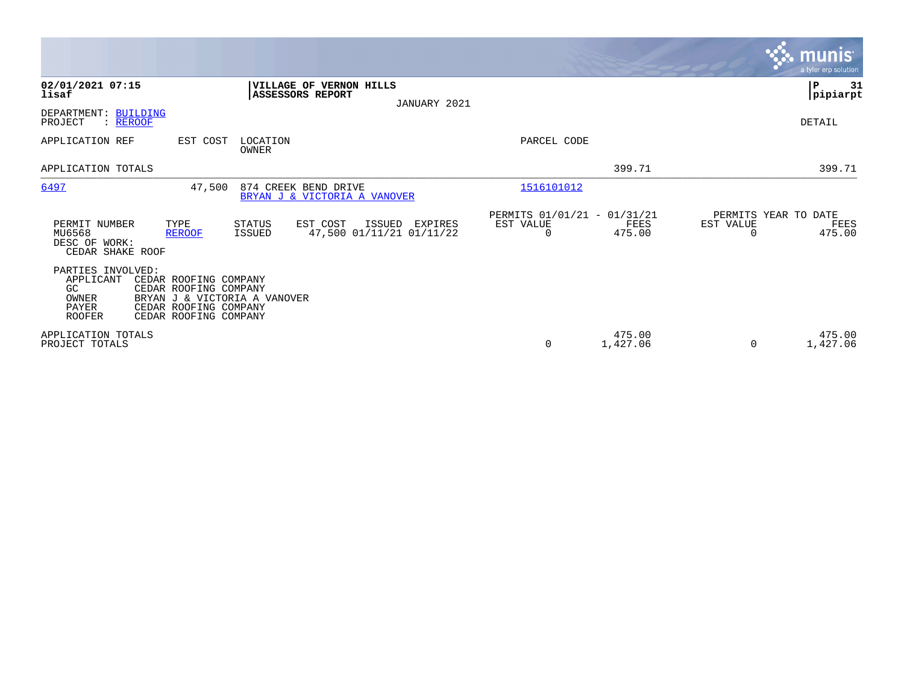|                                                                                                                                                                                                             |                                                                    |                                               |                    |                                   | <b>munis</b><br>a tyler erp solution |
|-------------------------------------------------------------------------------------------------------------------------------------------------------------------------------------------------------------|--------------------------------------------------------------------|-----------------------------------------------|--------------------|-----------------------------------|--------------------------------------|
| 02/01/2021 07:15<br>lisaf                                                                                                                                                                                   | VILLAGE OF VERNON HILLS<br><b>ASSESSORS REPORT</b><br>JANUARY 2021 |                                               |                    |                                   | 31<br>P<br>pipiarpt                  |
| DEPARTMENT: BUILDING<br>PROJECT<br>: REROOF                                                                                                                                                                 |                                                                    |                                               |                    |                                   | DETAIL                               |
| APPLICATION REF<br>EST COST<br>LOCATION<br>OWNER                                                                                                                                                            |                                                                    | PARCEL CODE                                   |                    |                                   |                                      |
| APPLICATION TOTALS                                                                                                                                                                                          |                                                                    |                                               | 399.71             |                                   | 399.71                               |
| 6497<br>47,500                                                                                                                                                                                              | 874 CREEK BEND DRIVE<br>BRYAN J & VICTORIA A VANOVER               | 1516101012                                    |                    |                                   |                                      |
| TYPE<br>PERMIT NUMBER<br>STATUS<br>MU6568<br><b>ISSUED</b><br><b>REROOF</b><br>DESC OF WORK:<br>CEDAR SHAKE ROOF                                                                                            | EST COST<br>ISSUED<br>EXPIRES<br>47,500 01/11/21 01/11/22          | PERMITS 01/01/21 - 01/31/21<br>EST VALUE<br>0 | FEES<br>475.00     | PERMITS YEAR TO DATE<br>EST VALUE | FEES<br>475.00                       |
| PARTIES INVOLVED:<br>APPLICANT<br>CEDAR ROOFING COMPANY<br>GC<br>CEDAR ROOFING COMPANY<br>BRYAN J & VICTORIA A VANOVER<br>OWNER<br>PAYER<br>CEDAR ROOFING COMPANY<br><b>ROOFER</b><br>CEDAR ROOFING COMPANY |                                                                    |                                               |                    |                                   |                                      |
| APPLICATION TOTALS<br>PROJECT TOTALS                                                                                                                                                                        |                                                                    | 0                                             | 475.00<br>1,427.06 | $\Omega$                          | 475.00<br>1,427.06                   |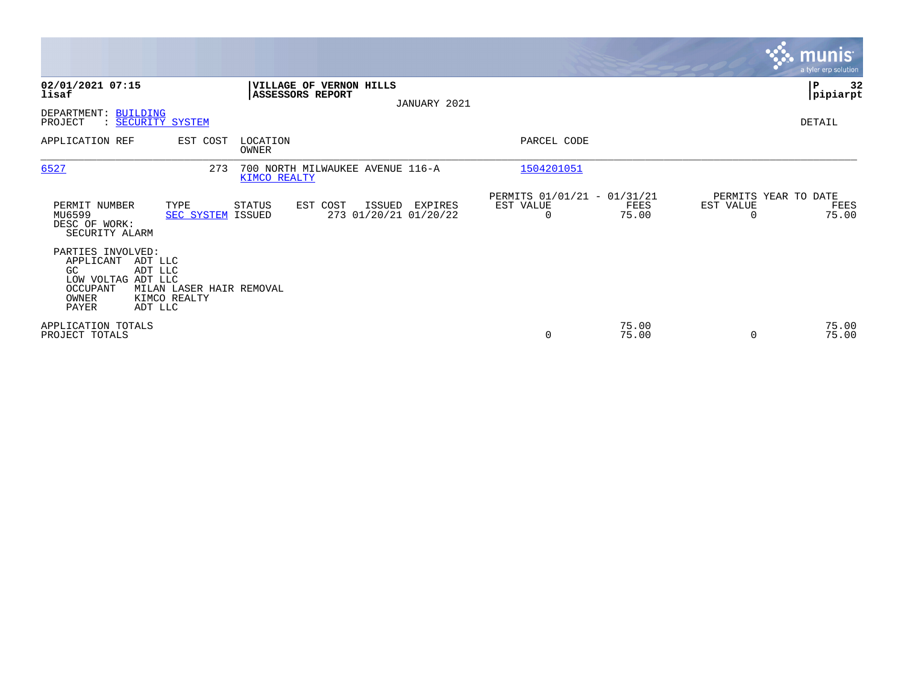|                                                                                                                            |                                          |                   |                                             |                                  |                                               |                |           | <b>munis</b><br>a tyler erp solution  |
|----------------------------------------------------------------------------------------------------------------------------|------------------------------------------|-------------------|---------------------------------------------|----------------------------------|-----------------------------------------------|----------------|-----------|---------------------------------------|
| 02/01/2021 07:15<br>lisaf                                                                                                  |                                          |                   | VILLAGE OF VERNON HILLS<br>ASSESSORS REPORT | JANUARY 2021                     |                                               |                |           | ∣₽<br>32<br> pipiarpt                 |
| DEPARTMENT: BUILDING<br>: SECURITY SYSTEM<br>PROJECT                                                                       |                                          |                   |                                             |                                  |                                               |                |           | DETAIL                                |
| APPLICATION REF                                                                                                            | EST COST                                 | LOCATION<br>OWNER |                                             |                                  | PARCEL CODE                                   |                |           |                                       |
| 6527                                                                                                                       | 273                                      | KIMCO REALTY      | 700 NORTH MILWAUKEE AVENUE 116-A            |                                  | 1504201051                                    |                |           |                                       |
| PERMIT NUMBER<br>MU6599<br>DESC OF WORK:<br>SECURITY ALARM                                                                 | TYPE<br><b>SEC SYSTEM ISSUED</b>         | <b>STATUS</b>     | EST COST<br>ISSUED                          | EXPIRES<br>273 01/20/21 01/20/22 | PERMITS 01/01/21 - 01/31/21<br>EST VALUE<br>0 | FEES<br>75.00  | EST VALUE | PERMITS YEAR TO DATE<br>FEES<br>75.00 |
| PARTIES INVOLVED:<br>APPLICANT<br>ADT LLC<br>GC.<br>ADT LLC<br>LOW VOLTAG ADT LLC<br>OCCUPANT<br>OWNER<br>PAYER<br>ADT LLC | MILAN LASER HAIR REMOVAL<br>KIMCO REALTY |                   |                                             |                                  |                                               |                |           |                                       |
| APPLICATION TOTALS<br>PROJECT TOTALS                                                                                       |                                          |                   |                                             |                                  | 0                                             | 75.00<br>75.00 | $\Omega$  | 75.00<br>75.00                        |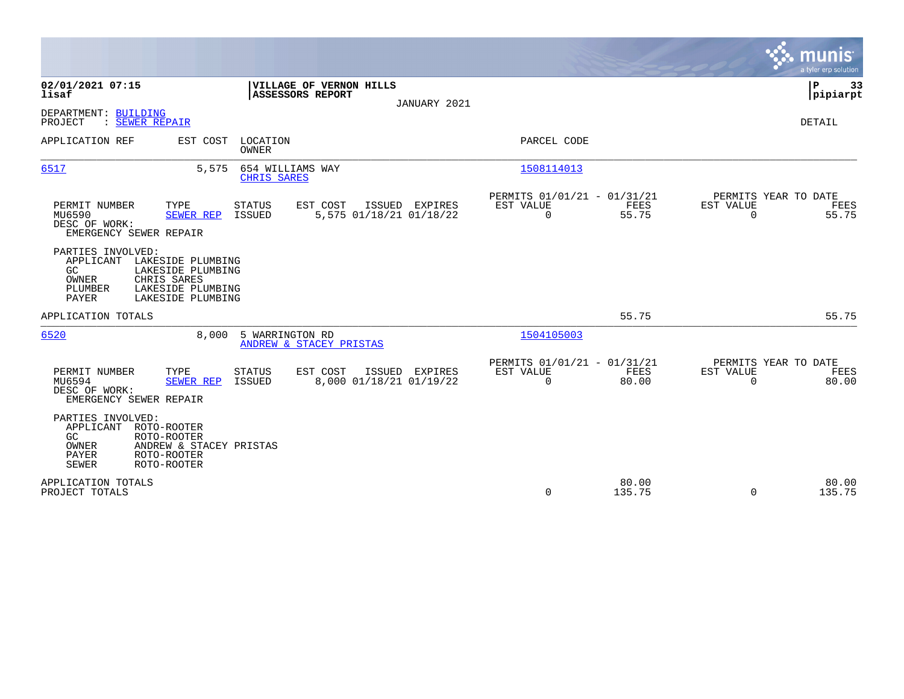|                                                                          |                                                                                                 |                                 |                                     |                |                                                         |                 |                              | munis<br>a tyler erp solution         |
|--------------------------------------------------------------------------|-------------------------------------------------------------------------------------------------|---------------------------------|-------------------------------------|----------------|---------------------------------------------------------|-----------------|------------------------------|---------------------------------------|
| 02/01/2021 07:15<br>lisaf                                                |                                                                                                 | ASSESSORS REPORT                | VILLAGE OF VERNON HILLS             | JANUARY 2021   |                                                         |                 |                              | P<br>33<br> pipiarpt                  |
| DEPARTMENT: BUILDING<br>: SEWER REPAIR<br>PROJECT                        |                                                                                                 |                                 |                                     |                |                                                         |                 |                              | DETAIL                                |
| APPLICATION REF                                                          |                                                                                                 | EST COST LOCATION<br>OWNER      |                                     |                | PARCEL CODE                                             |                 |                              |                                       |
| 6517                                                                     | 5,575                                                                                           | 654 WILLIAMS WAY<br>CHRIS SARES |                                     |                | 1508114013                                              |                 |                              |                                       |
| PERMIT NUMBER<br>MU6590<br>DESC OF WORK:<br>EMERGENCY SEWER REPAIR       | TYPE<br>SEWER REP                                                                               | STATUS<br><b>ISSUED</b>         | EST COST<br>5,575 01/18/21 01/18/22 | ISSUED EXPIRES | PERMITS 01/01/21 - 01/31/21<br>EST VALUE<br>$\mathbf 0$ | FEES<br>55.75   | EST VALUE<br>$\mathbf 0$     | PERMITS YEAR TO DATE<br>FEES<br>55.75 |
| PARTIES INVOLVED:<br>APPLICANT<br>GC<br>OWNER<br>PLUMBER<br><b>PAYER</b> | LAKESIDE PLUMBING<br>LAKESIDE PLUMBING<br>CHRIS SARES<br>LAKESIDE PLUMBING<br>LAKESIDE PLUMBING |                                 |                                     |                |                                                         |                 |                              |                                       |
| APPLICATION TOTALS                                                       |                                                                                                 |                                 |                                     |                |                                                         | 55.75           |                              | 55.75                                 |
| 6520                                                                     | 8,000                                                                                           | 5 WARRINGTON RD                 | ANDREW & STACEY PRISTAS             |                | 1504105003                                              |                 |                              |                                       |
| PERMIT NUMBER<br>MU6594<br>DESC OF WORK:<br>EMERGENCY SEWER REPAIR       | TYPE<br><b>SEWER REP</b>                                                                        | <b>STATUS</b><br><b>ISSUED</b>  | EST COST<br>8,000 01/18/21 01/19/22 | ISSUED EXPIRES | PERMITS 01/01/21 - 01/31/21<br>EST VALUE<br>$\mathbf 0$ | FEES<br>80.00   | <b>EST VALUE</b><br>$\Omega$ | PERMITS YEAR TO DATE<br>FEES<br>80.00 |
| PARTIES INVOLVED:<br>APPLICANT<br>GC<br>OWNER<br>PAYER<br><b>SEWER</b>   | ROTO-ROOTER<br>ROTO-ROOTER<br>ANDREW & STACEY PRISTAS<br>ROTO-ROOTER<br>ROTO-ROOTER             |                                 |                                     |                |                                                         |                 |                              |                                       |
| APPLICATION TOTALS<br>PROJECT TOTALS                                     |                                                                                                 |                                 |                                     |                | $\Omega$                                                | 80.00<br>135.75 | $\Omega$                     | 80.00<br>135.75                       |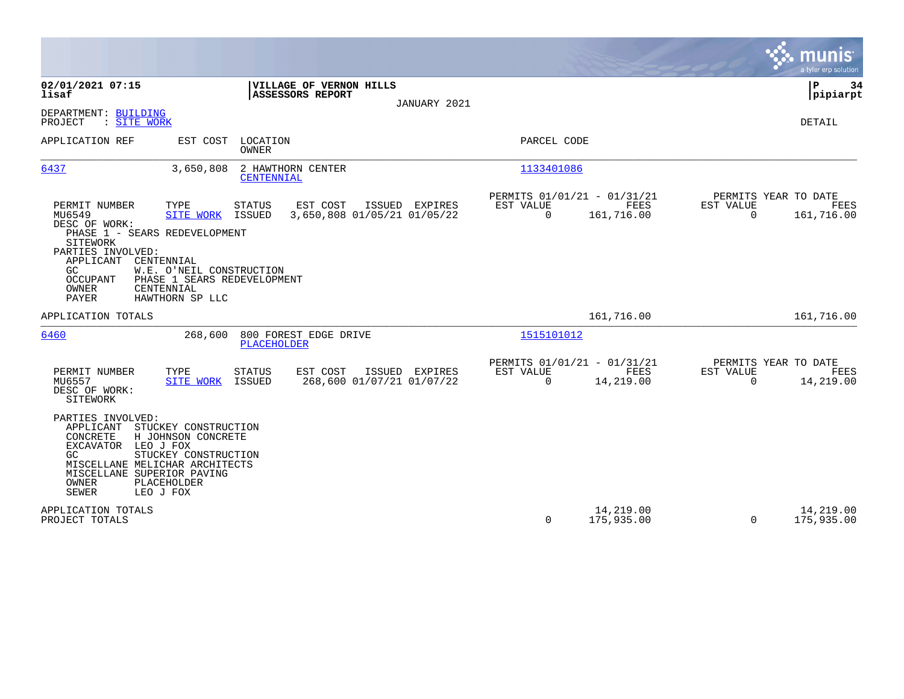|                                                                                                                                                                                                                                                                                                                                                                                     |                                                                               | munis<br>a tyler erp solution                                          |
|-------------------------------------------------------------------------------------------------------------------------------------------------------------------------------------------------------------------------------------------------------------------------------------------------------------------------------------------------------------------------------------|-------------------------------------------------------------------------------|------------------------------------------------------------------------|
| 02/01/2021 07:15<br>VILLAGE OF VERNON HILLS<br>ASSESSORS REPORT<br>lisaf<br>JANUARY 2021                                                                                                                                                                                                                                                                                            |                                                                               | P<br>34<br> pipiarpt                                                   |
| DEPARTMENT: BUILDING<br>: SITE WORK<br>PROJECT                                                                                                                                                                                                                                                                                                                                      |                                                                               | DETAIL                                                                 |
| APPLICATION REF<br>EST COST LOCATION<br><b>OWNER</b>                                                                                                                                                                                                                                                                                                                                | PARCEL CODE                                                                   |                                                                        |
| 6437<br>2 HAWTHORN CENTER<br>3,650,808<br>CENTENNIAL                                                                                                                                                                                                                                                                                                                                | 1133401086                                                                    |                                                                        |
| EST COST<br>ISSUED EXPIRES<br>PERMIT NUMBER<br>TYPE<br><b>STATUS</b><br>MU6549<br>3,650,808 01/05/21 01/05/22<br>SITE WORK<br>ISSUED<br>DESC OF WORK:<br>PHASE 1 - SEARS REDEVELOPMENT<br>SITEWORK<br>PARTIES INVOLVED:<br>APPLICANT<br>CENTENNIAL<br>W.E. O'NEIL CONSTRUCTION<br>GC.<br>PHASE 1 SEARS REDEVELOPMENT<br>OCCUPANT<br>OWNER<br>CENTENNIAL<br>PAYER<br>HAWTHORN SP LLC | PERMITS 01/01/21 - 01/31/21<br>FEES<br>EST VALUE<br>$\mathbf 0$<br>161,716.00 | PERMITS YEAR TO DATE<br>EST VALUE<br>FEES<br>$\mathbf 0$<br>161,716.00 |
| APPLICATION TOTALS                                                                                                                                                                                                                                                                                                                                                                  | 161,716.00                                                                    | 161,716.00                                                             |
| 6460<br>800 FOREST EDGE DRIVE<br>268,600<br><b>PLACEHOLDER</b>                                                                                                                                                                                                                                                                                                                      | 1515101012                                                                    |                                                                        |
| EST COST<br>PERMIT NUMBER<br>TYPE<br><b>STATUS</b><br>ISSUED EXPIRES<br>268,600 01/07/21 01/07/22<br>MU6557<br><b>SITE WORK</b><br>ISSUED<br>DESC OF WORK:<br>SITEWORK                                                                                                                                                                                                              | PERMITS 01/01/21 - 01/31/21<br>EST VALUE<br>FEES<br>0<br>14,219.00            | PERMITS YEAR TO DATE<br>EST VALUE<br>FEES<br>$\mathbf 0$<br>14,219.00  |
| PARTIES INVOLVED:<br>APPLICANT<br>STUCKEY CONSTRUCTION<br>CONCRETE<br>H JOHNSON CONCRETE<br>EXCAVATOR LEO J FOX<br>STUCKEY CONSTRUCTION<br>GC.<br>MISCELLANE MELICHAR ARCHITECTS<br>MISCELLANE SUPERIOR PAVING<br>OWNER<br>PLACEHOLDER<br><b>SEWER</b><br>LEO J FOX                                                                                                                 |                                                                               |                                                                        |
| APPLICATION TOTALS<br>PROJECT TOTALS                                                                                                                                                                                                                                                                                                                                                | 14,219.00<br>0<br>175,935.00                                                  | 14,219.00<br>175,935.00<br>$\Omega$                                    |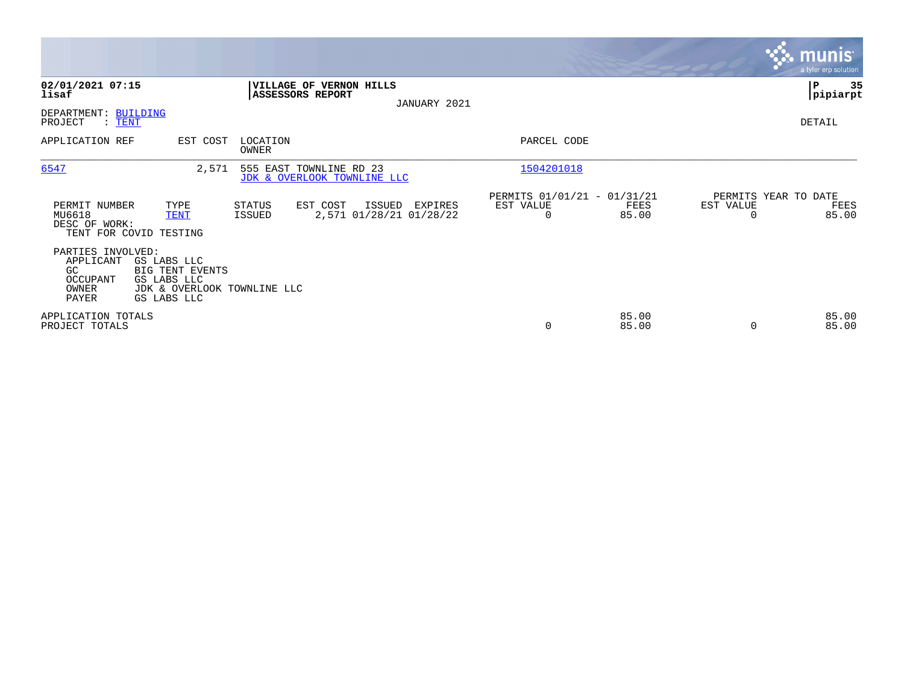|                                                                     |                                                                                                    |                   |                                                        |                                              |                                                         |                |                                               | <b>munis</b><br>a tyler erp solution |
|---------------------------------------------------------------------|----------------------------------------------------------------------------------------------------|-------------------|--------------------------------------------------------|----------------------------------------------|---------------------------------------------------------|----------------|-----------------------------------------------|--------------------------------------|
| 02/01/2021 07:15<br>lisaf                                           |                                                                                                    |                   | VILLAGE OF VERNON HILLS<br><b>ASSESSORS REPORT</b>     | JANUARY 2021                                 |                                                         |                |                                               | ∣P<br>35<br> pipiarpt                |
| DEPARTMENT: BUILDING<br>PROJECT<br>$:$ TENT                         |                                                                                                    |                   |                                                        |                                              |                                                         |                |                                               | DETAIL                               |
| APPLICATION REF                                                     | EST COST                                                                                           | LOCATION<br>OWNER |                                                        |                                              | PARCEL CODE                                             |                |                                               |                                      |
| 6547                                                                | 2,571                                                                                              |                   | 555 EAST TOWNLINE RD 23<br>JDK & OVERLOOK TOWNLINE LLC |                                              | 1504201018                                              |                |                                               |                                      |
| PERMIT NUMBER<br>MU6618<br>DESC OF WORK:                            | TYPE<br><b>TENT</b><br>TENT FOR COVID TESTING                                                      | STATUS<br>ISSUED  | EST COST                                               | ISSUED<br>EXPIRES<br>2,571 01/28/21 01/28/22 | PERMITS 01/01/21 - 01/31/21<br>EST VALUE<br>$\mathbf 0$ | FEES<br>85.00  | PERMITS YEAR TO DATE<br>EST VALUE<br>$\Omega$ | FEES<br>85.00                        |
| PARTIES INVOLVED:<br>APPLICANT<br>GC.<br>OCCUPANT<br>OWNER<br>PAYER | GS LABS LLC<br><b>BIG TENT EVENTS</b><br>GS LABS LLC<br>JDK & OVERLOOK TOWNLINE LLC<br>GS LABS LLC |                   |                                                        |                                              |                                                         |                |                                               |                                      |
| APPLICATION TOTALS<br>PROJECT TOTALS                                |                                                                                                    |                   |                                                        |                                              | $\mathbf 0$                                             | 85.00<br>85.00 |                                               | 85.00<br>85.00                       |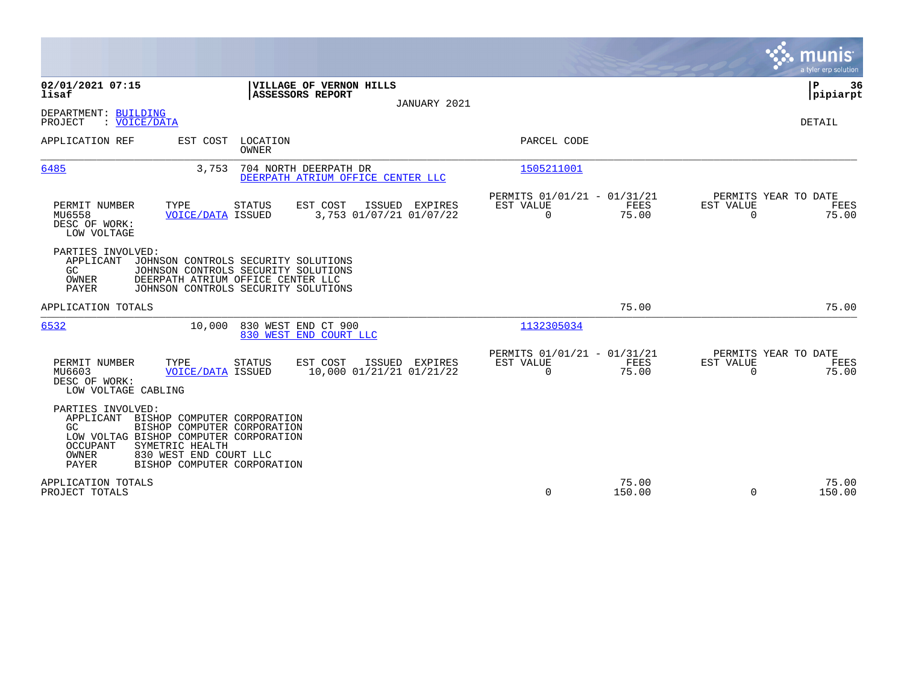|                                                                                                                                                                          |                                                                                                                                                        |                                                            |                                                         |                            | munis<br>a tyler erp solution                        |
|--------------------------------------------------------------------------------------------------------------------------------------------------------------------------|--------------------------------------------------------------------------------------------------------------------------------------------------------|------------------------------------------------------------|---------------------------------------------------------|----------------------------|------------------------------------------------------|
| 02/01/2021 07:15<br>lisaf                                                                                                                                                | <b>ASSESSORS REPORT</b>                                                                                                                                | VILLAGE OF VERNON HILLS<br>JANUARY 2021                    |                                                         |                            | P<br>36<br> pipiarpt                                 |
| DEPARTMENT: BUILDING<br>PROJECT<br>: VOICE/DATA                                                                                                                          |                                                                                                                                                        |                                                            |                                                         |                            | <b>DETAIL</b>                                        |
| APPLICATION REF<br>EST COST                                                                                                                                              | LOCATION<br>OWNER                                                                                                                                      |                                                            | PARCEL CODE                                             |                            |                                                      |
| 6485                                                                                                                                                                     | 3,753                                                                                                                                                  | 704 NORTH DEERPATH DR<br>DEERPATH ATRIUM OFFICE CENTER LLC | 1505211001                                              |                            |                                                      |
| TYPE<br>PERMIT NUMBER<br>MU6558<br>DESC OF WORK:<br>LOW VOLTAGE                                                                                                          | <b>STATUS</b><br><b>VOICE/DATA ISSUED</b>                                                                                                              | EST COST<br>ISSUED EXPIRES<br>3,753 01/07/21 01/07/22      | PERMITS 01/01/21 - 01/31/21<br>EST VALUE<br>0           | FEES<br>EST VALUE<br>75.00 | PERMITS YEAR TO DATE<br>FEES<br>$\mathbf 0$<br>75.00 |
| PARTIES INVOLVED:<br>APPLICANT<br>GC<br>OWNER<br>PAYER                                                                                                                   | JOHNSON CONTROLS SECURITY SOLUTIONS<br>JOHNSON CONTROLS SECURITY SOLUTIONS<br>DEERPATH ATRIUM OFFICE CENTER LLC<br>JOHNSON CONTROLS SECURITY SOLUTIONS |                                                            |                                                         |                            |                                                      |
| APPLICATION TOTALS                                                                                                                                                       |                                                                                                                                                        |                                                            |                                                         | 75.00                      | 75.00                                                |
| 6532                                                                                                                                                                     | 830 WEST END CT 900<br>10,000                                                                                                                          | 830 WEST END COURT LLC                                     | 1132305034                                              |                            |                                                      |
| PERMIT NUMBER<br>TYPE<br>MU6603<br>DESC OF WORK:<br>LOW VOLTAGE CABLING                                                                                                  | <b>STATUS</b><br><b>VOICE/DATA ISSUED</b>                                                                                                              | EST COST<br>ISSUED EXPIRES<br>10,000 01/21/21 01/21/22     | PERMITS 01/01/21 - 01/31/21<br>EST VALUE<br>$\mathbf 0$ | FEES<br>EST VALUE<br>75.00 | PERMITS YEAR TO DATE<br>FEES<br>$\mathbf 0$<br>75.00 |
| PARTIES INVOLVED:<br>APPLICANT<br>GC.<br>LOW VOLTAG BISHOP COMPUTER CORPORATION<br><b>OCCUPANT</b><br>SYMETRIC HEALTH<br>OWNER<br>830 WEST END COURT LLC<br><b>PAYER</b> | BISHOP COMPUTER CORPORATION<br>BISHOP COMPUTER CORPORATION<br>BISHOP COMPUTER CORPORATION                                                              |                                                            |                                                         |                            |                                                      |
| APPLICATION TOTALS<br>PROJECT TOTALS                                                                                                                                     |                                                                                                                                                        |                                                            | 0                                                       | 75.00<br>150.00            | 75.00<br>$\Omega$<br>150.00                          |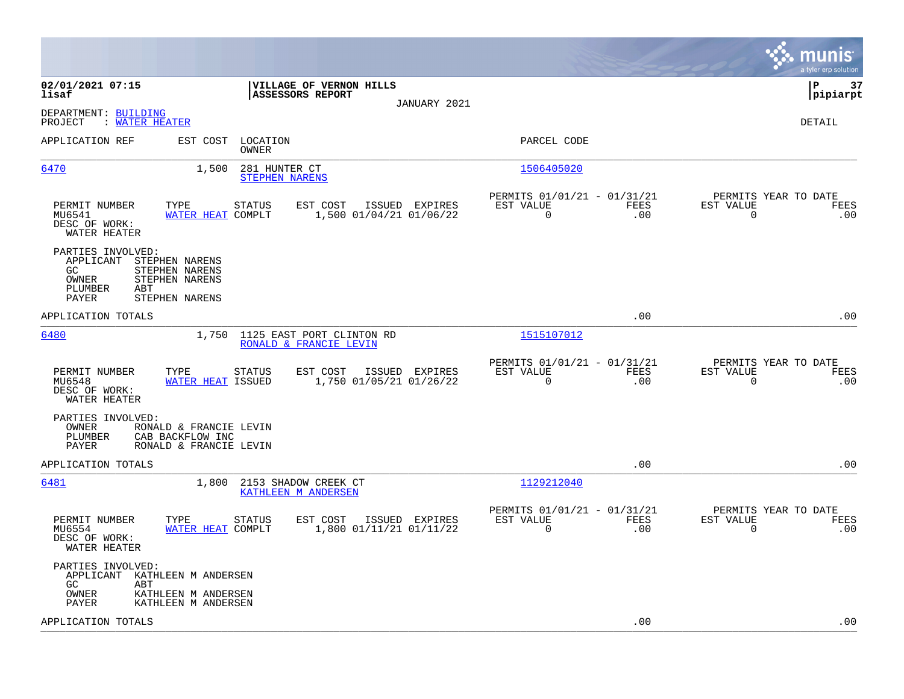|                                                                                                                                                   |                |                                                         |             |                                               | munis<br>a tyler erp solution |
|---------------------------------------------------------------------------------------------------------------------------------------------------|----------------|---------------------------------------------------------|-------------|-----------------------------------------------|-------------------------------|
| 02/01/2021 07:15<br>VILLAGE OF VERNON HILLS<br>ASSESSORS REPORT<br>lisaf                                                                          |                |                                                         |             |                                               | P<br>37<br> pipiarpt          |
| DEPARTMENT: BUILDING<br>PROJECT<br>: WATER HEATER                                                                                                 | JANUARY 2021   |                                                         |             |                                               | DETAIL                        |
| APPLICATION REF<br>EST COST<br>LOCATION<br>OWNER                                                                                                  |                | PARCEL CODE                                             |             |                                               |                               |
| 6470<br>1,500<br>281 HUNTER CT<br><b>STEPHEN NARENS</b>                                                                                           |                | 1506405020                                              |             |                                               |                               |
| PERMIT NUMBER<br>TYPE<br>EST COST<br>STATUS<br>MU6541<br>1,500 01/04/21 01/06/22<br>WATER HEAT COMPLT<br>DESC OF WORK:<br>WATER HEATER            | ISSUED EXPIRES | PERMITS 01/01/21 - 01/31/21<br>EST VALUE<br>$\Omega$    | FEES<br>.00 | PERMITS YEAR TO DATE<br>EST VALUE<br>$\Omega$ | FEES<br>.00                   |
| PARTIES INVOLVED:<br>APPLICANT<br>STEPHEN NARENS<br>STEPHEN NARENS<br>GC.<br>OWNER<br>STEPHEN NARENS<br>PLUMBER<br>ABT<br>STEPHEN NARENS<br>PAYER |                |                                                         |             |                                               |                               |
| APPLICATION TOTALS                                                                                                                                |                |                                                         | .00         |                                               | .00                           |
| 6480<br>1125 EAST PORT CLINTON RD<br>1,750<br>RONALD & FRANCIE LEVIN                                                                              |                | 1515107012                                              |             |                                               |                               |
| PERMIT NUMBER<br>TYPE<br>EST COST<br>STATUS<br>1,750 01/05/21 01/26/22<br>MU6548<br>WATER HEAT ISSUED<br>DESC OF WORK:<br>WATER HEATER            | ISSUED EXPIRES | PERMITS 01/01/21 - 01/31/21<br>EST VALUE<br>$\mathbf 0$ | FEES<br>.00 | PERMITS YEAR TO DATE<br>EST VALUE<br>$\Omega$ | FEES<br>.00                   |
| PARTIES INVOLVED:<br>OWNER<br>RONALD & FRANCIE LEVIN<br>PLUMBER<br>CAB BACKFLOW INC<br>PAYER<br>RONALD & FRANCIE LEVIN                            |                |                                                         |             |                                               |                               |
| APPLICATION TOTALS                                                                                                                                |                |                                                         | .00         |                                               | .00                           |
| <u>6481</u><br>1,800<br>2153 SHADOW CREEK CT<br><b>KATHLEEN M ANDERSEN</b>                                                                        |                | 1129212040                                              |             |                                               |                               |
| PERMIT NUMBER<br>TYPE<br>EST COST<br><b>STATUS</b><br>MU6554<br>WATER HEAT COMPLT<br>1,800 01/11/21 01/11/22<br>DESC OF WORK:<br>WATER HEATER     | ISSUED EXPIRES | PERMITS 01/01/21 - 01/31/21<br>EST VALUE<br>0           | FEES<br>.00 | PERMITS YEAR TO DATE<br>EST VALUE<br>0        | FEES<br>.00                   |
| PARTIES INVOLVED:<br>APPLICANT KATHLEEN M ANDERSEN<br>GC.<br>ABT<br>OWNER<br>KATHLEEN M ANDERSEN<br>PAYER<br>KATHLEEN M ANDERSEN                  |                |                                                         |             |                                               |                               |
| APPLICATION TOTALS                                                                                                                                |                |                                                         | .00         |                                               | .00                           |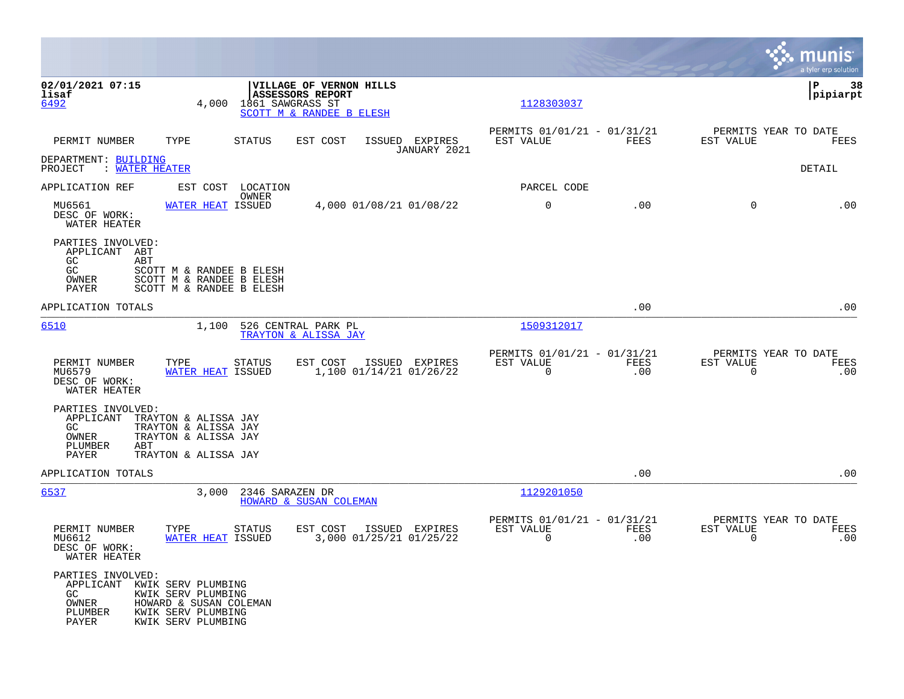|                                                                                       |                                                                                          |                            |                                                                         |                                           |                                                         |                    |                                                  | munis<br>a tyler erp solution |
|---------------------------------------------------------------------------------------|------------------------------------------------------------------------------------------|----------------------------|-------------------------------------------------------------------------|-------------------------------------------|---------------------------------------------------------|--------------------|--------------------------------------------------|-------------------------------|
| 02/01/2021 07:15<br>lisaf<br>6492                                                     | 4,000                                                                                    | 1861 SAWGRASS ST           | VILLAGE OF VERNON HILLS<br>ASSESSORS REPORT<br>SCOTT M & RANDEE B ELESH |                                           | 1128303037                                              |                    |                                                  | P<br>38<br> pipiarpt          |
| PERMIT NUMBER                                                                         | TYPE                                                                                     | STATUS                     | EST COST                                                                | ISSUED EXPIRES<br>JANUARY 2021            | PERMITS 01/01/21 - 01/31/21<br>EST VALUE                | FEES               | PERMITS YEAR TO DATE<br>EST VALUE                | FEES                          |
| DEPARTMENT: BUILDING<br>PROJECT<br>: WATER HEATER                                     |                                                                                          |                            |                                                                         |                                           |                                                         |                    |                                                  | DETAIL                        |
| APPLICATION REF                                                                       |                                                                                          | EST COST LOCATION<br>OWNER |                                                                         |                                           | PARCEL CODE                                             |                    |                                                  |                               |
| MU6561<br>DESC OF WORK:<br>WATER HEATER                                               | WATER HEAT ISSUED                                                                        |                            |                                                                         | 4,000 01/08/21 01/08/22                   | $\mathbf 0$                                             | .00                | $\Omega$                                         | .00                           |
| PARTIES INVOLVED:<br>APPLICANT ABT<br>GC<br>ABT<br>GC<br>OWNER<br>PAYER               | SCOTT M & RANDEE B ELESH<br>SCOTT M & RANDEE B ELESH<br>SCOTT M & RANDEE B ELESH         |                            |                                                                         |                                           |                                                         |                    |                                                  |                               |
| APPLICATION TOTALS                                                                    |                                                                                          |                            |                                                                         |                                           |                                                         | .00                |                                                  | .00                           |
| 6510                                                                                  | 1,100                                                                                    |                            | 526 CENTRAL PARK PL<br>TRAYTON & ALISSA JAY                             |                                           | 1509312017                                              |                    |                                                  |                               |
| PERMIT NUMBER<br>MU6579<br>DESC OF WORK:<br>WATER HEATER                              | TYPE<br>WATER HEAT ISSUED                                                                | STATUS                     | EST COST                                                                | ISSUED EXPIRES<br>1,100 01/14/21 01/26/22 | PERMITS 01/01/21 - 01/31/21<br>EST VALUE<br>0           | <b>FEES</b><br>.00 | PERMITS YEAR TO DATE<br>EST VALUE<br>$\mathbf 0$ | <b>FEES</b><br>.00            |
| PARTIES INVOLVED:<br>APPLICANT TRAYTON & ALISSA JAY<br>GC.<br>OWNER<br>PLUMBER<br>ABT | TRAYTON & ALISSA JAY<br>TRAYTON & ALISSA JAY                                             |                            |                                                                         |                                           |                                                         |                    |                                                  |                               |
| PAYER<br>APPLICATION TOTALS                                                           | TRAYTON & ALISSA JAY                                                                     |                            |                                                                         |                                           |                                                         | .00                |                                                  | .00                           |
| 6537                                                                                  | 3,000                                                                                    | 2346 SARAZEN DR            | HOWARD & SUSAN COLEMAN                                                  |                                           | 1129201050                                              |                    |                                                  |                               |
| PERMIT NUMBER<br>MU6612<br>DESC OF WORK:<br>WATER HEATER                              | TYPE<br><b>WATER HEAT ISSUED</b>                                                         | <b>STATUS</b>              | EST COST                                                                | ISSUED EXPIRES<br>3,000 01/25/21 01/25/22 | PERMITS 01/01/21 - 01/31/21<br>EST VALUE<br>$\mathbf 0$ | FEES<br>.00        | PERMITS YEAR TO DATE<br>EST VALUE<br>$\mathbf 0$ | FEES<br>.00                   |
| PARTIES INVOLVED:<br>APPLICANT KWIK SERV PLUMBING<br>GC.<br>OWNER<br>PLUMBER<br>PAYER | KWIK SERV PLUMBING<br>HOWARD & SUSAN COLEMAN<br>KWIK SERV PLUMBING<br>KWIK SERV PLUMBING |                            |                                                                         |                                           |                                                         |                    |                                                  |                               |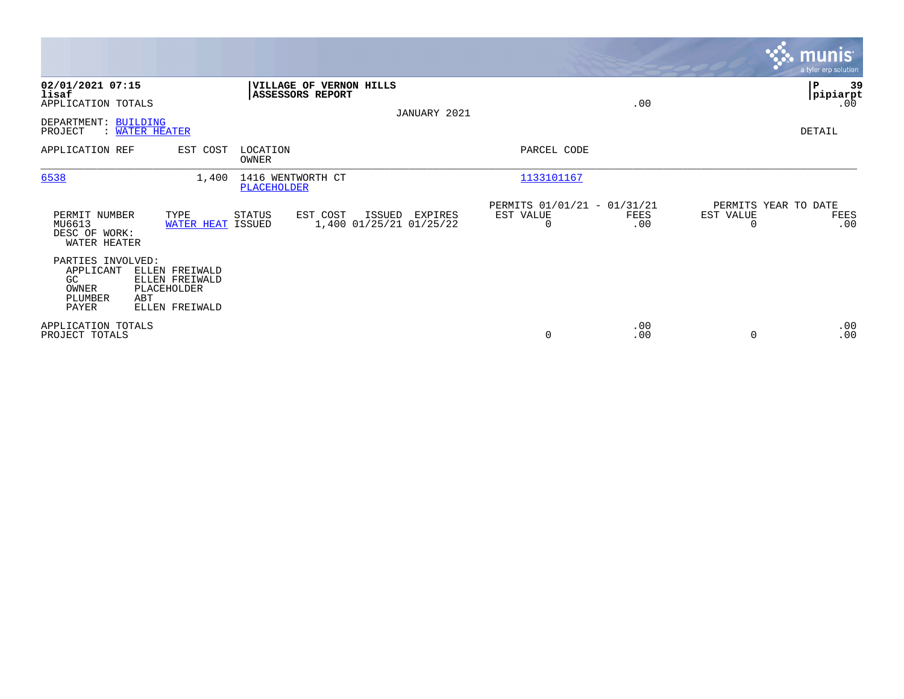|                                                                                                                                                |                                                                                     |                                                          |             | <b>munis</b><br>a tyler erp solution                         |
|------------------------------------------------------------------------------------------------------------------------------------------------|-------------------------------------------------------------------------------------|----------------------------------------------------------|-------------|--------------------------------------------------------------|
| 02/01/2021 07:15<br>lisaf<br>APPLICATION TOTALS<br>DEPARTMENT: BUILDING<br><b>WATER HEATER</b><br>PROJECT                                      | VILLAGE OF VERNON HILLS<br><b>ASSESSORS REPORT</b>                                  | JANUARY 2021                                             | .00         | 39<br>P<br> pipiarpt<br>.00<br>DETAIL                        |
| APPLICATION REF<br>EST COST                                                                                                                    | LOCATION<br>OWNER                                                                   | PARCEL CODE                                              |             |                                                              |
| 6538<br>1,400                                                                                                                                  | 1416 WENTWORTH CT<br>PLACEHOLDER                                                    | 1133101167                                               |             |                                                              |
| PERMIT NUMBER<br>TYPE<br>MU6613<br>DESC OF WORK:<br>WATER HEATER                                                                               | <b>STATUS</b><br>EST COST<br>ISSUED<br>1,400 01/25/21 01/25/22<br>WATER HEAT ISSUED | PERMITS 01/01/21 - 01/31/21<br>EXPIRES<br>EST VALUE<br>0 | FEES<br>.00 | PERMITS YEAR TO DATE<br>EST VALUE<br>FEES<br>.00<br>$\Omega$ |
| PARTIES INVOLVED:<br>APPLICANT<br>ELLEN FREIWALD<br>GC.<br>ELLEN FREIWALD<br>PLACEHOLDER<br>OWNER<br>PLUMBER<br>ABT<br>PAYER<br>ELLEN FREIWALD |                                                                                     |                                                          |             |                                                              |
| APPLICATION TOTALS<br>PROJECT TOTALS                                                                                                           |                                                                                     | 0                                                        | .00<br>.00  | .00<br>.00<br>$\Omega$                                       |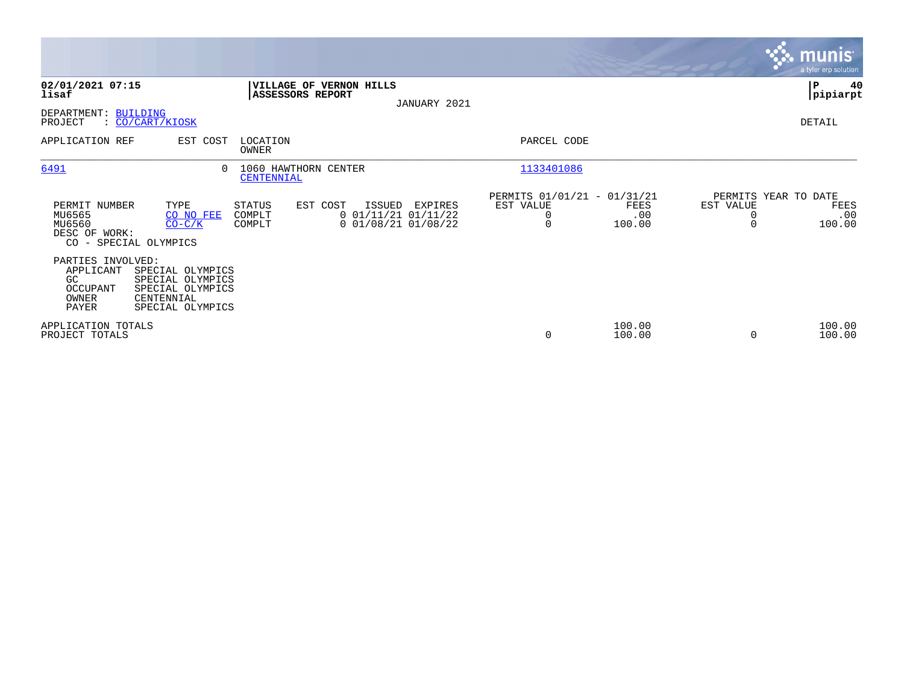|                                                                                  |                                                                                            |                            |                                                                          |              |                                                           |                       |                       | <b>munis</b><br>a tyler erp solution          |
|----------------------------------------------------------------------------------|--------------------------------------------------------------------------------------------|----------------------------|--------------------------------------------------------------------------|--------------|-----------------------------------------------------------|-----------------------|-----------------------|-----------------------------------------------|
| 02/01/2021 07:15<br>lisaf                                                        |                                                                                            |                            | VILLAGE OF VERNON HILLS<br><b>ASSESSORS REPORT</b>                       | JANUARY 2021 |                                                           |                       |                       | P<br>40<br> pipiarpt                          |
| DEPARTMENT: BUILDING<br>PROJECT                                                  | : CO/CART/KIOSK                                                                            |                            |                                                                          |              |                                                           |                       |                       | DETAIL                                        |
| APPLICATION REF                                                                  | EST COST                                                                                   | LOCATION<br>OWNER          |                                                                          |              | PARCEL CODE                                               |                       |                       |                                               |
| 6491                                                                             | $\Omega$                                                                                   | <b>CENTENNIAL</b>          | 1060 HAWTHORN CENTER                                                     |              | 1133401086                                                |                       |                       |                                               |
| PERMIT NUMBER<br>MU6565<br>MU6560<br>DESC OF WORK:                               | TYPE<br>CO NO FEE<br>$CO-C/K$<br>CO - SPECIAL OLYMPICS                                     | STATUS<br>COMPLT<br>COMPLT | EST COST<br>ISSUED<br>$0$ $01/11/21$ $01/11/22$<br>$0$ 01/08/21 01/08/22 | EXPIRES      | PERMITS 01/01/21 - 01/31/21<br>EST VALUE<br>0<br>$\Omega$ | FEES<br>.00<br>100.00 | EST VALUE<br>$\Omega$ | PERMITS YEAR TO DATE<br>FEES<br>.00<br>100.00 |
| PARTIES INVOLVED:<br>APPLICANT<br>GC<br><b>OCCUPANT</b><br>OWNER<br><b>PAYER</b> | SPECIAL OLYMPICS<br>SPECIAL OLYMPICS<br>SPECIAL OLYMPICS<br>CENTENNIAL<br>SPECIAL OLYMPICS |                            |                                                                          |              |                                                           |                       |                       |                                               |
| APPLICATION TOTALS<br>PROJECT TOTALS                                             |                                                                                            |                            |                                                                          |              | $\mathbf 0$                                               | 100.00<br>100.00      | $\Omega$              | 100.00<br>100.00                              |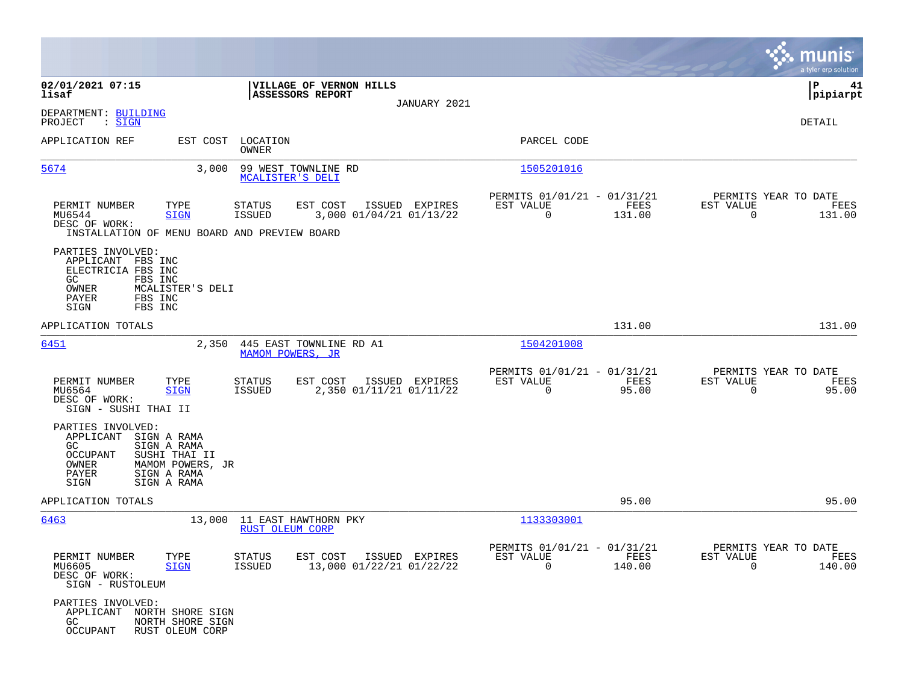|                                                                                                                                |                                                                                               |                                                |                                                     |                |                                                         |                |                                               | munis<br>a tyler erp solution |
|--------------------------------------------------------------------------------------------------------------------------------|-----------------------------------------------------------------------------------------------|------------------------------------------------|-----------------------------------------------------|----------------|---------------------------------------------------------|----------------|-----------------------------------------------|-------------------------------|
| 02/01/2021 07:15<br>lisaf                                                                                                      |                                                                                               | <b>ASSESSORS REPORT</b>                        | VILLAGE OF VERNON HILLS                             |                |                                                         |                |                                               | 41<br>IΡ<br> pipiarpt         |
| DEPARTMENT: BUILDING<br>PROJECT<br>: SIGN                                                                                      |                                                                                               |                                                |                                                     | JANUARY 2021   |                                                         |                |                                               | DETAIL                        |
| APPLICATION REF                                                                                                                |                                                                                               | EST COST LOCATION<br>OWNER                     |                                                     |                | PARCEL CODE                                             |                |                                               |                               |
| 5674                                                                                                                           | 3,000                                                                                         | 99 WEST TOWNLINE RD<br>MCALISTER'S DELI        |                                                     |                | 1505201016                                              |                |                                               |                               |
| PERMIT NUMBER<br>MU6544<br>DESC OF WORK:<br>INSTALLATION OF MENU BOARD AND PREVIEW BOARD                                       | TYPE<br><b>SIGN</b>                                                                           | <b>STATUS</b><br><b>ISSUED</b>                 | EST COST<br>3,000 01/04/21 01/13/22                 | ISSUED EXPIRES | PERMITS 01/01/21 - 01/31/21<br>EST VALUE<br>$\mathbf 0$ | FEES<br>131.00 | PERMITS YEAR TO DATE<br>EST VALUE<br>$\Omega$ | FEES<br>131.00                |
| PARTIES INVOLVED:<br>APPLICANT FBS INC<br>ELECTRICIA FBS INC<br>GC.<br>FBS INC<br>OWNER<br>PAYER<br>FBS INC<br>FBS INC<br>SIGN | MCALISTER'S DELI                                                                              |                                                |                                                     |                |                                                         |                |                                               |                               |
| APPLICATION TOTALS                                                                                                             |                                                                                               |                                                |                                                     |                |                                                         | 131.00         |                                               | 131.00                        |
| 6451                                                                                                                           |                                                                                               | MAMOM POWERS, JR                               | 2,350 445 EAST TOWNLINE RD A1                       |                | 1504201008                                              |                |                                               |                               |
| PERMIT NUMBER<br>MU6564<br>DESC OF WORK:<br>SIGN - SUSHI THAI II                                                               | TYPE<br><b>SIGN</b>                                                                           | STATUS<br>ISSUED                               | EST COST<br>2,350 01/11/21 01/11/22                 | ISSUED EXPIRES | PERMITS 01/01/21 - 01/31/21<br>EST VALUE<br>$\mathbf 0$ | FEES<br>95.00  | PERMITS YEAR TO DATE<br>EST VALUE<br>0        | FEES<br>95.00                 |
| PARTIES INVOLVED:<br>APPLICANT<br>GC.<br><b>OCCUPANT</b><br>OWNER<br>PAYER<br>SIGN                                             | SIGN A RAMA<br>SIGN A RAMA<br>SUSHI THAI II<br>MAMOM POWERS, JR<br>SIGN A RAMA<br>SIGN A RAMA |                                                |                                                     |                |                                                         |                |                                               |                               |
| APPLICATION TOTALS                                                                                                             |                                                                                               |                                                |                                                     |                |                                                         | 95.00          |                                               | 95.00                         |
| 6463                                                                                                                           | 13,000                                                                                        | 11 EAST HAWTHORN PKY<br><b>RUST OLEUM CORP</b> |                                                     |                | 1133303001                                              |                |                                               |                               |
| PERMIT NUMBER<br>MU6605<br>DESC OF WORK:<br>SIGN - RUSTOLEUM                                                                   | TYPE<br><b>SIGN</b>                                                                           | STATUS<br>ISSUED                               | EST COST ISSUED EXPIRES<br>13,000 01/22/21 01/22/22 |                | PERMITS 01/01/21 - 01/31/21<br>EST VALUE<br>$\Omega$    | FEES<br>140.00 | PERMITS YEAR TO DATE<br>EST VALUE<br>$\Omega$ | FEES<br>140.00                |
| PARTIES INVOLVED:<br>APPLICANT NORTH SHORE SIGN<br>GC .<br><b>OCCUPANT</b>                                                     | NORTH SHORE SIGN<br>RUST OLEUM CORP                                                           |                                                |                                                     |                |                                                         |                |                                               |                               |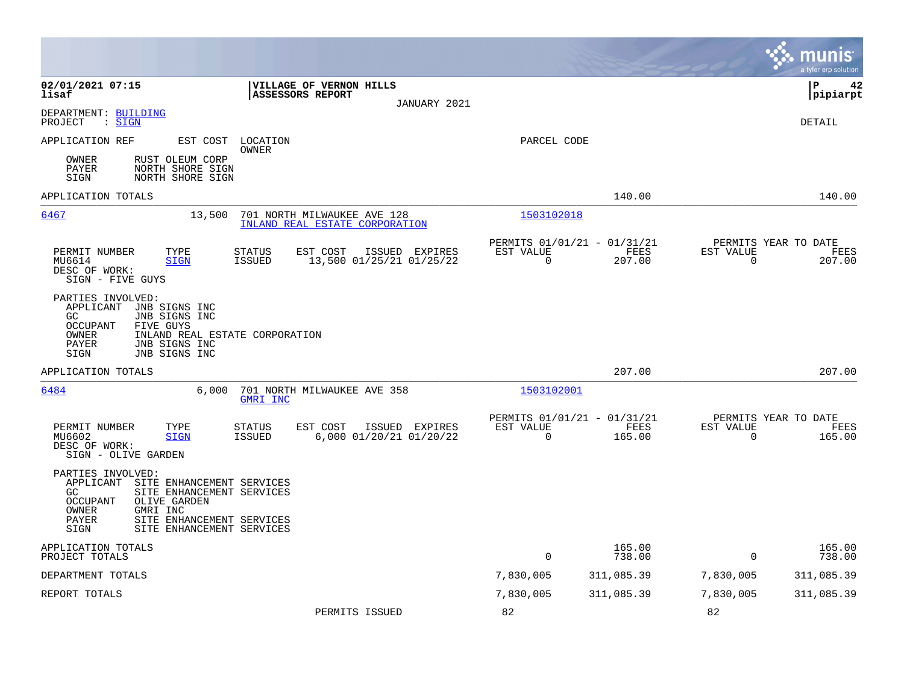|                                                                                                                                                                                                                                           |                                                                                   |                                                      |                  |                                               | munis<br>a tyler erp solution |
|-------------------------------------------------------------------------------------------------------------------------------------------------------------------------------------------------------------------------------------------|-----------------------------------------------------------------------------------|------------------------------------------------------|------------------|-----------------------------------------------|-------------------------------|
| 02/01/2021 07:15<br>lisaf                                                                                                                                                                                                                 | VILLAGE OF VERNON HILLS<br>ASSESSORS REPORT<br>JANUARY 2021                       |                                                      |                  |                                               | lР<br>42<br> pipiarpt         |
| DEPARTMENT: BUILDING<br>PROJECT<br>: SIGN                                                                                                                                                                                                 |                                                                                   |                                                      |                  |                                               | DETAIL                        |
| APPLICATION REF<br>EST COST LOCATION                                                                                                                                                                                                      | OWNER                                                                             | PARCEL CODE                                          |                  |                                               |                               |
| OWNER<br>RUST OLEUM CORP<br>PAYER<br>NORTH SHORE SIGN<br>SIGN<br>NORTH SHORE SIGN                                                                                                                                                         |                                                                                   |                                                      |                  |                                               |                               |
| APPLICATION TOTALS                                                                                                                                                                                                                        |                                                                                   |                                                      | 140.00           |                                               | 140.00                        |
| 6467<br>13,500                                                                                                                                                                                                                            | 701 NORTH MILWAUKEE AVE 128<br>INLAND REAL ESTATE CORPORATION                     | 1503102018                                           |                  |                                               |                               |
| PERMIT NUMBER<br>TYPE<br>MU6614<br><b>SIGN</b><br>DESC OF WORK:<br>SIGN - FIVE GUYS                                                                                                                                                       | STATUS<br>EST COST<br>ISSUED EXPIRES<br><b>ISSUED</b><br>13,500 01/25/21 01/25/22 | PERMITS 01/01/21 - 01/31/21<br>EST VALUE<br>$\Omega$ | FEES<br>207.00   | PERMITS YEAR TO DATE<br>EST VALUE<br>$\Omega$ | FEES<br>207.00                |
| PARTIES INVOLVED:<br>APPLICANT<br>JNB SIGNS INC<br>GC.<br>JNB SIGNS INC<br>FIVE GUYS<br><b>OCCUPANT</b><br>INLAND REAL ESTATE CORPORATION<br>OWNER<br>JNB SIGNS INC<br>PAYER<br>JNB SIGNS INC<br>SIGN                                     |                                                                                   |                                                      |                  |                                               |                               |
| APPLICATION TOTALS                                                                                                                                                                                                                        |                                                                                   |                                                      | 207.00           |                                               | 207.00                        |
| 6484<br>6,000                                                                                                                                                                                                                             | 701 NORTH MILWAUKEE AVE 358<br>GMRI INC                                           | 1503102001                                           |                  |                                               |                               |
| PERMIT NUMBER<br>TYPE<br><b>SIGN</b><br>MU6602<br>DESC OF WORK:<br>SIGN - OLIVE GARDEN                                                                                                                                                    | STATUS<br>EST COST<br>ISSUED EXPIRES<br><b>ISSUED</b><br>6,000 01/20/21 01/20/22  | PERMITS 01/01/21 - 01/31/21<br>EST VALUE<br>$\Omega$ | FEES<br>165.00   | PERMITS YEAR TO DATE<br>EST VALUE<br>$\Omega$ | FEES<br>165.00                |
| PARTIES INVOLVED:<br>APPLICANT<br>SITE ENHANCEMENT SERVICES<br>GC.<br>SITE ENHANCEMENT SERVICES<br><b>OCCUPANT</b><br>OLIVE GARDEN<br>OWNER<br>GMRI INC<br>SITE ENHANCEMENT SERVICES<br><b>PAYER</b><br>SIGN<br>SITE ENHANCEMENT SERVICES |                                                                                   |                                                      |                  |                                               |                               |
| APPLICATION TOTALS<br>PROJECT TOTALS                                                                                                                                                                                                      |                                                                                   | 0                                                    | 165.00<br>738.00 | $\mathbf 0$                                   | 165.00<br>738.00              |
| DEPARTMENT TOTALS                                                                                                                                                                                                                         |                                                                                   | 7,830,005                                            | 311,085.39       | 7,830,005                                     | 311,085.39                    |
| REPORT TOTALS                                                                                                                                                                                                                             |                                                                                   | 7,830,005                                            | 311,085.39       | 7,830,005                                     | 311,085.39                    |
|                                                                                                                                                                                                                                           | PERMITS ISSUED                                                                    | 82                                                   |                  | 82                                            |                               |